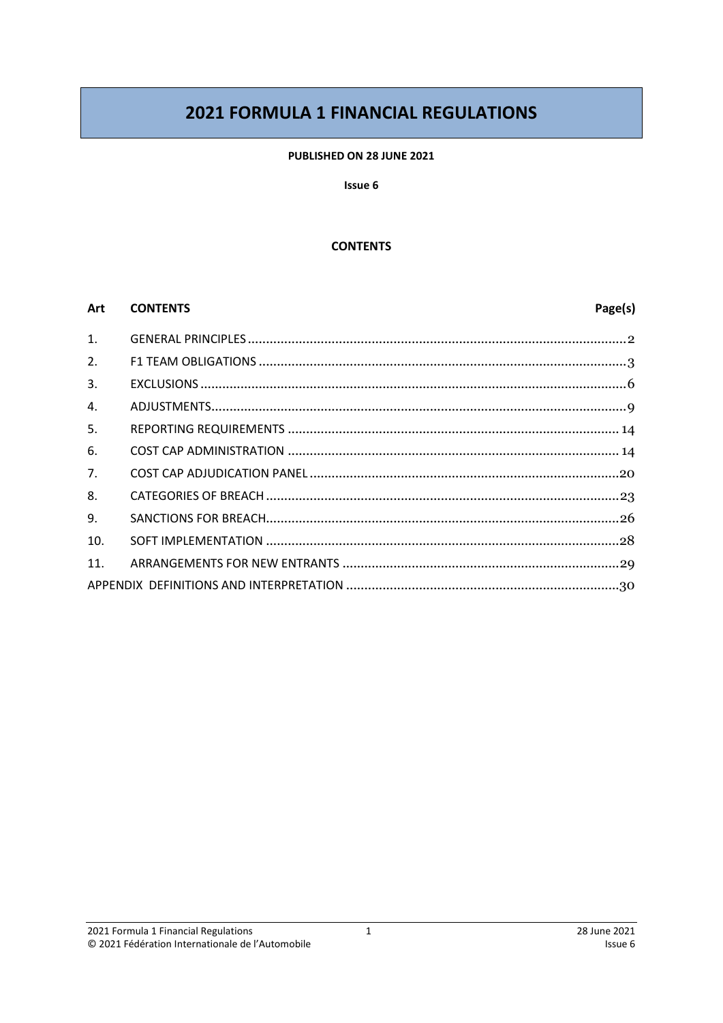# **2021 FORMULA 1 FINANCIAL REGULATIONS**

#### PUBLISHED ON 28 JUNE 2021

#### Issue 6

#### **CONTENTS**

#### Art **CONTENTS**

## Page(s)

| $\mathbf{1}$ . |  |
|----------------|--|
| 2.             |  |
| 3.             |  |
| 4.             |  |
| 5.             |  |
| 6.             |  |
| 7.             |  |
| 8.             |  |
| 9.             |  |
| 10.            |  |
| 11.            |  |
|                |  |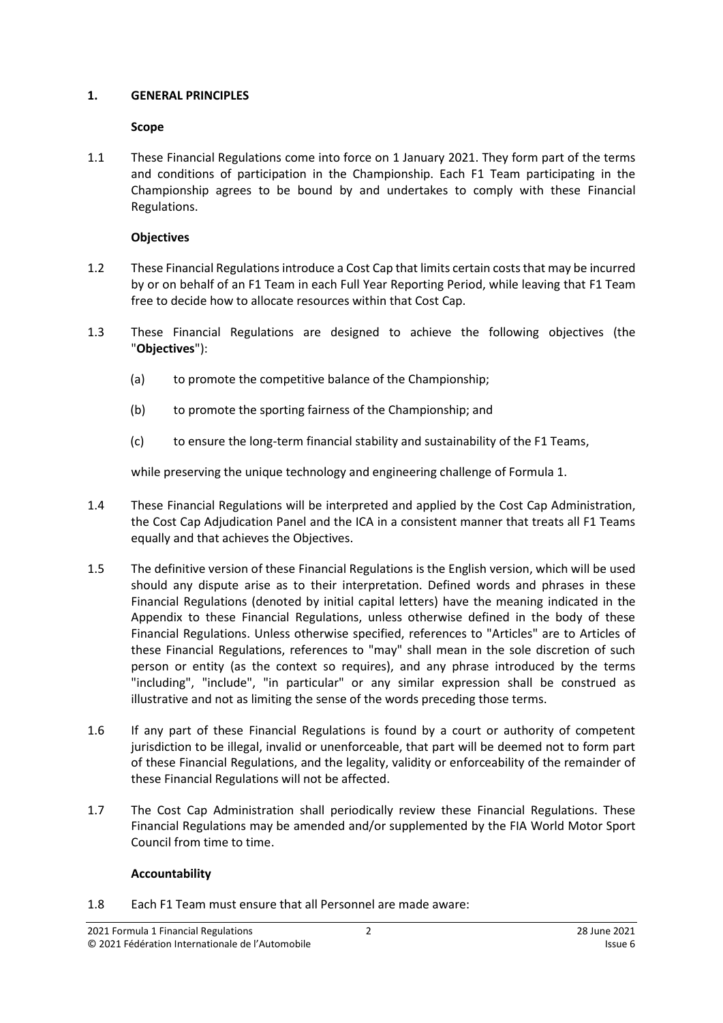#### <span id="page-1-0"></span>**1. GENERAL PRINCIPLES**

### **Scope**

1.1 These Financial Regulations come into force on 1 January 2021. They form part of the terms and conditions of participation in the Championship. Each F1 Team participating in the Championship agrees to be bound by and undertakes to comply with these Financial Regulations.

## **Objectives**

- 1.2 These Financial Regulationsintroduce a Cost Cap that limits certain coststhat may be incurred by or on behalf of an F1 Team in each Full Year Reporting Period, while leaving that F1 Team free to decide how to allocate resources within that Cost Cap.
- <span id="page-1-2"></span>1.3 These Financial Regulations are designed to achieve the following objectives (the "**Objectives**"):
	- (a) to promote the competitive balance of the Championship;
	- (b) to promote the sporting fairness of the Championship; and
	- (c) to ensure the long-term financial stability and sustainability of the F1 Teams,

while preserving the unique technology and engineering challenge of Formula 1.

- 1.4 These Financial Regulations will be interpreted and applied by the Cost Cap Administration, the Cost Cap Adjudication Panel and the ICA in a consistent manner that treats all F1 Teams equally and that achieves the Objectives.
- 1.5 The definitive version of these Financial Regulations is the English version, which will be used should any dispute arise as to their interpretation. Defined words and phrases in these Financial Regulations (denoted by initial capital letters) have the meaning indicated in the Appendix to these Financial Regulations, unless otherwise defined in the body of these Financial Regulations. Unless otherwise specified, references to "Articles" are to Articles of these Financial Regulations, references to "may" shall mean in the sole discretion of such person or entity (as the context so requires), and any phrase introduced by the terms "including", "include", "in particular" or any similar expression shall be construed as illustrative and not as limiting the sense of the words preceding those terms.
- 1.6 If any part of these Financial Regulations is found by a court or authority of competent jurisdiction to be illegal, invalid or unenforceable, that part will be deemed not to form part of these Financial Regulations, and the legality, validity or enforceability of the remainder of these Financial Regulations will not be affected.
- 1.7 The Cost Cap Administration shall periodically review these Financial Regulations. These Financial Regulations may be amended and/or supplemented by the FIA World Motor Sport Council from time to time.

## **Accountability**

<span id="page-1-1"></span>1.8 Each F1 Team must ensure that all Personnel are made aware: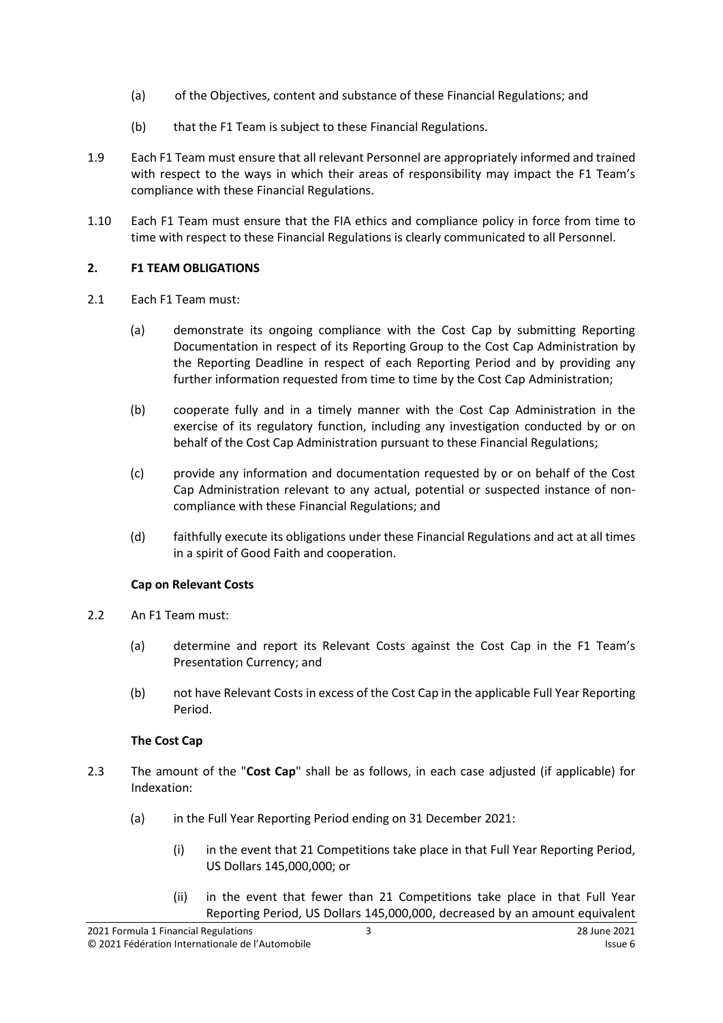- (a) of the Objectives, content and substance of these Financial Regulations; and
- (b) that the F1 Team is subject to these Financial Regulations.
- <span id="page-2-1"></span>1.9 Each F1 Team must ensure that all relevant Personnel are appropriately informed and trained with respect to the ways in which their areas of responsibility may impact the F1 Team's compliance with these Financial Regulations.
- <span id="page-2-2"></span>1.10 Each F1 Team must ensure that the FIA ethics and compliance policy in force from time to time with respect to these Financial Regulations is clearly communicated to all Personnel.

## <span id="page-2-0"></span>**2. F1 TEAM OBLIGATIONS**

- <span id="page-2-3"></span>2.1 Each F1 Team must:
	- (a) demonstrate its ongoing compliance with the Cost Cap by submitting Reporting Documentation in respect of its Reporting Group to the Cost Cap Administration by the Reporting Deadline in respect of each Reporting Period and by providing any further information requested from time to time by the Cost Cap Administration;
	- (b) cooperate fully and in a timely manner with the Cost Cap Administration in the exercise of its regulatory function, including any investigation conducted by or on behalf of the Cost Cap Administration pursuant to these Financial Regulations;
	- (c) provide any information and documentation requested by or on behalf of the Cost Cap Administration relevant to any actual, potential or suspected instance of noncompliance with these Financial Regulations; and
	- (d) faithfully execute its obligations under these Financial Regulations and act at all times in a spirit of Good Faith and cooperation.

## **Cap on Relevant Costs**

- 2.2 An F1 Team must:
	- (a) determine and report its Relevant Costs against the Cost Cap in the F1 Team's Presentation Currency; and
	- (b) not have Relevant Costs in excess of the Cost Cap in the applicable Full Year Reporting Period.

## **The Cost Cap**

- <span id="page-2-4"></span>2.3 The amount of the "**Cost Cap**" shall be as follows, in each case adjusted (if applicable) for Indexation:
	- (a) in the Full Year Reporting Period ending on 31 December 2021:
		- (i) in the event that 21 Competitions take place in that Full Year Reporting Period, US Dollars 145,000,000; or
		- (ii) in the event that fewer than 21 Competitions take place in that Full Year Reporting Period, US Dollars 145,000,000, decreased by an amount equivalent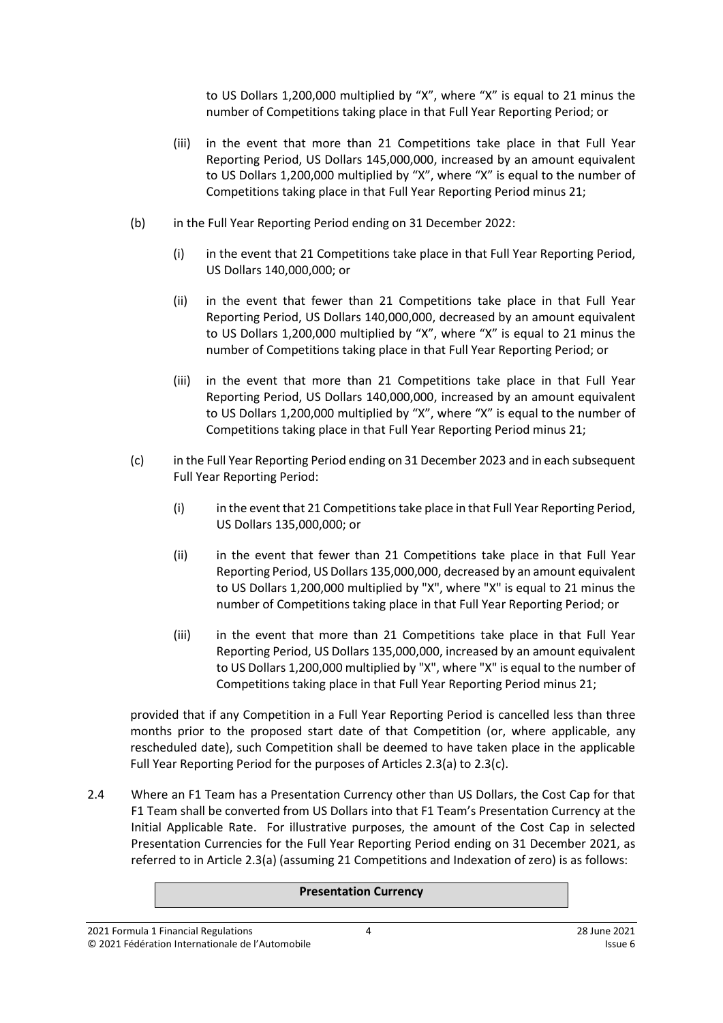to US Dollars 1,200,000 multiplied by "X", where "X" is equal to 21 minus the number of Competitions taking place in that Full Year Reporting Period; or

- (iii) in the event that more than 21 Competitions take place in that Full Year Reporting Period, US Dollars 145,000,000, increased by an amount equivalent to US Dollars 1,200,000 multiplied by "X", where "X" is equal to the number of Competitions taking place in that Full Year Reporting Period minus 21;
- (b) in the Full Year Reporting Period ending on 31 December 2022:
	- (i) in the event that 21 Competitions take place in that Full Year Reporting Period, US Dollars 140,000,000; or
	- (ii) in the event that fewer than 21 Competitions take place in that Full Year Reporting Period, US Dollars 140,000,000, decreased by an amount equivalent to US Dollars 1,200,000 multiplied by "X", where "X" is equal to 21 minus the number of Competitions taking place in that Full Year Reporting Period; or
	- (iii) in the event that more than 21 Competitions take place in that Full Year Reporting Period, US Dollars 140,000,000, increased by an amount equivalent to US Dollars 1,200,000 multiplied by "X", where "X" is equal to the number of Competitions taking place in that Full Year Reporting Period minus 21;
- (c) in the Full Year Reporting Period ending on 31 December 2023 and in each subsequent Full Year Reporting Period:
	- (i) in the event that 21 Competitions take place in that Full Year Reporting Period, US Dollars 135,000,000; or
	- (ii) in the event that fewer than 21 Competitions take place in that Full Year Reporting Period, US Dollars 135,000,000, decreased by an amount equivalent to US Dollars 1,200,000 multiplied by "X", where "X" is equal to 21 minus the number of Competitions taking place in that Full Year Reporting Period; or
	- (iii) in the event that more than 21 Competitions take place in that Full Year Reporting Period, US Dollars 135,000,000, increased by an amount equivalent to US Dollars 1,200,000 multiplied by "X", where "X" is equal to the number of Competitions taking place in that Full Year Reporting Period minus 21;

provided that if any Competition in a Full Year Reporting Period is cancelled less than three months prior to the proposed start date of that Competition (or, where applicable, any rescheduled date), such Competition shall be deemed to have taken place in the applicable Full Year Reporting Period for the purposes of Articles 2.3(a) to 2.3(c).

2.4 Where an F1 Team has a Presentation Currency other than US Dollars, the Cost Cap for that F1 Team shall be converted from US Dollars into that F1 Team's Presentation Currency at the Initial Applicable Rate. For illustrative purposes, the amount of the Cost Cap in selected Presentation Currencies for the Full Year Reporting Period ending on 31 December 2021, as referred to in Article 2.3(a) (assuming 21 Competitions and Indexation of zero) is as follows:

#### **Presentation Currency**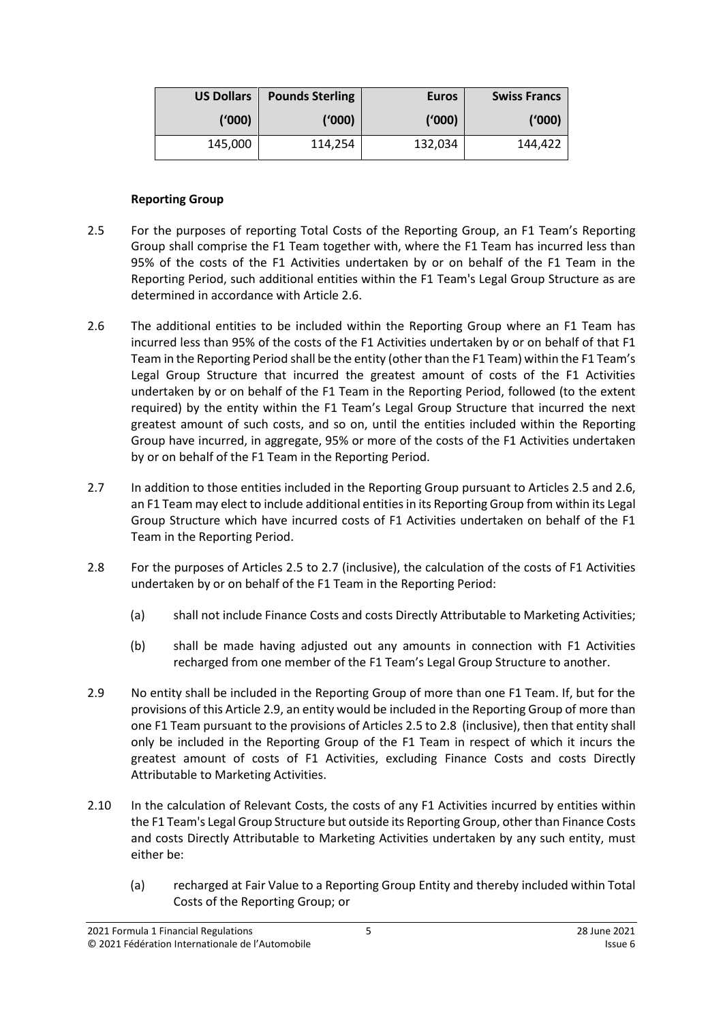| <b>US Dollars</b> | <b>Pounds Sterling</b> | <b>Euros</b> | <b>Swiss Francs</b> |
|-------------------|------------------------|--------------|---------------------|
| (1000)            | (1000)                 | ('000)       | ('000)              |
| 145,000           | 114,254                | 132,034      | 144,422             |

#### **Reporting Group**

- <span id="page-4-1"></span>2.5 For the purposes of reporting Total Costs of the Reporting Group, an F1 Team's Reporting Group shall comprise the F1 Team together with, where the F1 Team has incurred less than 95% of the costs of the F1 Activities undertaken by or on behalf of the F1 Team in the Reporting Period, such additional entities within the F1 Team's Legal Group Structure as are determined in accordance with Articl[e 2.6.](#page-4-0)
- <span id="page-4-0"></span>2.6 The additional entities to be included within the Reporting Group where an F1 Team has incurred less than 95% of the costs of the F1 Activities undertaken by or on behalf of that F1 Team in the Reporting Period shall be the entity (other than the F1 Team) within the F1 Team's Legal Group Structure that incurred the greatest amount of costs of the F1 Activities undertaken by or on behalf of the F1 Team in the Reporting Period, followed (to the extent required) by the entity within the F1 Team's Legal Group Structure that incurred the next greatest amount of such costs, and so on, until the entities included within the Reporting Group have incurred, in aggregate, 95% or more of the costs of the F1 Activities undertaken by or on behalf of the F1 Team in the Reporting Period.
- <span id="page-4-2"></span>2.7 In addition to those entities included in the Reporting Group pursuant to Articles [2.5](#page-4-1) an[d 2.6,](#page-4-0) an F1 Team may elect to include additional entities in its Reporting Group from within its Legal Group Structure which have incurred costs of F1 Activities undertaken on behalf of the F1 Team in the Reporting Period.
- <span id="page-4-4"></span>2.8 For the purposes of Articles [2.5](#page-4-1) to [2.7](#page-4-2) (inclusive), the calculation of the costs of F1 Activities undertaken by or on behalf of the F1 Team in the Reporting Period:
	- (a) shall not include Finance Costs and costs Directly Attributable to Marketing Activities;
	- (b) shall be made having adjusted out any amounts in connection with F1 Activities recharged from one member of the F1 Team's Legal Group Structure to another.
- <span id="page-4-3"></span>2.9 No entity shall be included in the Reporting Group of more than one F1 Team. If, but for the provisions of this Article [2.9,](#page-4-3) an entity would be included in the Reporting Group of more than one F1 Team pursuant to the provisions of Articles [2.5](#page-4-1) to [2.8](#page-4-4) (inclusive), then that entity shall only be included in the Reporting Group of the F1 Team in respect of which it incurs the greatest amount of costs of F1 Activities, excluding Finance Costs and costs Directly Attributable to Marketing Activities.
- 2.10 In the calculation of Relevant Costs, the costs of any F1 Activities incurred by entities within the F1 Team's Legal Group Structure but outside its Reporting Group, other than Finance Costs and costs Directly Attributable to Marketing Activities undertaken by any such entity, must either be:
	- (a) recharged at Fair Value to a Reporting Group Entity and thereby included within Total Costs of the Reporting Group; or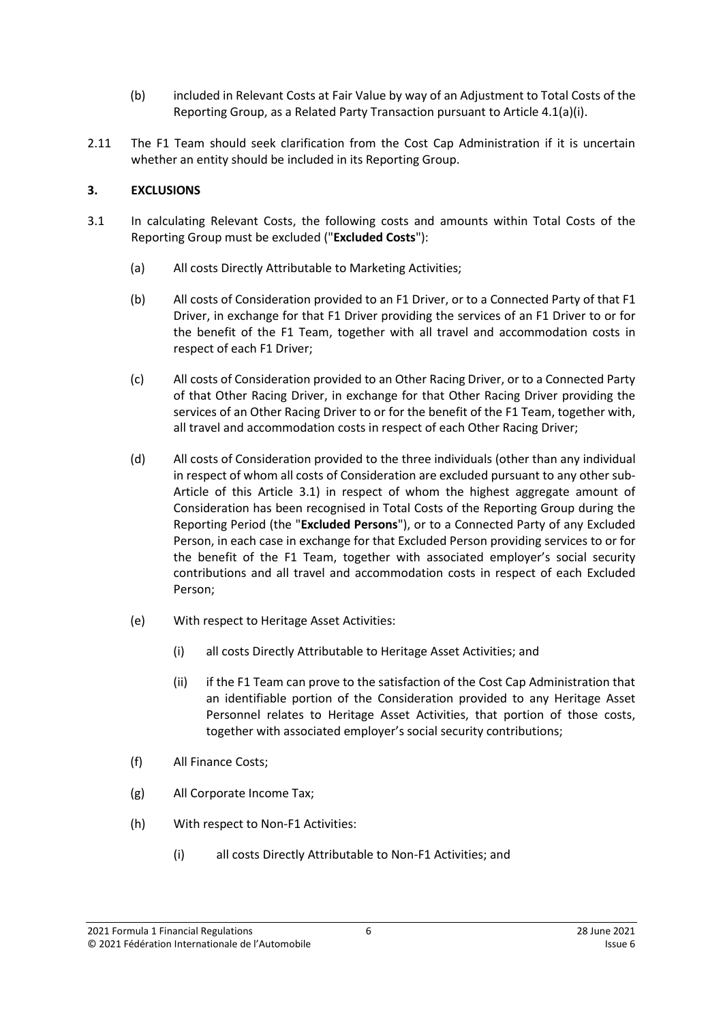- (b) included in Relevant Costs at Fair Value by way of an Adjustment to Total Costs of the Reporting Group, as a Related Party Transaction pursuant to Article 4.1(a)(i).
- <span id="page-5-5"></span>2.11 The F1 Team should seek clarification from the Cost Cap Administration if it is uncertain whether an entity should be included in its Reporting Group.

## <span id="page-5-0"></span>**3. EXCLUSIONS**

- <span id="page-5-8"></span><span id="page-5-7"></span><span id="page-5-6"></span><span id="page-5-4"></span><span id="page-5-3"></span><span id="page-5-2"></span><span id="page-5-1"></span>3.1 In calculating Relevant Costs, the following costs and amounts within Total Costs of the Reporting Group must be excluded ("**Excluded Costs**"):
	- (a) All costs Directly Attributable to Marketing Activities;
	- (b) All costs of Consideration provided to an F1 Driver, or to a Connected Party of that F1 Driver, in exchange for that F1 Driver providing the services of an F1 Driver to or for the benefit of the F1 Team, together with all travel and accommodation costs in respect of each F1 Driver;
	- (c) All costs of Consideration provided to an Other Racing Driver, or to a Connected Party of that Other Racing Driver, in exchange for that Other Racing Driver providing the services of an Other Racing Driver to or for the benefit of the F1 Team, together with, all travel and accommodation costs in respect of each Other Racing Driver;
	- (d) All costs of Consideration provided to the three individuals (other than any individual in respect of whom all costs of Consideration are excluded pursuant to any other sub-Article of this Article [3.1\)](#page-5-1) in respect of whom the highest aggregate amount of Consideration has been recognised in Total Costs of the Reporting Group during the Reporting Period (the "**Excluded Persons**"), or to a Connected Party of any Excluded Person, in each case in exchange for that Excluded Person providing services to or for the benefit of the F1 Team, together with associated employer's social security contributions and all travel and accommodation costs in respect of each Excluded Person;
	- (e) With respect to Heritage Asset Activities:
		- (i) all costs Directly Attributable to Heritage Asset Activities; and
		- (ii) if the F1 Team can prove to the satisfaction of the Cost Cap Administration that an identifiable portion of the Consideration provided to any Heritage Asset Personnel relates to Heritage Asset Activities, that portion of those costs, together with associated employer's social security contributions;
	- (f) All Finance Costs;
	- (g) All Corporate Income Tax;
	- (h) With respect to Non-F1 Activities:
		- (i) all costs Directly Attributable to Non-F1 Activities; and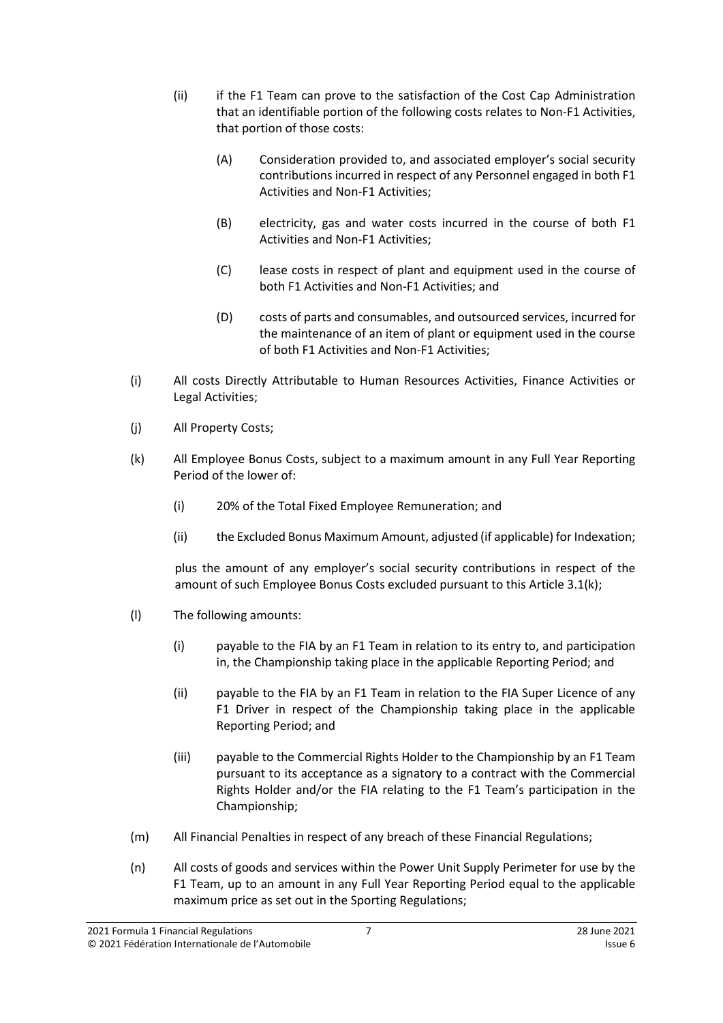- (ii) if the F1 Team can prove to the satisfaction of the Cost Cap Administration that an identifiable portion of the following costs relates to Non-F1 Activities, that portion of those costs:
	- (A) Consideration provided to, and associated employer's social security contributions incurred in respect of any Personnel engaged in both F1 Activities and Non-F1 Activities;
	- (B) electricity, gas and water costs incurred in the course of both F1 Activities and Non-F1 Activities;
	- (C) lease costs in respect of plant and equipment used in the course of both F1 Activities and Non-F1 Activities; and
	- (D) costs of parts and consumables, and outsourced services, incurred for the maintenance of an item of plant or equipment used in the course of both F1 Activities and Non-F1 Activities;
- <span id="page-6-0"></span>(i) All costs Directly Attributable to Human Resources Activities, Finance Activities or Legal Activities;
- (j) All Property Costs;
- <span id="page-6-1"></span>(k) All Employee Bonus Costs, subject to a maximum amount in any Full Year Reporting Period of the lower of:
	- (i) 20% of the Total Fixed Employee Remuneration; and
	- (ii) the Excluded Bonus Maximum Amount, adjusted (if applicable) for Indexation;

plus the amount of any employer's social security contributions in respect of the amount of such Employee Bonus Costs excluded pursuant to this Article 3.1(k);

- (l) The following amounts:
	- (i) payable to the FIA by an F1 Team in relation to its entry to, and participation in, the Championship taking place in the applicable Reporting Period; and
	- (ii) payable to the FIA by an F1 Team in relation to the FIA Super Licence of any F1 Driver in respect of the Championship taking place in the applicable Reporting Period; and
	- (iii) payable to the Commercial Rights Holder to the Championship by an F1 Team pursuant to its acceptance as a signatory to a contract with the Commercial Rights Holder and/or the FIA relating to the F1 Team's participation in the Championship;
- (m) All Financial Penalties in respect of any breach of these Financial Regulations;
- (n) All costs of goods and services within the Power Unit Supply Perimeter for use by the F1 Team, up to an amount in any Full Year Reporting Period equal to the applicable maximum price as set out in the Sporting Regulations;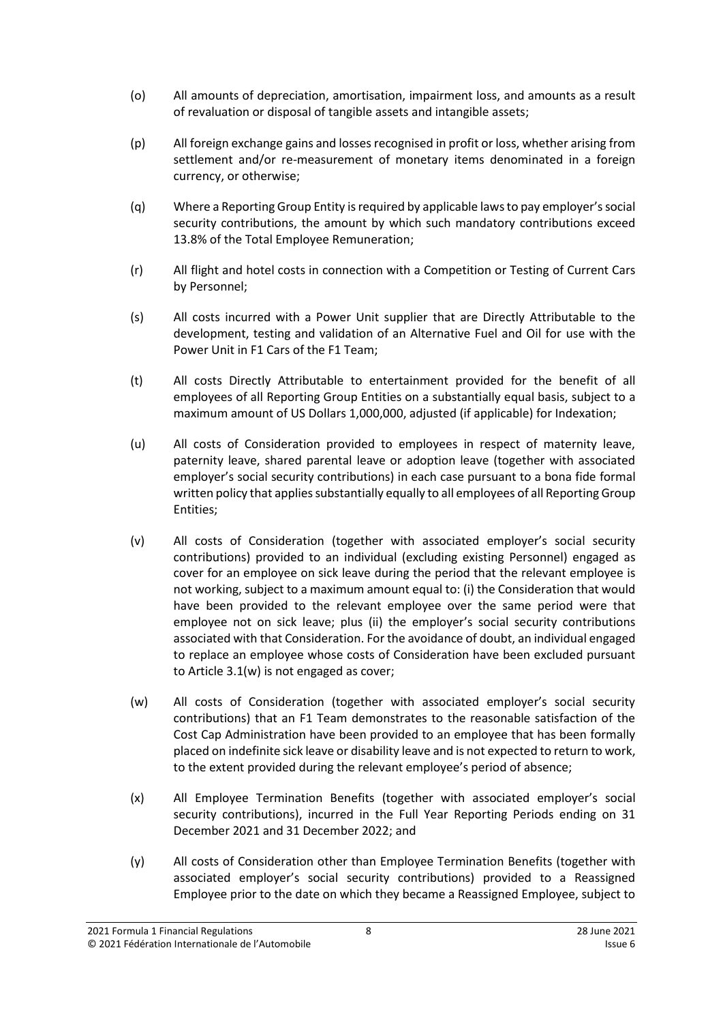- (o) All amounts of depreciation, amortisation, impairment loss, and amounts as a result of revaluation or disposal of tangible assets and intangible assets;
- (p) All foreign exchange gains and lossesrecognised in profit or loss, whether arising from settlement and/or re-measurement of monetary items denominated in a foreign currency, or otherwise;
- (q) Where a Reporting Group Entity is required by applicable lawsto pay employer'ssocial security contributions, the amount by which such mandatory contributions exceed 13.8% of the Total Employee Remuneration;
- (r) All flight and hotel costs in connection with a Competition or Testing of Current Cars by Personnel;
- (s) All costs incurred with a Power Unit supplier that are Directly Attributable to the development, testing and validation of an Alternative Fuel and Oil for use with the Power Unit in F1 Cars of the F1 Team;
- <span id="page-7-1"></span>(t) All costs Directly Attributable to entertainment provided for the benefit of all employees of all Reporting Group Entities on a substantially equal basis, subject to a maximum amount of US Dollars 1,000,000, adjusted (if applicable) for Indexation;
- (u) All costs of Consideration provided to employees in respect of maternity leave, paternity leave, shared parental leave or adoption leave (together with associated employer's social security contributions) in each case pursuant to a bona fide formal written policy that applies substantially equally to all employees of all Reporting Group Entities;
- (v) All costs of Consideration (together with associated employer's social security contributions) provided to an individual (excluding existing Personnel) engaged as cover for an employee on sick leave during the period that the relevant employee is not working, subject to a maximum amount equal to: (i) the Consideration that would have been provided to the relevant employee over the same period were that employee not on sick leave; plus (ii) the employer's social security contributions associated with that Consideration. For the avoidance of doubt, an individual engaged to replace an employee whose costs of Consideration have been excluded pursuant to Article 3.1(w) is not engaged as cover;
- <span id="page-7-2"></span>(w) All costs of Consideration (together with associated employer's social security contributions) that an F1 Team demonstrates to the reasonable satisfaction of the Cost Cap Administration have been provided to an employee that has been formally placed on indefinite sick leave or disability leave and is not expected to return to work, to the extent provided during the relevant employee's period of absence;
- <span id="page-7-0"></span>(x) All Employee Termination Benefits (together with associated employer's social security contributions), incurred in the Full Year Reporting Periods ending on 31 December 2021 and 31 December 2022; and
- <span id="page-7-3"></span>(y) All costs of Consideration other than Employee Termination Benefits (together with associated employer's social security contributions) provided to a Reassigned Employee prior to the date on which they became a Reassigned Employee, subject to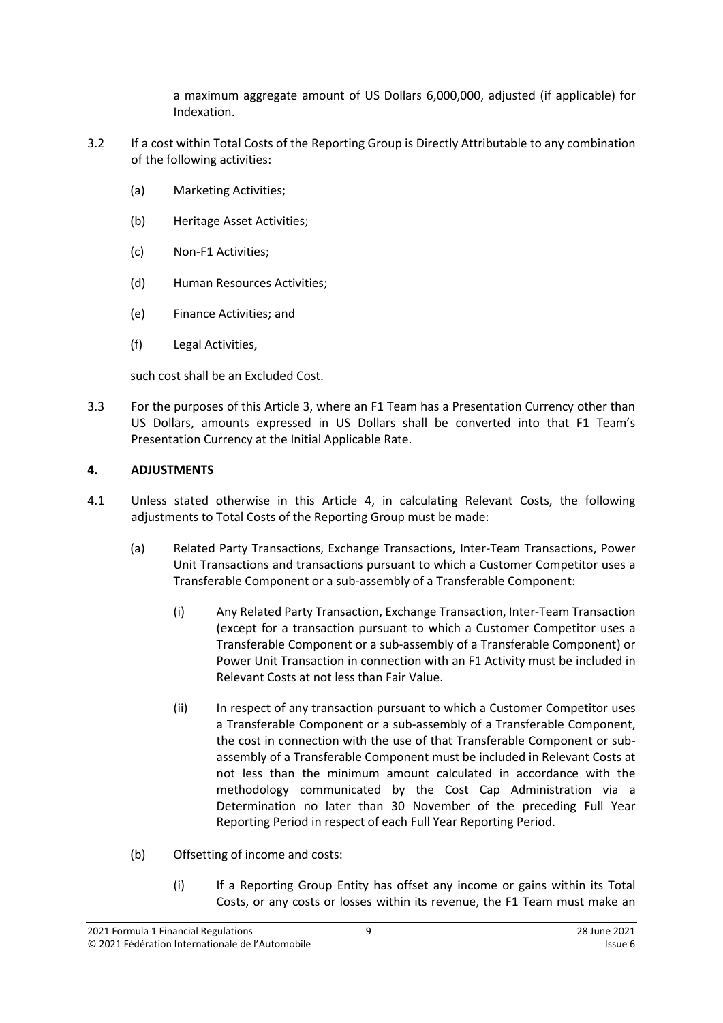a maximum aggregate amount of US Dollars 6,000,000, adjusted (if applicable) for Indexation.

- <span id="page-8-2"></span>3.2 If a cost within Total Costs of the Reporting Group is Directly Attributable to any combination of the following activities:
	- (a) Marketing Activities;
	- (b) Heritage Asset Activities;
	- (c) Non-F1 Activities;
	- (d) Human Resources Activities;
	- (e) Finance Activities; and
	- (f) Legal Activities,

such cost shall be an Excluded Cost.

3.3 For the purposes of this Article 3, where an F1 Team has a Presentation Currency other than US Dollars, amounts expressed in US Dollars shall be converted into that F1 Team's Presentation Currency at the Initial Applicable Rate.

## <span id="page-8-0"></span>**4. ADJUSTMENTS**

- <span id="page-8-1"></span>4.1 Unless stated otherwise in this Article [4,](#page-8-0) in calculating Relevant Costs, the following adjustments to Total Costs of the Reporting Group must be made:
	- (a) Related Party Transactions, Exchange Transactions, Inter-Team Transactions, Power Unit Transactions and transactions pursuant to which a Customer Competitor uses a Transferable Component or a sub-assembly of a Transferable Component:
		- (i) Any Related Party Transaction, Exchange Transaction, Inter-Team Transaction (except for a transaction pursuant to which a Customer Competitor uses a Transferable Component or a sub-assembly of a Transferable Component) or Power Unit Transaction in connection with an F1 Activity must be included in Relevant Costs at not less than Fair Value.
		- (ii) In respect of any transaction pursuant to which a Customer Competitor uses a Transferable Component or a sub-assembly of a Transferable Component, the cost in connection with the use of that Transferable Component or subassembly of a Transferable Component must be included in Relevant Costs at not less than the minimum amount calculated in accordance with the methodology communicated by the Cost Cap Administration via a Determination no later than 30 November of the preceding Full Year Reporting Period in respect of each Full Year Reporting Period.
	- (b) Offsetting of income and costs:
		- (i) If a Reporting Group Entity has offset any income or gains within its Total Costs, or any costs or losses within its revenue, the F1 Team must make an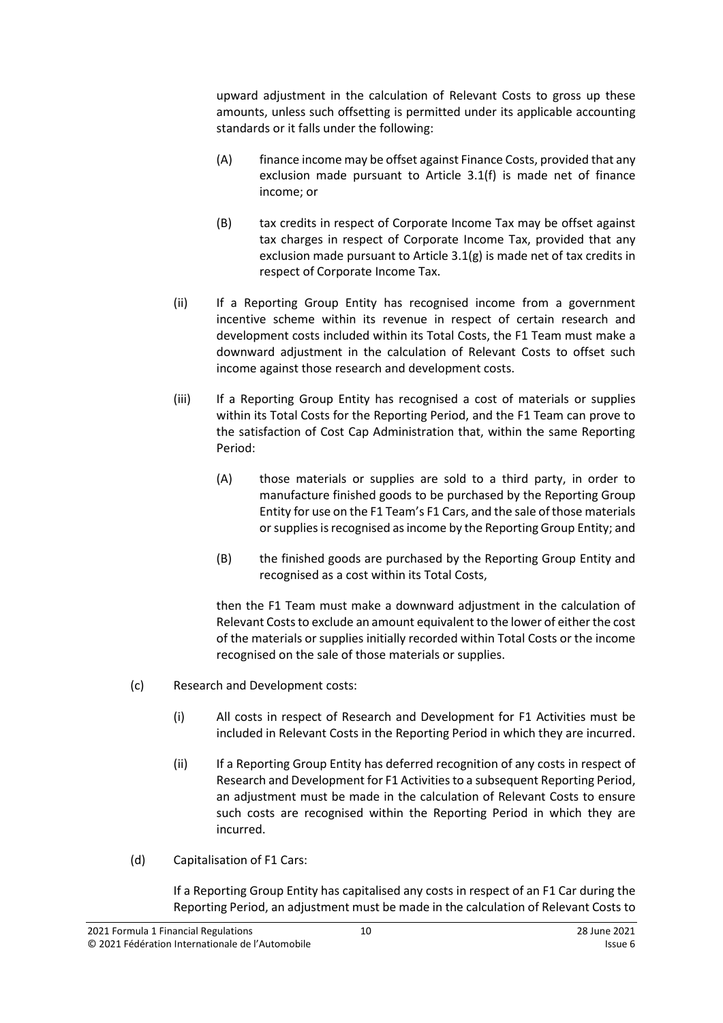upward adjustment in the calculation of Relevant Costs to gross up these amounts, unless such offsetting is permitted under its applicable accounting standards or it falls under the following:

- (A) finance income may be offset against Finance Costs, provided that any exclusion made pursuant to Article [3.1\(f\)](#page-5-2) is made net of finance income; or
- (B) tax credits in respect of Corporate Income Tax may be offset against tax charges in respect of Corporate Income Tax, provided that any exclusion made pursuant to Article [3.1\(g\)](#page-5-3) is made net of tax credits in respect of Corporate Income Tax.
- (ii) If a Reporting Group Entity has recognised income from a government incentive scheme within its revenue in respect of certain research and development costs included within its Total Costs, the F1 Team must make a downward adjustment in the calculation of Relevant Costs to offset such income against those research and development costs.
- (iii) If a Reporting Group Entity has recognised a cost of materials or supplies within its Total Costs for the Reporting Period, and the F1 Team can prove to the satisfaction of Cost Cap Administration that, within the same Reporting Period:
	- (A) those materials or supplies are sold to a third party, in order to manufacture finished goods to be purchased by the Reporting Group Entity for use on the F1 Team's F1 Cars, and the sale of those materials or supplies is recognised as income by the Reporting Group Entity; and
	- (B) the finished goods are purchased by the Reporting Group Entity and recognised as a cost within its Total Costs,

then the F1 Team must make a downward adjustment in the calculation of Relevant Costs to exclude an amount equivalent to the lower of either the cost of the materials or supplies initially recorded within Total Costs or the income recognised on the sale of those materials or supplies.

- (c) Research and Development costs:
	- (i) All costs in respect of Research and Development for F1 Activities must be included in Relevant Costs in the Reporting Period in which they are incurred.
	- (ii) If a Reporting Group Entity has deferred recognition of any costs in respect of Research and Development for F1 Activities to a subsequent Reporting Period, an adjustment must be made in the calculation of Relevant Costs to ensure such costs are recognised within the Reporting Period in which they are incurred.
- (d) Capitalisation of F1 Cars:

If a Reporting Group Entity has capitalised any costs in respect of an F1 Car during the Reporting Period, an adjustment must be made in the calculation of Relevant Costs to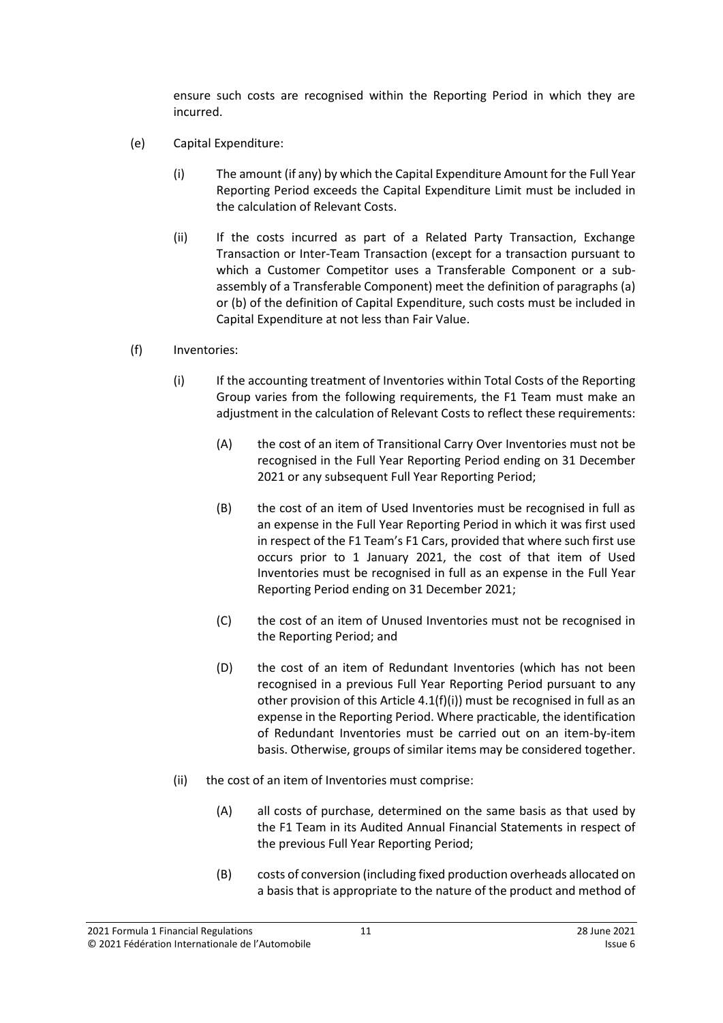ensure such costs are recognised within the Reporting Period in which they are incurred.

- <span id="page-10-0"></span>(e) Capital Expenditure:
	- (i) The amount (if any) by which the Capital Expenditure Amount for the Full Year Reporting Period exceeds the Capital Expenditure Limit must be included in the calculation of Relevant Costs.
	- (ii) If the costs incurred as part of a Related Party Transaction, Exchange Transaction or Inter-Team Transaction (except for a transaction pursuant to which a Customer Competitor uses a Transferable Component or a subassembly of a Transferable Component) meet the definition of paragraphs (a) or (b) of the definition of Capital Expenditure, such costs must be included in Capital Expenditure at not less than Fair Value.
- (f) Inventories:
	- (i) If the accounting treatment of Inventories within Total Costs of the Reporting Group varies from the following requirements, the F1 Team must make an adjustment in the calculation of Relevant Costs to reflect these requirements:
		- (A) the cost of an item of Transitional Carry Over Inventories must not be recognised in the Full Year Reporting Period ending on 31 December 2021 or any subsequent Full Year Reporting Period;
		- (B) the cost of an item of Used Inventories must be recognised in full as an expense in the Full Year Reporting Period in which it was first used in respect of the F1 Team's F1 Cars, provided that where such first use occurs prior to 1 January 2021, the cost of that item of Used Inventories must be recognised in full as an expense in the Full Year Reporting Period ending on 31 December 2021;
		- (C) the cost of an item of Unused Inventories must not be recognised in the Reporting Period; and
		- (D) the cost of an item of Redundant Inventories (which has not been recognised in a previous Full Year Reporting Period pursuant to any other provision of this Article 4.1(f)(i)) must be recognised in full as an expense in the Reporting Period. Where practicable, the identification of Redundant Inventories must be carried out on an item-by-item basis. Otherwise, groups of similar items may be considered together.
	- (ii) the cost of an item of Inventories must comprise:
		- (A) all costs of purchase, determined on the same basis as that used by the F1 Team in its Audited Annual Financial Statements in respect of the previous Full Year Reporting Period;
		- (B) costs of conversion (including fixed production overheads allocated on a basis that is appropriate to the nature of the product and method of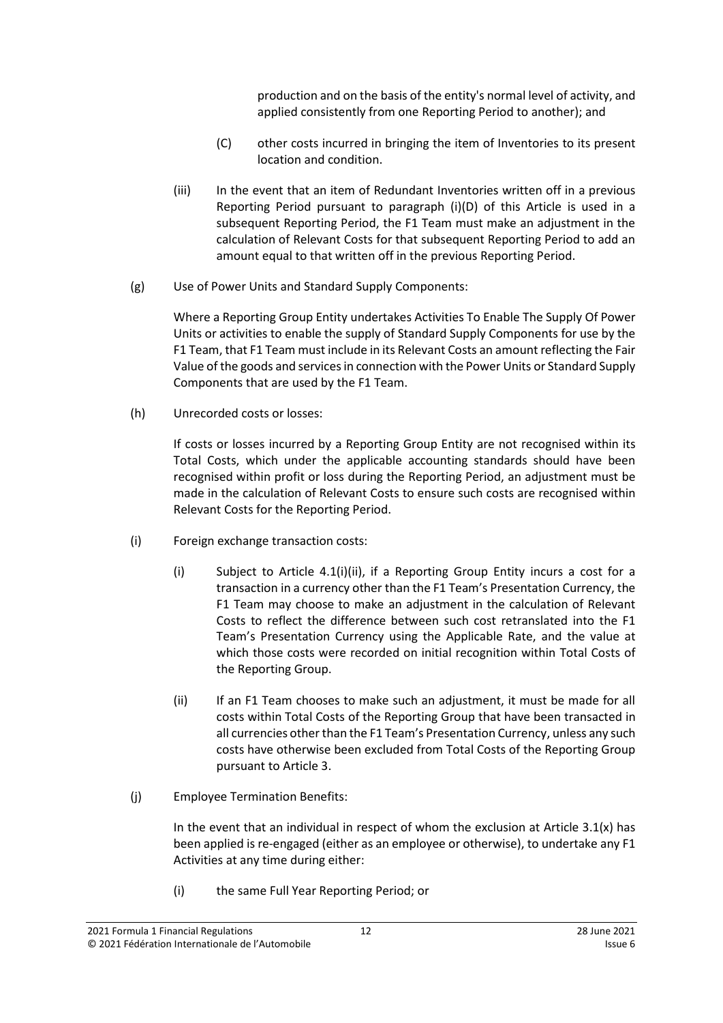production and on the basis of the entity's normal level of activity, and applied consistently from one Reporting Period to another); and

- (C) other costs incurred in bringing the item of Inventories to its present location and condition.
- (iii) In the event that an item of Redundant Inventories written off in a previous Reporting Period pursuant to paragraph (i)(D) of this Article is used in a subsequent Reporting Period, the F1 Team must make an adjustment in the calculation of Relevant Costs for that subsequent Reporting Period to add an amount equal to that written off in the previous Reporting Period.
- (g) Use of Power Units and Standard Supply Components:

Where a Reporting Group Entity undertakes Activities To Enable The Supply Of Power Units or activities to enable the supply of Standard Supply Components for use by the F1 Team, that F1 Team must include in its Relevant Costs an amount reflecting the Fair Value of the goods and servicesin connection with the Power Units or Standard Supply Components that are used by the F1 Team.

(h) Unrecorded costs or losses:

If costs or losses incurred by a Reporting Group Entity are not recognised within its Total Costs, which under the applicable accounting standards should have been recognised within profit or loss during the Reporting Period, an adjustment must be made in the calculation of Relevant Costs to ensure such costs are recognised within Relevant Costs for the Reporting Period.

- (i) Foreign exchange transaction costs:
	- (i) Subject to Article [4.1\(i\)\(ii\),](#page-11-0) if a Reporting Group Entity incurs a cost for a transaction in a currency other than the F1 Team's Presentation Currency, the F1 Team may choose to make an adjustment in the calculation of Relevant Costs to reflect the difference between such cost retranslated into the F1 Team's Presentation Currency using the Applicable Rate, and the value at which those costs were recorded on initial recognition within Total Costs of the Reporting Group.
	- (ii) If an F1 Team chooses to make such an adjustment, it must be made for all costs within Total Costs of the Reporting Group that have been transacted in all currencies other than the F1 Team's Presentation Currency, unless any such costs have otherwise been excluded from Total Costs of the Reporting Group pursuant to Article 3.
- <span id="page-11-0"></span>(j) Employee Termination Benefits:

In the event that an individual in respect of whom the exclusion at Article  $3.1(x)$  has been applied is re-engaged (either as an employee or otherwise), to undertake any F1 Activities at any time during either:

(i) the same Full Year Reporting Period; or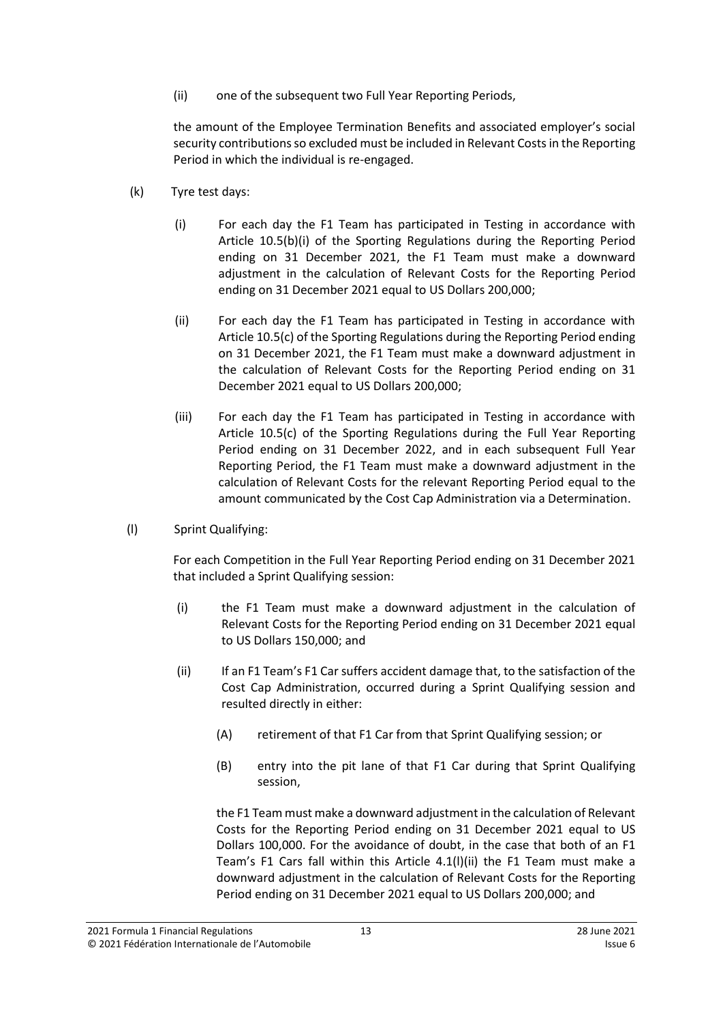(ii) one of the subsequent two Full Year Reporting Periods,

the amount of the Employee Termination Benefits and associated employer's social security contributions so excluded must be included in Relevant Costs in the Reporting Period in which the individual is re-engaged.

- (k) Tyre test days:
	- (i) For each day the F1 Team has participated in Testing in accordance with Article 10.5(b)(i) of the Sporting Regulations during the Reporting Period ending on 31 December 2021, the F1 Team must make a downward adjustment in the calculation of Relevant Costs for the Reporting Period ending on 31 December 2021 equal to US Dollars 200,000;
	- (ii) For each day the F1 Team has participated in Testing in accordance with Article 10.5(c) of the Sporting Regulations during the Reporting Period ending on 31 December 2021, the F1 Team must make a downward adjustment in the calculation of Relevant Costs for the Reporting Period ending on 31 December 2021 equal to US Dollars 200,000;
	- (iii) For each day the F1 Team has participated in Testing in accordance with Article 10.5(c) of the Sporting Regulations during the Full Year Reporting Period ending on 31 December 2022, and in each subsequent Full Year Reporting Period, the F1 Team must make a downward adjustment in the calculation of Relevant Costs for the relevant Reporting Period equal to the amount communicated by the Cost Cap Administration via a Determination.
- (l) Sprint Qualifying:

For each Competition in the Full Year Reporting Period ending on 31 December 2021 that included a Sprint Qualifying session:

- (i) the F1 Team must make a downward adjustment in the calculation of Relevant Costs for the Reporting Period ending on 31 December 2021 equal to US Dollars 150,000; and
- (ii) If an F1 Team's F1 Car suffers accident damage that, to the satisfaction of the Cost Cap Administration, occurred during a Sprint Qualifying session and resulted directly in either:
	- (A) retirement of that F1 Car from that Sprint Qualifying session; or
	- (B) entry into the pit lane of that F1 Car during that Sprint Qualifying session,

the F1 Team must make a downward adjustment in the calculation of Relevant Costs for the Reporting Period ending on 31 December 2021 equal to US Dollars 100,000. For the avoidance of doubt, in the case that both of an F1 Team's F1 Cars fall within this Article 4.1(l)(ii) the F1 Team must make a downward adjustment in the calculation of Relevant Costs for the Reporting Period ending on 31 December 2021 equal to US Dollars 200,000; and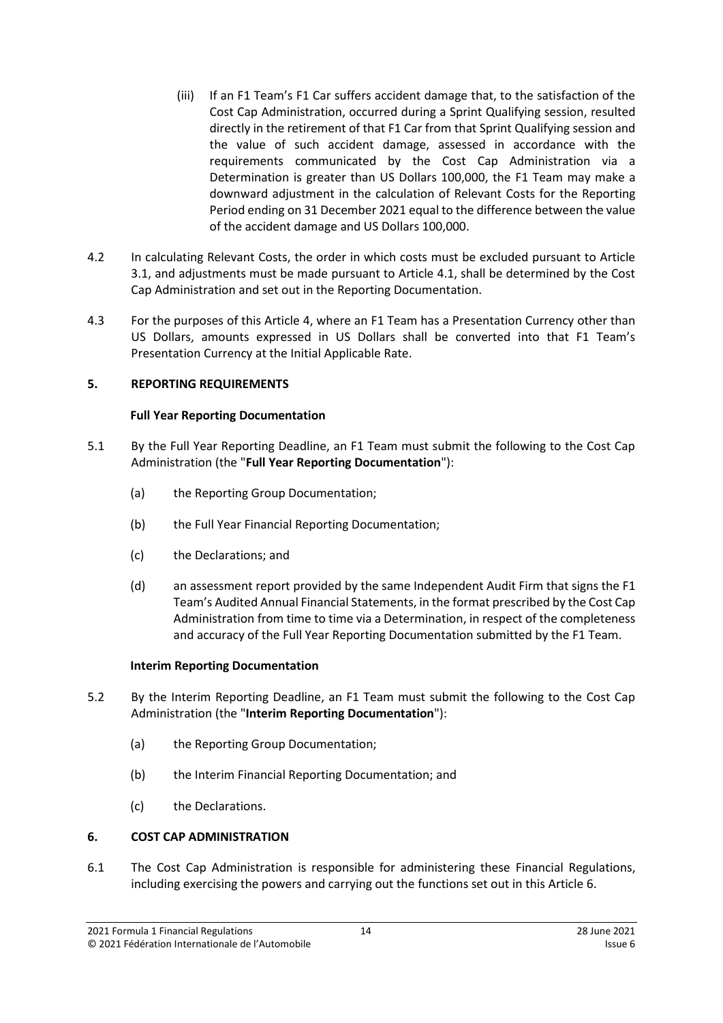- (iii) If an F1 Team's F1 Car suffers accident damage that, to the satisfaction of the Cost Cap Administration, occurred during a Sprint Qualifying session, resulted directly in the retirement of that F1 Car from that Sprint Qualifying session and the value of such accident damage, assessed in accordance with the requirements communicated by the Cost Cap Administration via a Determination is greater than US Dollars 100,000, the F1 Team may make a downward adjustment in the calculation of Relevant Costs for the Reporting Period ending on 31 December 2021 equal to the difference between the value of the accident damage and US Dollars 100,000.
- 4.2 In calculating Relevant Costs, the order in which costs must be excluded pursuant to Article 3.1, and adjustments must be made pursuant to Article 4.1, shall be determined by the Cost Cap Administration and set out in the Reporting Documentation.
- 4.3 For the purposes of this Article 4, where an F1 Team has a Presentation Currency other than US Dollars, amounts expressed in US Dollars shall be converted into that F1 Team's Presentation Currency at the Initial Applicable Rate.

## <span id="page-13-0"></span>**5. REPORTING REQUIREMENTS**

### **Full Year Reporting Documentation**

- <span id="page-13-2"></span>5.1 By the Full Year Reporting Deadline, an F1 Team must submit the following to the Cost Cap Administration (the "**Full Year Reporting Documentation**"):
	- (a) the Reporting Group Documentation;
	- (b) the Full Year Financial Reporting Documentation;
	- (c) the Declarations; and
	- (d) an assessment report provided by the same Independent Audit Firm that signs the F1 Team's Audited Annual Financial Statements, in the format prescribed by the Cost Cap Administration from time to time via a Determination, in respect of the completeness and accuracy of the Full Year Reporting Documentation submitted by the F1 Team.

#### **Interim Reporting Documentation**

- <span id="page-13-3"></span>5.2 By the Interim Reporting Deadline, an F1 Team must submit the following to the Cost Cap Administration (the "**Interim Reporting Documentation**"):
	- (a) the Reporting Group Documentation;
	- (b) the Interim Financial Reporting Documentation; and
	- (c) the Declarations.

## <span id="page-13-1"></span>**6. COST CAP ADMINISTRATION**

6.1 The Cost Cap Administration is responsible for administering these Financial Regulations, including exercising the powers and carrying out the functions set out in this Article [6.](#page-13-1)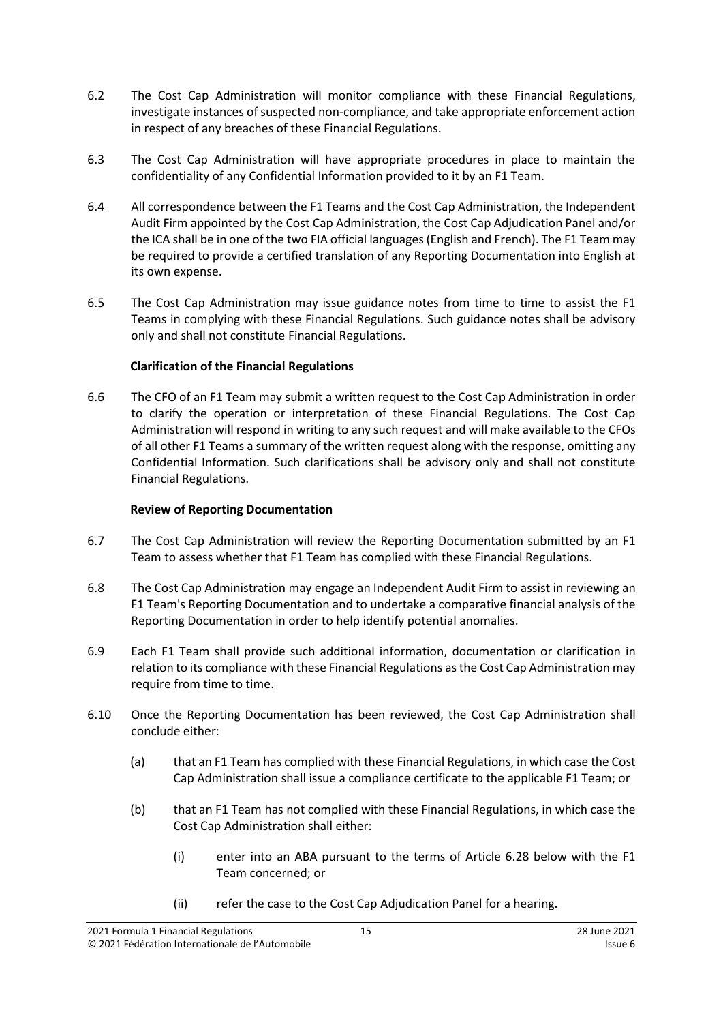- 6.2 The Cost Cap Administration will monitor compliance with these Financial Regulations, investigate instances of suspected non-compliance, and take appropriate enforcement action in respect of any breaches of these Financial Regulations.
- 6.3 The Cost Cap Administration will have appropriate procedures in place to maintain the confidentiality of any Confidential Information provided to it by an F1 Team.
- 6.4 All correspondence between the F1 Teams and the Cost Cap Administration, the Independent Audit Firm appointed by the Cost Cap Administration, the Cost Cap Adjudication Panel and/or the ICA shall be in one of the two FIA official languages (English and French). The F1 Team may be required to provide a certified translation of any Reporting Documentation into English at its own expense.
- 6.5 The Cost Cap Administration may issue guidance notes from time to time to assist the F1 Teams in complying with these Financial Regulations. Such guidance notes shall be advisory only and shall not constitute Financial Regulations.

## **Clarification of the Financial Regulations**

6.6 The CFO of an F1 Team may submit a written request to the Cost Cap Administration in order to clarify the operation or interpretation of these Financial Regulations. The Cost Cap Administration will respond in writing to any such request and will make available to the CFOs of all other F1 Teams a summary of the written request along with the response, omitting any Confidential Information. Such clarifications shall be advisory only and shall not constitute Financial Regulations.

## **Review of Reporting Documentation**

- 6.7 The Cost Cap Administration will review the Reporting Documentation submitted by an F1 Team to assess whether that F1 Team has complied with these Financial Regulations.
- 6.8 The Cost Cap Administration may engage an Independent Audit Firm to assist in reviewing an F1 Team's Reporting Documentation and to undertake a comparative financial analysis of the Reporting Documentation in order to help identify potential anomalies.
- 6.9 Each F1 Team shall provide such additional information, documentation or clarification in relation to its compliance with these Financial Regulations as the Cost Cap Administration may require from time to time.
- <span id="page-14-1"></span><span id="page-14-0"></span>6.10 Once the Reporting Documentation has been reviewed, the Cost Cap Administration shall conclude either:
	- (a) that an F1 Team has complied with these Financial Regulations, in which case the Cost Cap Administration shall issue a compliance certificate to the applicable F1 Team; or
	- (b) that an F1 Team has not complied with these Financial Regulations, in which case the Cost Cap Administration shall either:
		- (i) enter into an ABA pursuant to the terms of Article [6.28](#page-18-0) below with the F1 Team concerned; or
		- (ii) refer the case to the Cost Cap Adjudication Panel for a hearing.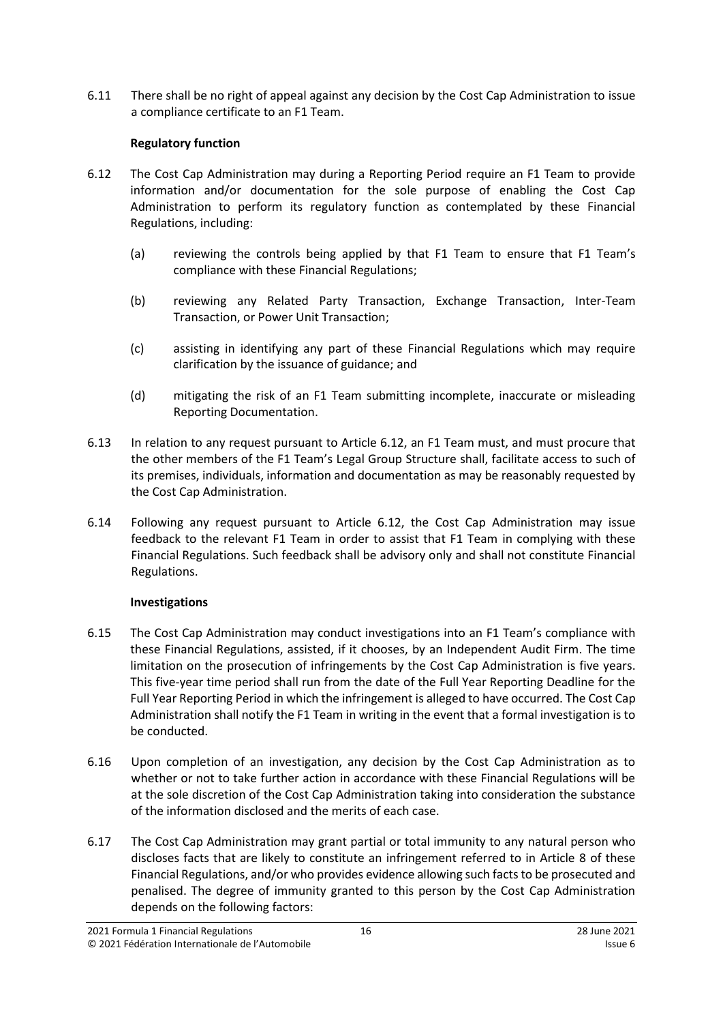6.11 There shall be no right of appeal against any decision by the Cost Cap Administration to issue a compliance certificate to an F1 Team.

## **Regulatory function**

- <span id="page-15-0"></span>6.12 The Cost Cap Administration may during a Reporting Period require an F1 Team to provide information and/or documentation for the sole purpose of enabling the Cost Cap Administration to perform its regulatory function as contemplated by these Financial Regulations, including:
	- (a) reviewing the controls being applied by that F1 Team to ensure that F1 Team's compliance with these Financial Regulations;
	- (b) reviewing any Related Party Transaction, Exchange Transaction, Inter-Team Transaction, or Power Unit Transaction;
	- (c) assisting in identifying any part of these Financial Regulations which may require clarification by the issuance of guidance; and
	- (d) mitigating the risk of an F1 Team submitting incomplete, inaccurate or misleading Reporting Documentation.
- 6.13 In relation to any request pursuant to Article [6.12,](#page-15-0) an F1 Team must, and must procure that the other members of the F1 Team's Legal Group Structure shall, facilitate access to such of its premises, individuals, information and documentation as may be reasonably requested by the Cost Cap Administration.
- 6.14 Following any request pursuant to Article [6.12,](#page-15-0) the Cost Cap Administration may issue feedback to the relevant F1 Team in order to assist that F1 Team in complying with these Financial Regulations. Such feedback shall be advisory only and shall not constitute Financial Regulations.

## **Investigations**

- 6.15 The Cost Cap Administration may conduct investigations into an F1 Team's compliance with these Financial Regulations, assisted, if it chooses, by an Independent Audit Firm. The time limitation on the prosecution of infringements by the Cost Cap Administration is five years. This five-year time period shall run from the date of the Full Year Reporting Deadline for the Full Year Reporting Period in which the infringement is alleged to have occurred. The Cost Cap Administration shall notify the F1 Team in writing in the event that a formal investigation is to be conducted.
- 6.16 Upon completion of an investigation, any decision by the Cost Cap Administration as to whether or not to take further action in accordance with these Financial Regulations will be at the sole discretion of the Cost Cap Administration taking into consideration the substance of the information disclosed and the merits of each case.
- 6.17 The Cost Cap Administration may grant partial or total immunity to any natural person who discloses facts that are likely to constitute an infringement referred to in Article 8 of these Financial Regulations, and/or who provides evidence allowing such facts to be prosecuted and penalised. The degree of immunity granted to this person by the Cost Cap Administration depends on the following factors: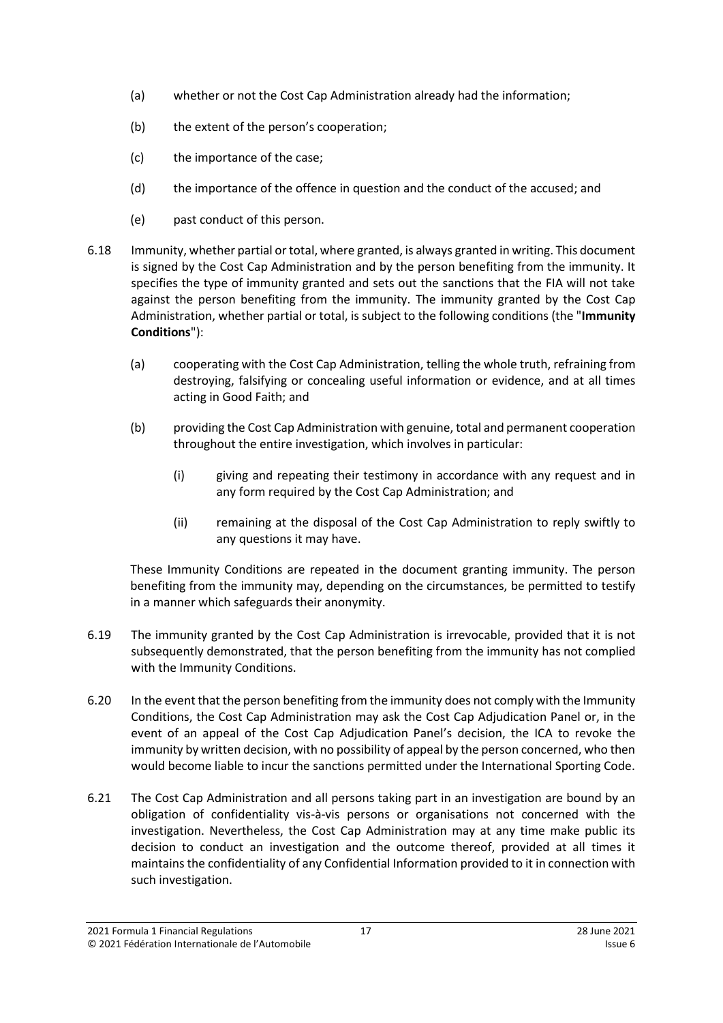- (a) whether or not the Cost Cap Administration already had the information;
- (b) the extent of the person's cooperation;
- (c) the importance of the case;
- (d) the importance of the offence in question and the conduct of the accused; and
- <span id="page-16-0"></span>(e) past conduct of this person.
- 6.18 Immunity, whether partial or total, where granted, is always granted in writing. This document is signed by the Cost Cap Administration and by the person benefiting from the immunity. It specifies the type of immunity granted and sets out the sanctions that the FIA will not take against the person benefiting from the immunity. The immunity granted by the Cost Cap Administration, whether partial or total, is subject to the following conditions (the "**Immunity Conditions**"):
	- (a) cooperating with the Cost Cap Administration, telling the whole truth, refraining from destroying, falsifying or concealing useful information or evidence, and at all times acting in Good Faith; and
	- (b) providing the Cost Cap Administration with genuine, total and permanent cooperation throughout the entire investigation, which involves in particular:
		- (i) giving and repeating their testimony in accordance with any request and in any form required by the Cost Cap Administration; and
		- (ii) remaining at the disposal of the Cost Cap Administration to reply swiftly to any questions it may have.

These Immunity Conditions are repeated in the document granting immunity. The person benefiting from the immunity may, depending on the circumstances, be permitted to testify in a manner which safeguards their anonymity.

- 6.19 The immunity granted by the Cost Cap Administration is irrevocable, provided that it is not subsequently demonstrated, that the person benefiting from the immunity has not complied with the Immunity Conditions.
- 6.20 In the event that the person benefiting from the immunity does not comply with the Immunity Conditions, the Cost Cap Administration may ask the Cost Cap Adjudication Panel or, in the event of an appeal of the Cost Cap Adjudication Panel's decision, the ICA to revoke the immunity by written decision, with no possibility of appeal by the person concerned, who then would become liable to incur the sanctions permitted under the International Sporting Code.
- 6.21 The Cost Cap Administration and all persons taking part in an investigation are bound by an obligation of confidentiality vis-à-vis persons or organisations not concerned with the investigation. Nevertheless, the Cost Cap Administration may at any time make public its decision to conduct an investigation and the outcome thereof, provided at all times it maintains the confidentiality of any Confidential Information provided to it in connection with such investigation.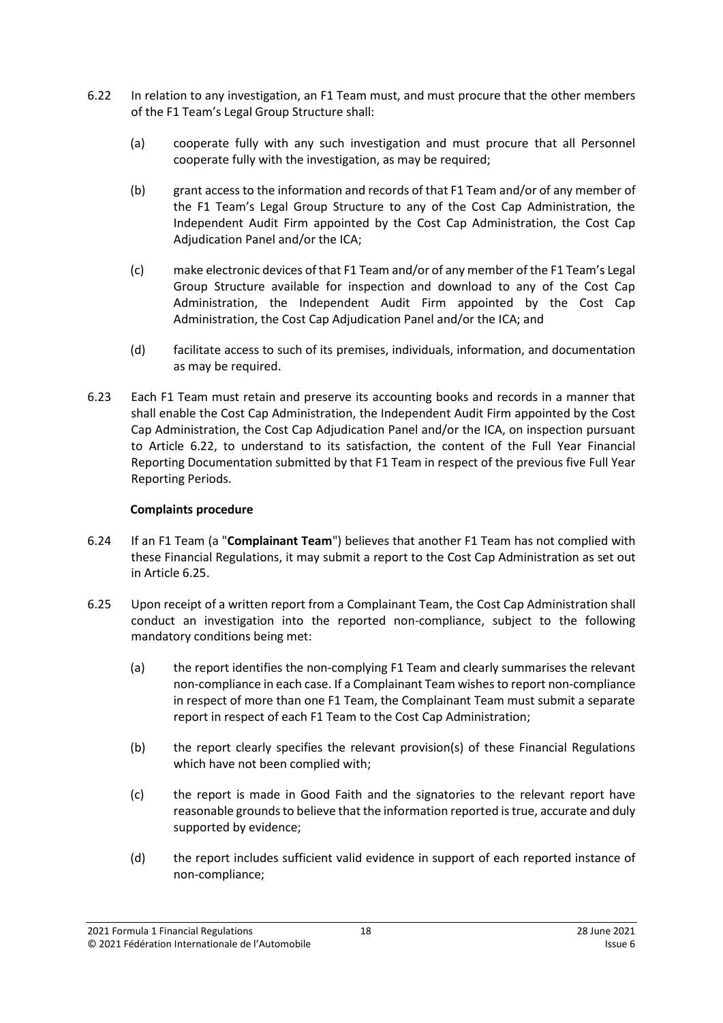- <span id="page-17-0"></span>6.22 In relation to any investigation, an F1 Team must, and must procure that the other members of the F1 Team's Legal Group Structure shall:
	- (a) cooperate fully with any such investigation and must procure that all Personnel cooperate fully with the investigation, as may be required;
	- (b) grant access to the information and records of that F1 Team and/or of any member of the F1 Team's Legal Group Structure to any of the Cost Cap Administration, the Independent Audit Firm appointed by the Cost Cap Administration, the Cost Cap Adjudication Panel and/or the ICA;
	- (c) make electronic devices of that F1 Team and/or of any member of the F1 Team's Legal Group Structure available for inspection and download to any of the Cost Cap Administration, the Independent Audit Firm appointed by the Cost Cap Administration, the Cost Cap Adjudication Panel and/or the ICA; and
	- (d) facilitate access to such of its premises, individuals, information, and documentation as may be required.
- 6.23 Each F1 Team must retain and preserve its accounting books and records in a manner that shall enable the Cost Cap Administration, the Independent Audit Firm appointed by the Cost Cap Administration, the Cost Cap Adjudication Panel and/or the ICA, on inspection pursuant to Article [6.22,](#page-17-0) to understand to its satisfaction, the content of the Full Year Financial Reporting Documentation submitted by that F1 Team in respect of the previous five Full Year Reporting Periods.

## **Complaints procedure**

- <span id="page-17-2"></span>6.24 If an F1 Team (a "**Complainant Team**") believes that another F1 Team has not complied with these Financial Regulations, it may submit a report to the Cost Cap Administration as set out in Article [6.25.](#page-17-1)
- <span id="page-17-1"></span>6.25 Upon receipt of a written report from a Complainant Team, the Cost Cap Administration shall conduct an investigation into the reported non-compliance, subject to the following mandatory conditions being met:
	- (a) the report identifies the non-complying F1 Team and clearly summarises the relevant non-compliance in each case. If a Complainant Team wishes to report non-compliance in respect of more than one F1 Team, the Complainant Team must submit a separate report in respect of each F1 Team to the Cost Cap Administration;
	- (b) the report clearly specifies the relevant provision(s) of these Financial Regulations which have not been complied with;
	- (c) the report is made in Good Faith and the signatories to the relevant report have reasonable grounds to believe that the information reported is true, accurate and duly supported by evidence;
	- (d) the report includes sufficient valid evidence in support of each reported instance of non-compliance;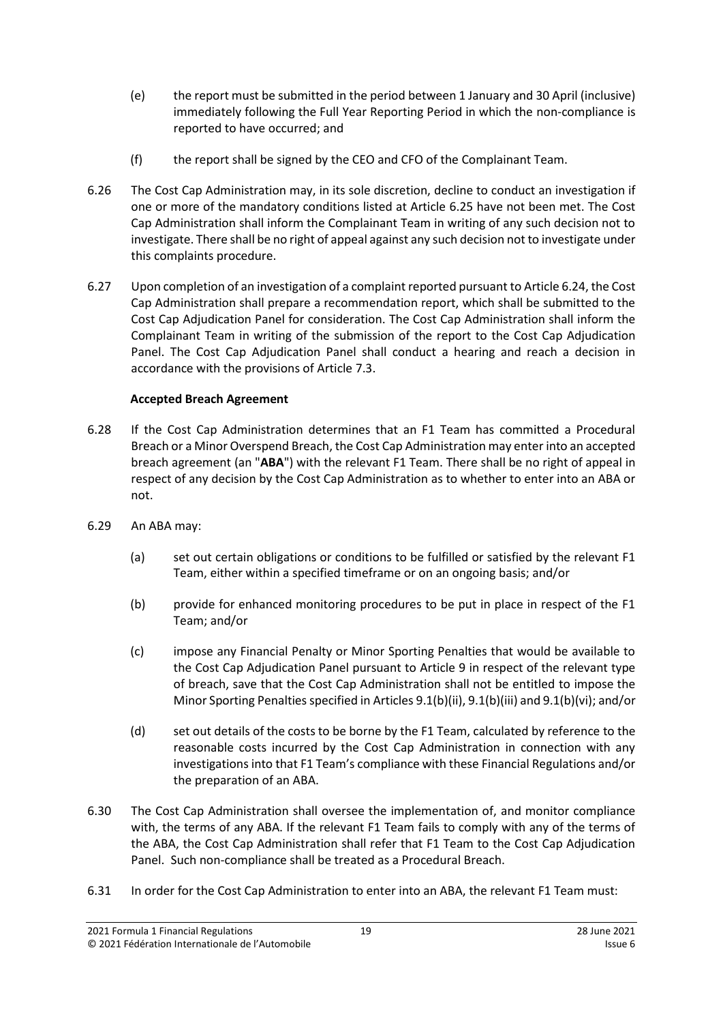- (e) the report must be submitted in the period between 1 January and 30 April (inclusive) immediately following the Full Year Reporting Period in which the non-compliance is reported to have occurred; and
- (f) the report shall be signed by the CEO and CFO of the Complainant Team.
- 6.26 The Cost Cap Administration may, in its sole discretion, decline to conduct an investigation if one or more of the mandatory conditions listed at Article [6.25](#page-17-1) have not been met. The Cost Cap Administration shall inform the Complainant Team in writing of any such decision not to investigate. There shall be no right of appeal against any such decision not to investigate under this complaints procedure.
- 6.27 Upon completion of an investigation of a complaint reported pursuant to Articl[e 6.24,](#page-17-2) the Cost Cap Administration shall prepare a recommendation report, which shall be submitted to the Cost Cap Adjudication Panel for consideration. The Cost Cap Administration shall inform the Complainant Team in writing of the submission of the report to the Cost Cap Adjudication Panel. The Cost Cap Adjudication Panel shall conduct a hearing and reach a decision in accordance with the provisions of Articl[e 7.3.](#page-19-1)

## **Accepted Breach Agreement**

- <span id="page-18-0"></span>6.28 If the Cost Cap Administration determines that an F1 Team has committed a Procedural Breach or a Minor Overspend Breach, the Cost Cap Administration may enter into an accepted breach agreement (an "**ABA**") with the relevant F1 Team. There shall be no right of appeal in respect of any decision by the Cost Cap Administration as to whether to enter into an ABA or not.
- 6.29 An ABA may:
	- (a) set out certain obligations or conditions to be fulfilled or satisfied by the relevant F1 Team, either within a specified timeframe or on an ongoing basis; and/or
	- (b) provide for enhanced monitoring procedures to be put in place in respect of the F1 Team; and/or
	- (c) impose any Financial Penalty or Minor Sporting Penalties that would be available to the Cost Cap Adjudication Panel pursuant to Article [9](#page-25-0) in respect of the relevant type of breach, save that the Cost Cap Administration shall not be entitled to impose the Minor Sporting Penalties specified in Article[s 9.1\(b\)\(ii\),](#page-26-0) [9.1\(b\)\(iii\)](#page-26-1) an[d 9.1\(b\)\(vi\);](#page-26-2) and/or
	- (d) set out details of the costs to be borne by the F1 Team, calculated by reference to the reasonable costs incurred by the Cost Cap Administration in connection with any investigations into that F1 Team's compliance with these Financial Regulations and/or the preparation of an ABA.
- <span id="page-18-1"></span>6.30 The Cost Cap Administration shall oversee the implementation of, and monitor compliance with, the terms of any ABA. If the relevant F1 Team fails to comply with any of the terms of the ABA, the Cost Cap Administration shall refer that F1 Team to the Cost Cap Adjudication Panel. Such non-compliance shall be treated as a Procedural Breach.
- 6.31 In order for the Cost Cap Administration to enter into an ABA, the relevant F1 Team must: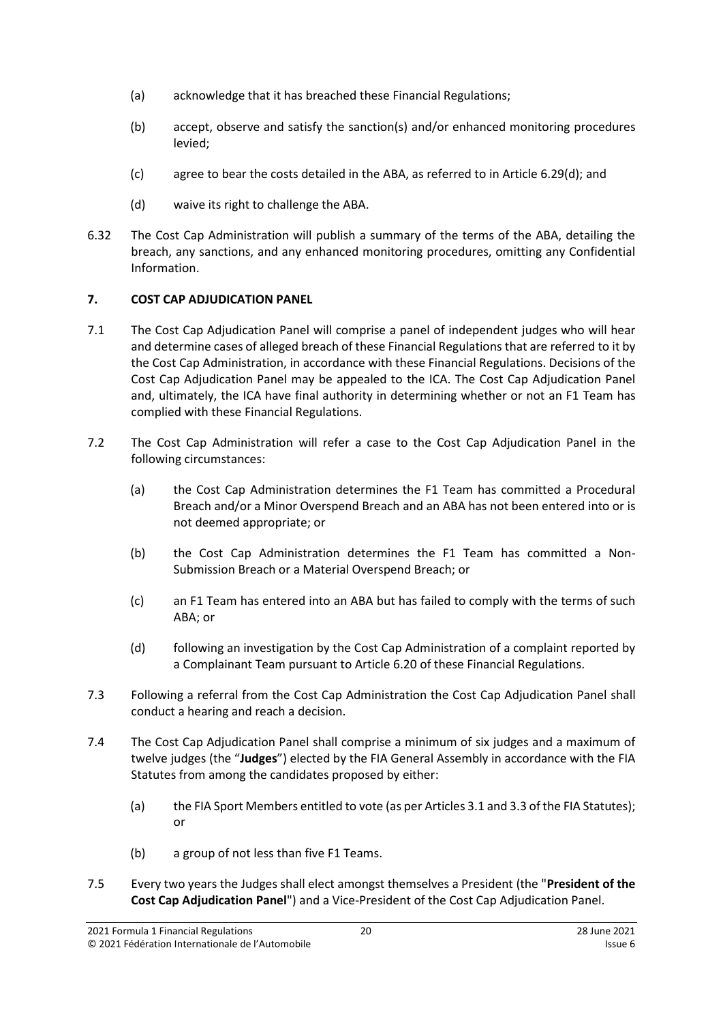- (a) acknowledge that it has breached these Financial Regulations;
- (b) accept, observe and satisfy the sanction(s) and/or enhanced monitoring procedures levied;
- (c) agree to bear the costs detailed in the ABA, as referred to in Article [6.29\(d\);](#page-18-1) and
- (d) waive its right to challenge the ABA.
- 6.32 The Cost Cap Administration will publish a summary of the terms of the ABA, detailing the breach, any sanctions, and any enhanced monitoring procedures, omitting any Confidential Information.

## <span id="page-19-0"></span>**7. COST CAP ADJUDICATION PANEL**

- 7.1 The Cost Cap Adjudication Panel will comprise a panel of independent judges who will hear and determine cases of alleged breach of these Financial Regulations that are referred to it by the Cost Cap Administration, in accordance with these Financial Regulations. Decisions of the Cost Cap Adjudication Panel may be appealed to the ICA. The Cost Cap Adjudication Panel and, ultimately, the ICA have final authority in determining whether or not an F1 Team has complied with these Financial Regulations.
- 7.2 The Cost Cap Administration will refer a case to the Cost Cap Adjudication Panel in the following circumstances:
	- (a) the Cost Cap Administration determines the F1 Team has committed a Procedural Breach and/or a Minor Overspend Breach and an ABA has not been entered into or is not deemed appropriate; or
	- (b) the Cost Cap Administration determines the F1 Team has committed a Non-Submission Breach or a Material Overspend Breach; or
	- (c) an F1 Team has entered into an ABA but has failed to comply with the terms of such ABA; or
	- (d) following an investigation by the Cost Cap Administration of a complaint reported by a Complainant Team pursuant to Article 6.20 of these Financial Regulations.
- <span id="page-19-1"></span>7.3 Following a referral from the Cost Cap Administration the Cost Cap Adjudication Panel shall conduct a hearing and reach a decision.
- <span id="page-19-2"></span>7.4 The Cost Cap Adjudication Panel shall comprise a minimum of six judges and a maximum of twelve judges (the "**Judges**") elected by the FIA General Assembly in accordance with the FIA Statutes from among the candidates proposed by either:
	- (a) the FIA Sport Members entitled to vote (as per Articles 3.1 and 3.3 of the FIA Statutes); or
	- (b) a group of not less than five F1 Teams.
- 7.5 Every two years the Judges shall elect amongst themselves a President (the "**President of the Cost Cap Adjudication Panel**") and a Vice-President of the Cost Cap Adjudication Panel.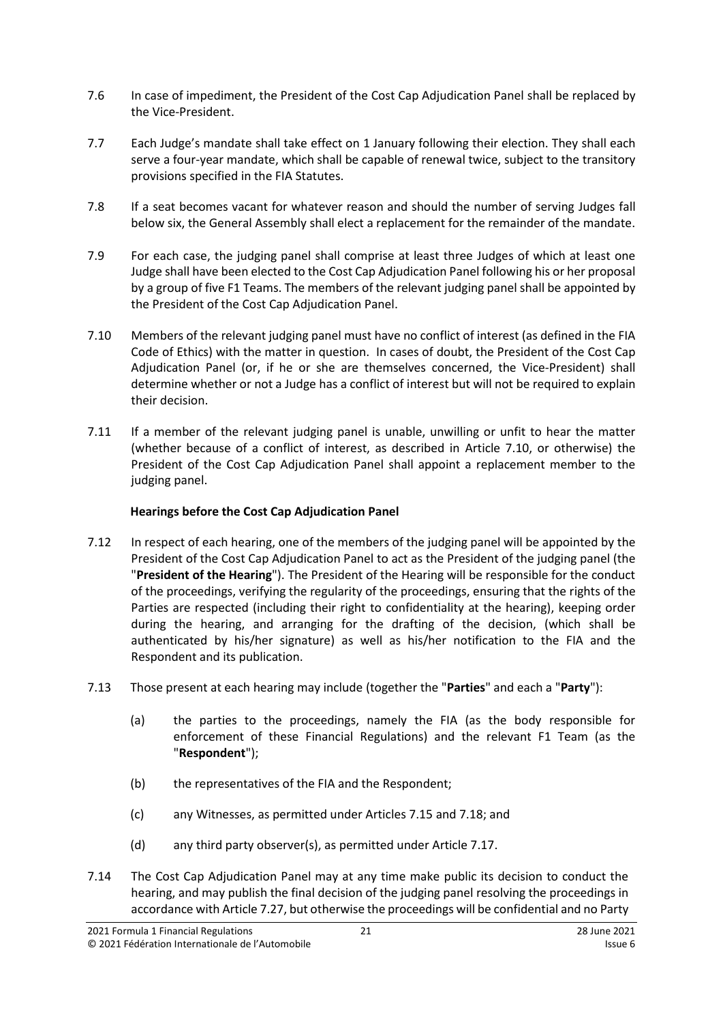- 7.6 In case of impediment, the President of the Cost Cap Adjudication Panel shall be replaced by the Vice-President.
- 7.7 Each Judge's mandate shall take effect on 1 January following their election. They shall each serve a four-year mandate, which shall be capable of renewal twice, subject to the transitory provisions specified in the FIA Statutes.
- 7.8 If a seat becomes vacant for whatever reason and should the number of serving Judges fall below six, the General Assembly shall elect a replacement for the remainder of the mandate.
- 7.9 For each case, the judging panel shall comprise at least three Judges of which at least one Judge shall have been elected to the Cost Cap Adjudication Panel following his or her proposal by a group of five F1 Teams. The members of the relevant judging panel shall be appointed by the President of the Cost Cap Adjudication Panel.
- <span id="page-20-0"></span>7.10 Members of the relevant judging panel must have no conflict of interest (as defined in the FIA Code of Ethics) with the matter in question. In cases of doubt, the President of the Cost Cap Adjudication Panel (or, if he or she are themselves concerned, the Vice‐President) shall determine whether or not a Judge has a conflict of interest but will not be required to explain their decision.
- 7.11 If a member of the relevant judging panel is unable, unwilling or unfit to hear the matter (whether because of a conflict of interest, as described in Article [7.10,](#page-20-0) or otherwise) the President of the Cost Cap Adjudication Panel shall appoint a replacement member to the judging panel.

## **Hearings before the Cost Cap Adjudication Panel**

- <span id="page-20-2"></span>7.12 In respect of each hearing, one of the members of the judging panel will be appointed by the President of the Cost Cap Adjudication Panel to act as the President of the judging panel (the "**President of the Hearing**"). The President of the Hearing will be responsible for the conduct of the proceedings, verifying the regularity of the proceedings, ensuring that the rights of the Parties are respected (including their right to confidentiality at the hearing), keeping order during the hearing, and arranging for the drafting of the decision, (which shall be authenticated by his/her signature) as well as his/her notification to the FIA and the Respondent and its publication.
- <span id="page-20-3"></span><span id="page-20-1"></span>7.13 Those present at each hearing may include (together the "**Parties**" and each a "**Party**"):
	- (a) the parties to the proceedings, namely the FIA (as the body responsible for enforcement of these Financial Regulations) and the relevant F1 Team (as the "**Respondent**");
	- (b) the representatives of the FIA and the Respondent;
	- (c) any Witnesses, as permitted under Articles [7.15](#page-21-0) and [7.18;](#page-21-1) and
	- (d) any third party observer(s), as permitted under Articl[e 7.17.](#page-21-2)
- 7.14 The Cost Cap Adjudication Panel may at any time make public its decision to conduct the hearing, and may publish the final decision of the judging panel resolving the proceedings in accordance with Article [7.27,](#page-22-1) but otherwise the proceedings will be confidential and no Party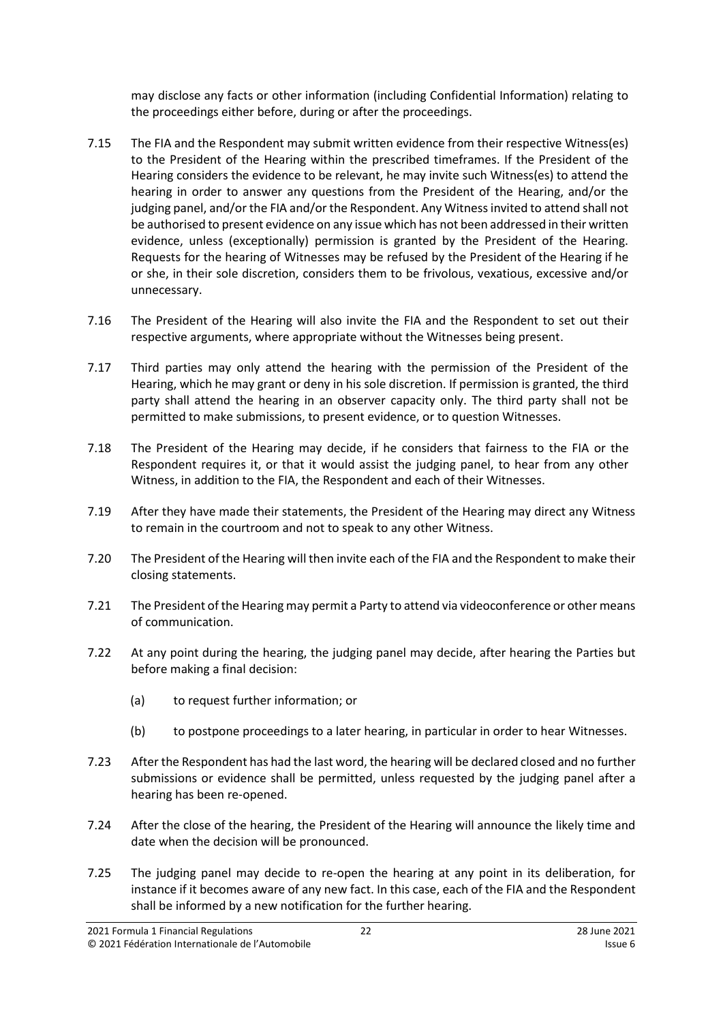may disclose any facts or other information (including Confidential Information) relating to the proceedings either before, during or after the proceedings.

- <span id="page-21-0"></span>7.15 The FIA and the Respondent may submit written evidence from their respective Witness(es) to the President of the Hearing within the prescribed timeframes. If the President of the Hearing considers the evidence to be relevant, he may invite such Witness(es) to attend the hearing in order to answer any questions from the President of the Hearing, and/or the judging panel, and/or the FIA and/or the Respondent. Any Witness invited to attend shall not be authorised to present evidence on any issue which has not been addressed in their written evidence, unless (exceptionally) permission is granted by the President of the Hearing. Requests for the hearing of Witnesses may be refused by the President of the Hearing if he or she, in their sole discretion, considers them to be frivolous, vexatious, excessive and/or unnecessary.
- 7.16 The President of the Hearing will also invite the FIA and the Respondent to set out their respective arguments, where appropriate without the Witnesses being present.
- <span id="page-21-2"></span>7.17 Third parties may only attend the hearing with the permission of the President of the Hearing, which he may grant or deny in his sole discretion. If permission is granted, the third party shall attend the hearing in an observer capacity only. The third party shall not be permitted to make submissions, to present evidence, or to question Witnesses.
- <span id="page-21-1"></span>7.18 The President of the Hearing may decide, if he considers that fairness to the FIA or the Respondent requires it, or that it would assist the judging panel, to hear from any other Witness, in addition to the FIA, the Respondent and each of their Witnesses.
- 7.19 After they have made their statements, the President of the Hearing may direct any Witness to remain in the courtroom and not to speak to any other Witness.
- 7.20 The President of the Hearing will then invite each of the FIA and the Respondent to make their closing statements.
- 7.21 The President of the Hearing may permit a Party to attend via videoconference or other means of communication.
- 7.22 At any point during the hearing, the judging panel may decide, after hearing the Parties but before making a final decision:
	- (a) to request further information; or
	- (b) to postpone proceedings to a later hearing, in particular in order to hear Witnesses.
- 7.23 After the Respondent has had the last word, the hearing will be declared closed and no further submissions or evidence shall be permitted, unless requested by the judging panel after a hearing has been re-opened.
- 7.24 After the close of the hearing, the President of the Hearing will announce the likely time and date when the decision will be pronounced.
- 7.25 The judging panel may decide to re-open the hearing at any point in its deliberation, for instance if it becomes aware of any new fact. In this case, each of the FIA and the Respondent shall be informed by a new notification for the further hearing.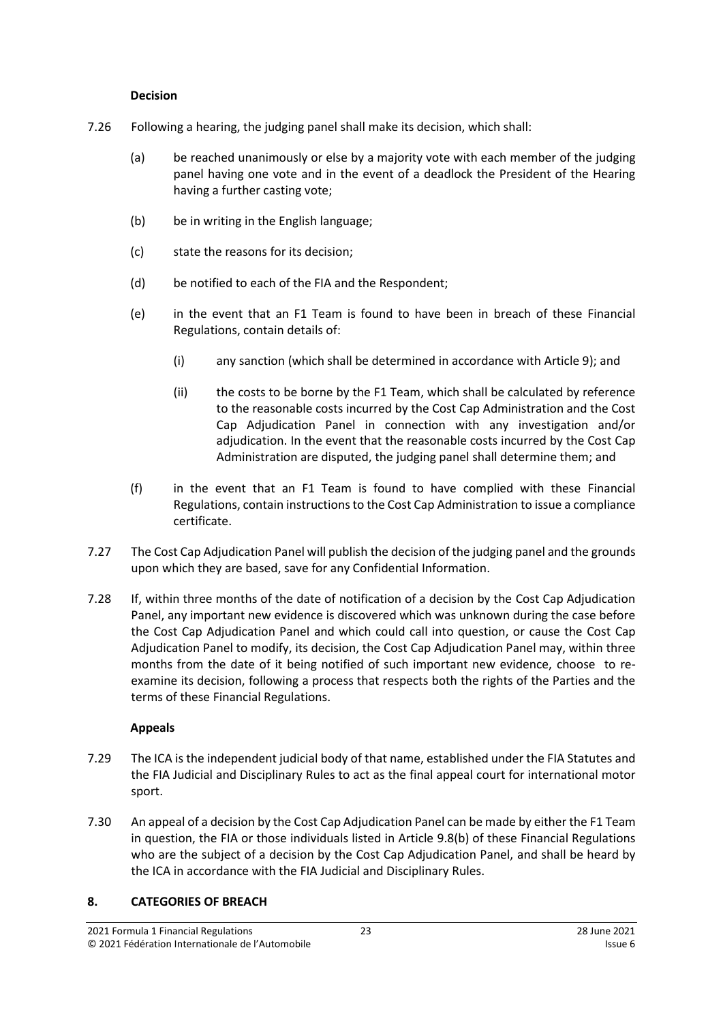#### **Decision**

- 7.26 Following a hearing, the judging panel shall make its decision, which shall:
	- (a) be reached unanimously or else by a majority vote with each member of the judging panel having one vote and in the event of a deadlock the President of the Hearing having a further casting vote;
	- (b) be in writing in the English language;
	- (c) state the reasons for its decision;
	- (d) be notified to each of the FIA and the Respondent;
	- (e) in the event that an F1 Team is found to have been in breach of these Financial Regulations, contain details of:
		- (i) any sanction (which shall be determined in accordance with Article [9\)](#page-25-0); and
		- (ii) the costs to be borne by the F1 Team, which shall be calculated by reference to the reasonable costs incurred by the Cost Cap Administration and the Cost Cap Adjudication Panel in connection with any investigation and/or adjudication. In the event that the reasonable costs incurred by the Cost Cap Administration are disputed, the judging panel shall determine them; and
	- (f) in the event that an F1 Team is found to have complied with these Financial Regulations, contain instructions to the Cost Cap Administration to issue a compliance certificate.
- <span id="page-22-1"></span>7.27 The Cost Cap Adjudication Panel will publish the decision of the judging panel and the grounds upon which they are based, save for any Confidential Information.
- 7.28 If, within three months of the date of notification of a decision by the Cost Cap Adjudication Panel, any important new evidence is discovered which was unknown during the case before the Cost Cap Adjudication Panel and which could call into question, or cause the Cost Cap Adjudication Panel to modify, its decision, the Cost Cap Adjudication Panel may, within three months from the date of it being notified of such important new evidence, choose to reexamine its decision, following a process that respects both the rights of the Parties and the terms of these Financial Regulations.

## **Appeals**

- 7.29 The ICA is the independent judicial body of that name, established under the FIA Statutes and the FIA Judicial and Disciplinary Rules to act as the final appeal court for international motor sport.
- 7.30 An appeal of a decision by the Cost Cap Adjudication Panel can be made by either the F1 Team in question, the FIA or those individuals listed in Article 9.8(b) of these Financial Regulations who are the subject of a decision by the Cost Cap Adjudication Panel, and shall be heard by the ICA in accordance with the FIA Judicial and Disciplinary Rules.

## <span id="page-22-0"></span>**8. CATEGORIES OF BREACH**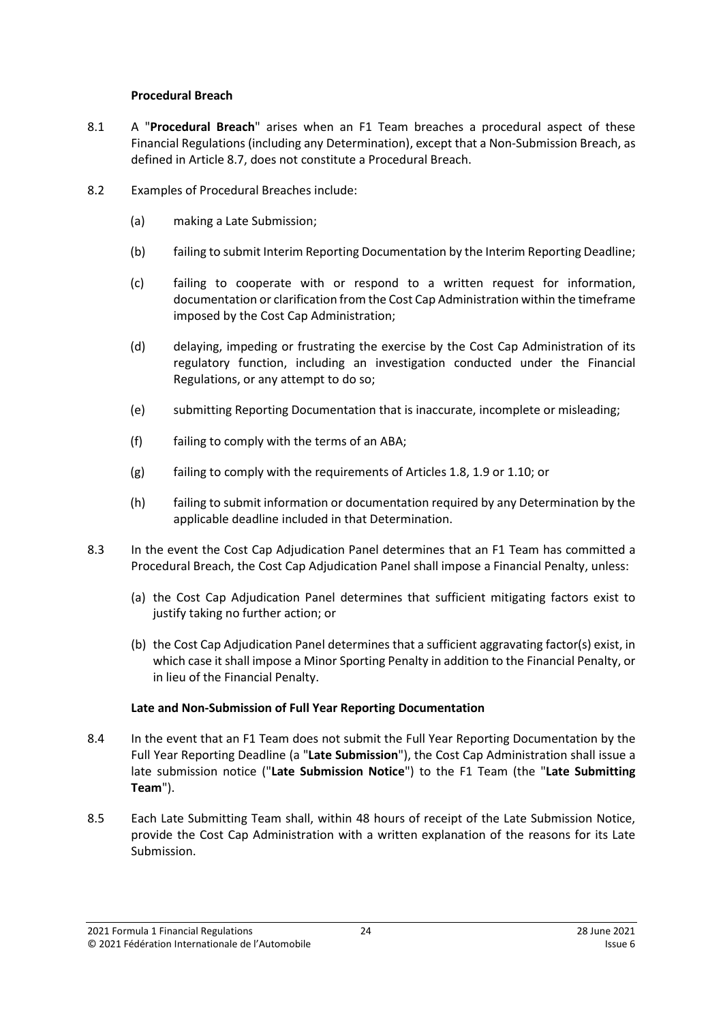#### **Procedural Breach**

- <span id="page-23-2"></span>8.1 A "**Procedural Breach**" arises when an F1 Team breaches a procedural aspect of these Financial Regulations (including any Determination), except that a Non-Submission Breach, as defined in Article [8.7,](#page-24-0) does not constitute a Procedural Breach.
- 8.2 Examples of Procedural Breaches include:
	- (a) making a Late Submission;
	- (b) failing to submit Interim Reporting Documentation by the Interim Reporting Deadline;
	- (c) failing to cooperate with or respond to a written request for information, documentation or clarification from the Cost Cap Administration within the timeframe imposed by the Cost Cap Administration;
	- (d) delaying, impeding or frustrating the exercise by the Cost Cap Administration of its regulatory function, including an investigation conducted under the Financial Regulations, or any attempt to do so;
	- (e) submitting Reporting Documentation that is inaccurate, incomplete or misleading;
	- (f) failing to comply with the terms of an ABA;
	- (g) failing to comply with the requirements of Articles [1.8,](#page-1-1) [1.9](#page-2-1) o[r 1.10;](#page-2-2) or
	- (h) failing to submit information or documentation required by any Determination by the applicable deadline included in that Determination.
- 8.3 In the event the Cost Cap Adjudication Panel determines that an F1 Team has committed a Procedural Breach, the Cost Cap Adjudication Panel shall impose a Financial Penalty, unless:
	- (a) the Cost Cap Adjudication Panel determines that sufficient mitigating factors exist to justify taking no further action; or
	- (b) the Cost Cap Adjudication Panel determines that a sufficient aggravating factor(s) exist, in which case it shall impose a Minor Sporting Penalty in addition to the Financial Penalty, or in lieu of the Financial Penalty.

## **Late and Non-Submission of Full Year Reporting Documentation**

- <span id="page-23-1"></span>8.4 In the event that an F1 Team does not submit the Full Year Reporting Documentation by the Full Year Reporting Deadline (a "**Late Submission**"), the Cost Cap Administration shall issue a late submission notice ("**Late Submission Notice**") to the F1 Team (the "**Late Submitting Team**").
- <span id="page-23-0"></span>8.5 Each Late Submitting Team shall, within 48 hours of receipt of the Late Submission Notice, provide the Cost Cap Administration with a written explanation of the reasons for its Late Submission.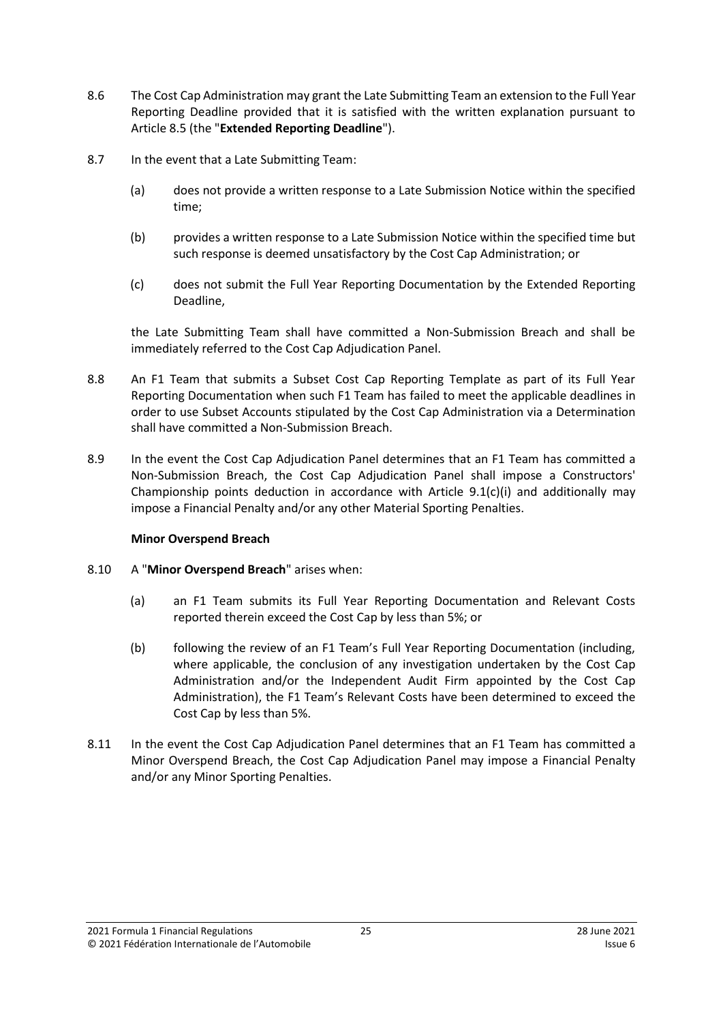- <span id="page-24-1"></span>8.6 The Cost Cap Administration may grant the Late Submitting Team an extension to the Full Year Reporting Deadline provided that it is satisfied with the written explanation pursuant to Articl[e 8.5](#page-23-0) (the "**Extended Reporting Deadline**").
- <span id="page-24-0"></span>8.7 In the event that a Late Submitting Team:
	- (a) does not provide a written response to a Late Submission Notice within the specified time;
	- (b) provides a written response to a Late Submission Notice within the specified time but such response is deemed unsatisfactory by the Cost Cap Administration; or
	- (c) does not submit the Full Year Reporting Documentation by the Extended Reporting Deadline,

the Late Submitting Team shall have committed a Non-Submission Breach and shall be immediately referred to the Cost Cap Adjudication Panel.

- <span id="page-24-3"></span>8.8 An F1 Team that submits a Subset Cost Cap Reporting Template as part of its Full Year Reporting Documentation when such F1 Team has failed to meet the applicable deadlines in order to use Subset Accounts stipulated by the Cost Cap Administration via a Determination shall have committed a Non-Submission Breach.
- 8.9 In the event the Cost Cap Adjudication Panel determines that an F1 Team has committed a Non-Submission Breach, the Cost Cap Adjudication Panel shall impose a Constructors' Championship points deduction in accordance with Article  $9.1(c)(i)$  and additionally may impose a Financial Penalty and/or any other Material Sporting Penalties.

#### **Minor Overspend Breach**

- <span id="page-24-2"></span>8.10 A "**Minor Overspend Breach**" arises when:
	- (a) an F1 Team submits its Full Year Reporting Documentation and Relevant Costs reported therein exceed the Cost Cap by less than 5%; or
	- (b) following the review of an F1 Team's Full Year Reporting Documentation (including, where applicable, the conclusion of any investigation undertaken by the Cost Cap Administration and/or the Independent Audit Firm appointed by the Cost Cap Administration), the F1 Team's Relevant Costs have been determined to exceed the Cost Cap by less than 5%.
- 8.11 In the event the Cost Cap Adjudication Panel determines that an F1 Team has committed a Minor Overspend Breach, the Cost Cap Adjudication Panel may impose a Financial Penalty and/or any Minor Sporting Penalties.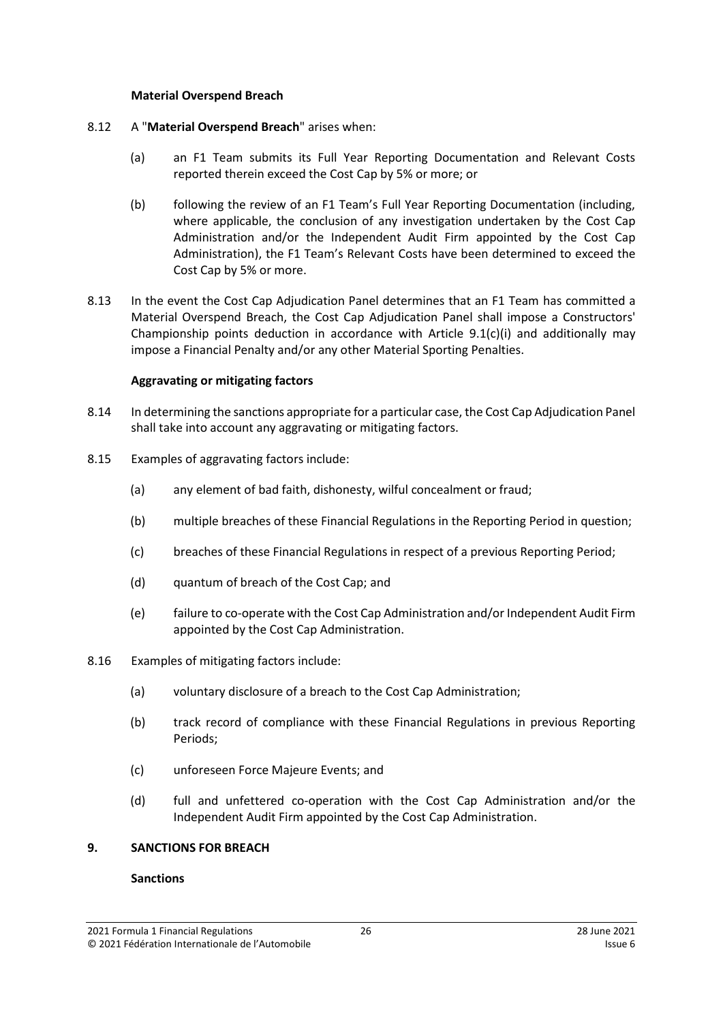#### **Material Overspend Breach**

- <span id="page-25-1"></span>8.12 A "**Material Overspend Breach**" arises when:
	- (a) an F1 Team submits its Full Year Reporting Documentation and Relevant Costs reported therein exceed the Cost Cap by 5% or more; or
	- (b) following the review of an F1 Team's Full Year Reporting Documentation (including, where applicable, the conclusion of any investigation undertaken by the Cost Cap Administration and/or the Independent Audit Firm appointed by the Cost Cap Administration), the F1 Team's Relevant Costs have been determined to exceed the Cost Cap by 5% or more.
- 8.13 In the event the Cost Cap Adjudication Panel determines that an F1 Team has committed a Material Overspend Breach, the Cost Cap Adjudication Panel shall impose a Constructors' Championship points deduction in accordance with Article  $9.1(c)(i)$  and additionally may impose a Financial Penalty and/or any other Material Sporting Penalties.

## **Aggravating or mitigating factors**

- 8.14 In determining the sanctions appropriate for a particular case, the Cost Cap Adjudication Panel shall take into account any aggravating or mitigating factors.
- 8.15 Examples of aggravating factors include:
	- (a) any element of bad faith, dishonesty, wilful concealment or fraud;
	- (b) multiple breaches of these Financial Regulations in the Reporting Period in question;
	- (c) breaches of these Financial Regulations in respect of a previous Reporting Period;
	- (d) quantum of breach of the Cost Cap; and
	- (e) failure to co-operate with the Cost Cap Administration and/or Independent Audit Firm appointed by the Cost Cap Administration.
- 8.16 Examples of mitigating factors include:
	- (a) voluntary disclosure of a breach to the Cost Cap Administration;
	- (b) track record of compliance with these Financial Regulations in previous Reporting Periods;
	- (c) unforeseen Force Majeure Events; and
	- (d) full and unfettered co-operation with the Cost Cap Administration and/or the Independent Audit Firm appointed by the Cost Cap Administration.

#### <span id="page-25-0"></span>**9. SANCTIONS FOR BREACH**

#### **Sanctions**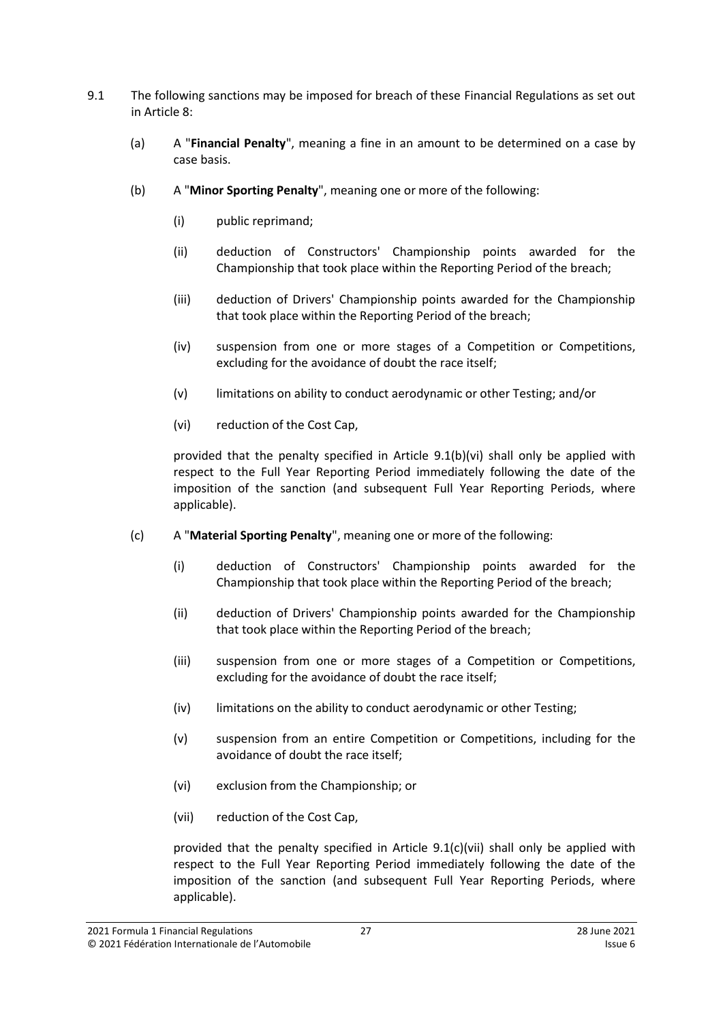- <span id="page-26-7"></span><span id="page-26-6"></span><span id="page-26-5"></span><span id="page-26-0"></span>9.1 The following sanctions may be imposed for breach of these Financial Regulations as set out in Article [8:](#page-22-0)
	- (a) A "**Financial Penalty**", meaning a fine in an amount to be determined on a case by case basis.
	- (b) A "**Minor Sporting Penalty**", meaning one or more of the following:
		- (i) public reprimand;
		- (ii) deduction of Constructors' Championship points awarded for the Championship that took place within the Reporting Period of the breach;
		- (iii) deduction of Drivers' Championship points awarded for the Championship that took place within the Reporting Period of the breach;
		- (iv) suspension from one or more stages of a Competition or Competitions, excluding for the avoidance of doubt the race itself;
		- (v) limitations on ability to conduct aerodynamic or other Testing; and/or
		- (vi) reduction of the Cost Cap,

<span id="page-26-2"></span><span id="page-26-1"></span>provided that the penalty specified in Article [9.1\(b\)\(vi\)](#page-26-2) shall only be applied with respect to the Full Year Reporting Period immediately following the date of the imposition of the sanction (and subsequent Full Year Reporting Periods, where applicable).

- <span id="page-26-4"></span><span id="page-26-3"></span>(c) A "**Material Sporting Penalty**", meaning one or more of the following:
	- (i) deduction of Constructors' Championship points awarded for the Championship that took place within the Reporting Period of the breach;
	- (ii) deduction of Drivers' Championship points awarded for the Championship that took place within the Reporting Period of the breach;
	- (iii) suspension from one or more stages of a Competition or Competitions, excluding for the avoidance of doubt the race itself;
	- (iv) limitations on the ability to conduct aerodynamic or other Testing;
	- (v) suspension from an entire Competition or Competitions, including for the avoidance of doubt the race itself;
	- (vi) exclusion from the Championship; or
	- (vii) reduction of the Cost Cap,

provided that the penalty specified in Article 9.[1\(c\)\(vii\)](#page-26-4) shall only be applied with respect to the Full Year Reporting Period immediately following the date of the imposition of the sanction (and subsequent Full Year Reporting Periods, where applicable).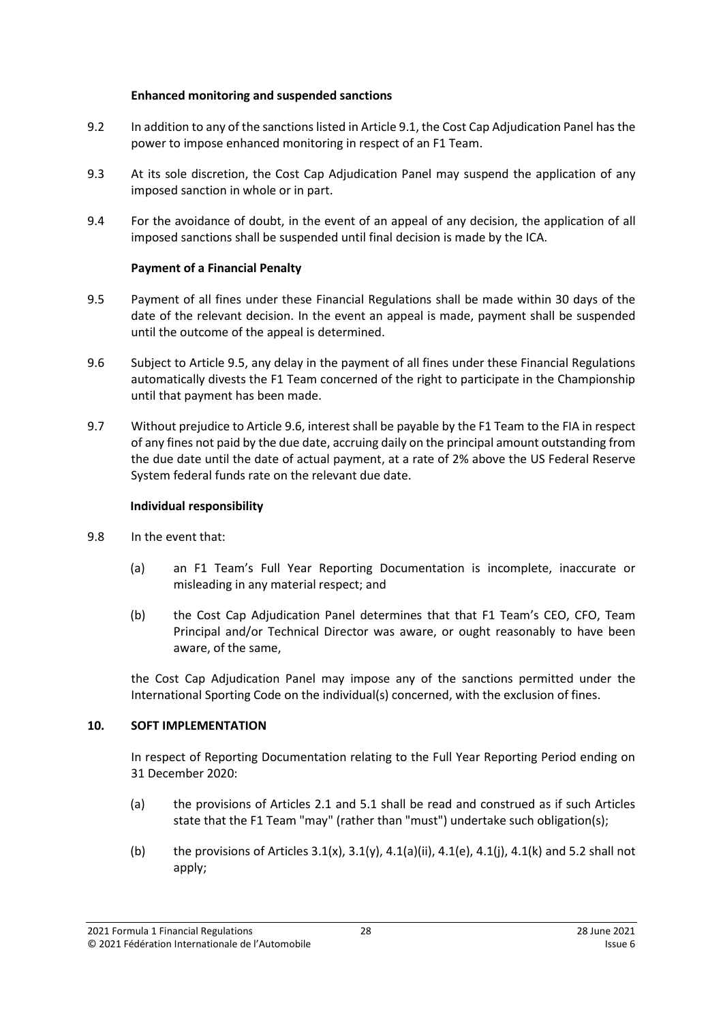#### **Enhanced monitoring and suspended sanctions**

- 9.2 In addition to any of the sanctions listed in Article [9.1,](#page-26-5) the Cost Cap Adjudication Panel has the power to impose enhanced monitoring in respect of an F1 Team.
- 9.3 At its sole discretion, the Cost Cap Adjudication Panel may suspend the application of any imposed sanction in whole or in part.
- 9.4 For the avoidance of doubt, in the event of an appeal of any decision, the application of all imposed sanctions shall be suspended until final decision is made by the ICA.

## **Payment of a Financial Penalty**

- 9.5 Payment of all fines under these Financial Regulations shall be made within 30 days of the date of the relevant decision. In the event an appeal is made, payment shall be suspended until the outcome of the appeal is determined.
- 9.6 Subject to Article 9.5, any delay in the payment of all fines under these Financial Regulations automatically divests the F1 Team concerned of the right to participate in the Championship until that payment has been made.
- 9.7 Without prejudice to Article 9.6, interest shall be payable by the F1 Team to the FIA in respect of any fines not paid by the due date, accruing daily on the principal amount outstanding from the due date until the date of actual payment, at a rate of 2% above the US Federal Reserve System federal funds rate on the relevant due date.

## **Individual responsibility**

- 9.8 In the event that:
	- (a) an F1 Team's Full Year Reporting Documentation is incomplete, inaccurate or misleading in any material respect; and
	- (b) the Cost Cap Adjudication Panel determines that that F1 Team's CEO, CFO, Team Principal and/or Technical Director was aware, or ought reasonably to have been aware, of the same,

the Cost Cap Adjudication Panel may impose any of the sanctions permitted under the International Sporting Code on the individual(s) concerned, with the exclusion of fines.

## <span id="page-27-0"></span>**10. SOFT IMPLEMENTATION**

In respect of Reporting Documentation relating to the Full Year Reporting Period ending on 31 December 2020:

- (a) the provisions of Articles [2.1](#page-2-3) and [5.1](#page-13-2) shall be read and construed as if such Articles state that the F1 Team "may" (rather than "must") undertake such obligation(s);
- (b) the provisions of Articles  $3.1(x)$ ,  $3.1(y)$ ,  $4.1(a)(ii)$ ,  $4.1(e)$ ,  $4.1(i)$ ,  $4.1(k)$  and [5.2](#page-13-3) shall not apply;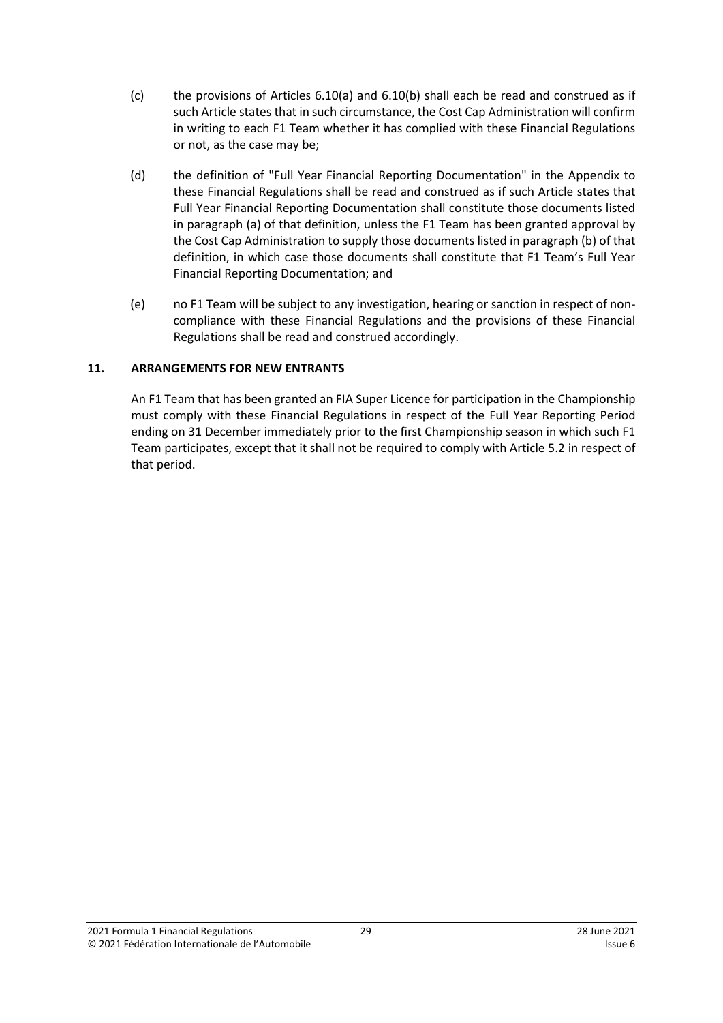- (c) the provisions of Articles [6.10\(a\)](#page-14-0) and [6.10\(b\)](#page-14-1) shall each be read and construed as if such Article states that in such circumstance, the Cost Cap Administration will confirm in writing to each F1 Team whether it has complied with these Financial Regulations or not, as the case may be;
- (d) the definition of "Full Year Financial Reporting Documentation" in the Appendix to these Financial Regulations shall be read and construed as if such Article states that Full Year Financial Reporting Documentation shall constitute those documents listed in paragraph (a) of that definition, unless the F1 Team has been granted approval by the Cost Cap Administration to supply those documents listed in paragraph (b) of that definition, in which case those documents shall constitute that F1 Team's Full Year Financial Reporting Documentation; and
- (e) no F1 Team will be subject to any investigation, hearing or sanction in respect of noncompliance with these Financial Regulations and the provisions of these Financial Regulations shall be read and construed accordingly.

### <span id="page-28-0"></span>**11. ARRANGEMENTS FOR NEW ENTRANTS**

An F1 Team that has been granted an FIA Super Licence for participation in the Championship must comply with these Financial Regulations in respect of the Full Year Reporting Period ending on 31 December immediately prior to the first Championship season in which such F1 Team participates, except that it shall not be required to comply with Article [5.2](#page-13-3) in respect of that period.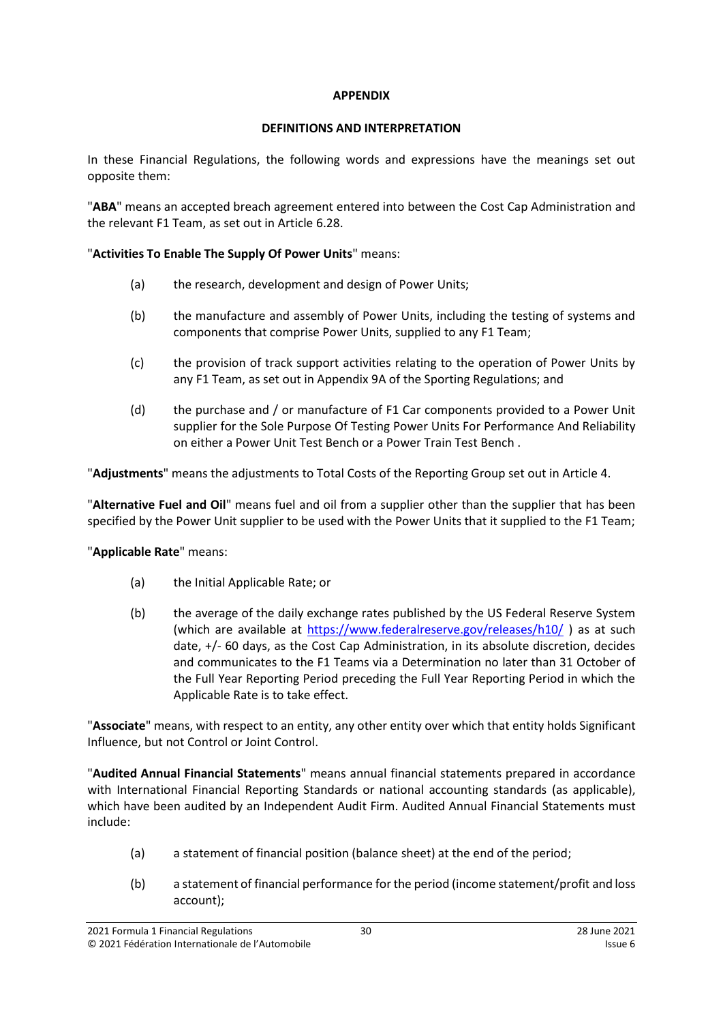#### **APPENDIX**

## **DEFINITIONS AND INTERPRETATION**

<span id="page-29-0"></span>In these Financial Regulations, the following words and expressions have the meanings set out opposite them:

"**ABA**" means an accepted breach agreement entered into between the Cost Cap Administration and the relevant F1 Team, as set out in Article [6.28.](#page-18-0)

## "**Activities To Enable The Supply Of Power Units**" means:

- (a) the research, development and design of Power Units;
- (b) the manufacture and assembly of Power Units, including the testing of systems and components that comprise Power Units, supplied to any F1 Team;
- (c) the provision of track support activities relating to the operation of Power Units by any F1 Team, as set out in Appendix 9A of the Sporting Regulations; and
- (d) the purchase and / or manufacture of F1 Car components provided to a Power Unit supplier for the Sole Purpose Of Testing Power Units For Performance And Reliability on either a Power Unit Test Bench or a Power Train Test Bench .

"**Adjustments**" means the adjustments to Total Costs of the Reporting Group set out in Articl[e 4.](#page-8-0)

"**Alternative Fuel and Oil**" means fuel and oil from a supplier other than the supplier that has been specified by the Power Unit supplier to be used with the Power Units that it supplied to the F1 Team;

## "**Applicable Rate**" means:

- (a) the Initial Applicable Rate; or
- (b) the average of the daily exchange rates published by the US Federal Reserve System (which are available at<https://www.federalreserve.gov/releases/h10/> ) as at such date, +/- 60 days, as the Cost Cap Administration, in its absolute discretion, decides and communicates to the F1 Teams via a Determination no later than 31 October of the Full Year Reporting Period preceding the Full Year Reporting Period in which the Applicable Rate is to take effect.

"**Associate**" means, with respect to an entity, any other entity over which that entity holds Significant Influence, but not Control or Joint Control.

"**Audited Annual Financial Statements**" means annual financial statements prepared in accordance with International Financial Reporting Standards or national accounting standards (as applicable), which have been audited by an Independent Audit Firm. Audited Annual Financial Statements must include:

- (a) a statement of financial position (balance sheet) at the end of the period;
- (b) a statement of financial performance for the period (income statement/profit and loss account);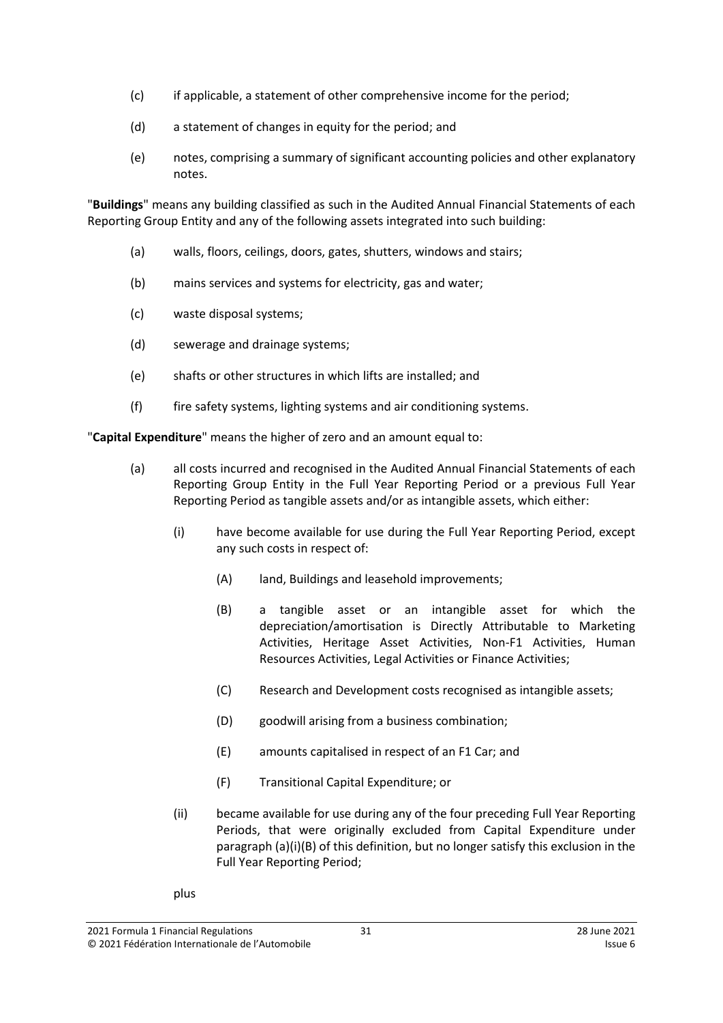- (c) if applicable, a statement of other comprehensive income for the period;
- (d) a statement of changes in equity for the period; and
- (e) notes, comprising a summary of significant accounting policies and other explanatory notes.

"**Buildings**" means any building classified as such in the Audited Annual Financial Statements of each Reporting Group Entity and any of the following assets integrated into such building:

- (a) walls, floors, ceilings, doors, gates, shutters, windows and stairs;
- (b) mains services and systems for electricity, gas and water;
- (c) waste disposal systems;
- (d) sewerage and drainage systems;
- (e) shafts or other structures in which lifts are installed; and
- (f) fire safety systems, lighting systems and air conditioning systems.

"**Capital Expenditure**" means the higher of zero and an amount equal to:

- (a) all costs incurred and recognised in the Audited Annual Financial Statements of each Reporting Group Entity in the Full Year Reporting Period or a previous Full Year Reporting Period as tangible assets and/or as intangible assets, which either:
	- (i) have become available for use during the Full Year Reporting Period, except any such costs in respect of:
		- (A) land, Buildings and leasehold improvements;
		- (B) a tangible asset or an intangible asset for which the depreciation/amortisation is Directly Attributable to Marketing Activities, Heritage Asset Activities, Non-F1 Activities, Human Resources Activities, Legal Activities or Finance Activities;
		- (C) Research and Development costs recognised as intangible assets;
		- (D) goodwill arising from a business combination;
		- (E) amounts capitalised in respect of an F1 Car; and
		- (F) Transitional Capital Expenditure; or
	- (ii) became available for use during any of the four preceding Full Year Reporting Periods, that were originally excluded from Capital Expenditure under paragraph (a)(i)(B) of this definition, but no longer satisfy this exclusion in the Full Year Reporting Period;
	- plus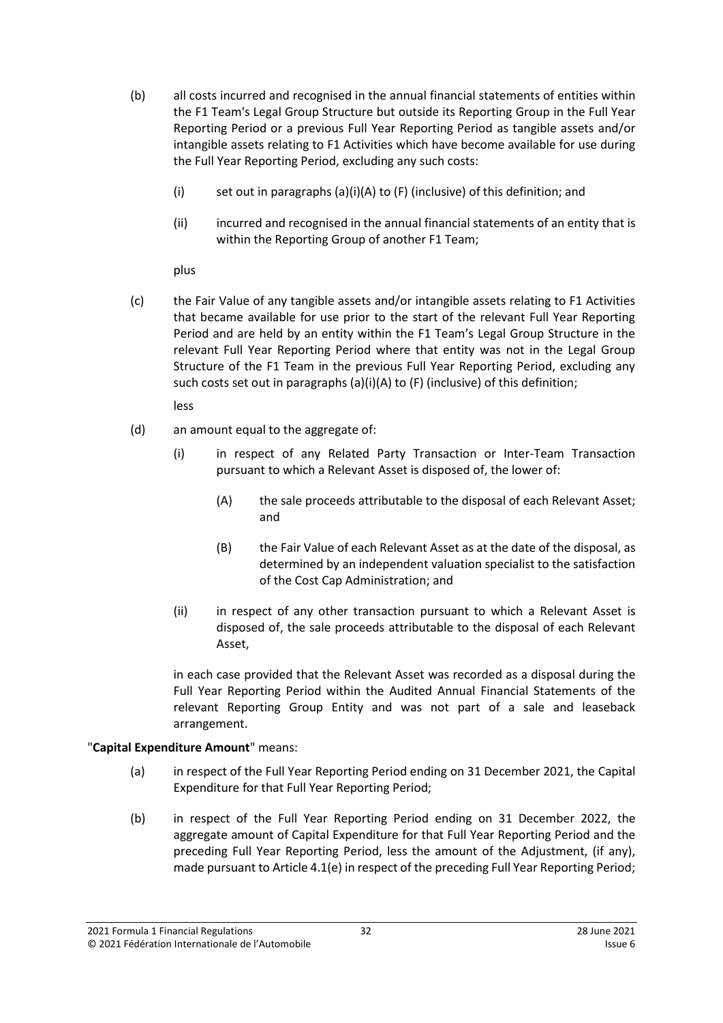- (b) all costs incurred and recognised in the annual financial statements of entities within the F1 Team's Legal Group Structure but outside its Reporting Group in the Full Year Reporting Period or a previous Full Year Reporting Period as tangible assets and/or intangible assets relating to F1 Activities which have become available for use during the Full Year Reporting Period, excluding any such costs:
	- (i) set out in paragraphs (a)(i)(A) to (F) (inclusive) of this definition; and
	- (ii) incurred and recognised in the annual financial statements of an entity that is within the Reporting Group of another F1 Team;

plus

(c) the Fair Value of any tangible assets and/or intangible assets relating to F1 Activities that became available for use prior to the start of the relevant Full Year Reporting Period and are held by an entity within the F1 Team's Legal Group Structure in the relevant Full Year Reporting Period where that entity was not in the Legal Group Structure of the F1 Team in the previous Full Year Reporting Period, excluding any such costs set out in paragraphs (a)(i)(A) to (F) (inclusive) of this definition;

less

- (d) an amount equal to the aggregate of:
	- (i) in respect of any Related Party Transaction or Inter-Team Transaction pursuant to which a Relevant Asset is disposed of, the lower of:
		- (A) the sale proceeds attributable to the disposal of each Relevant Asset; and
		- (B) the Fair Value of each Relevant Asset as at the date of the disposal, as determined by an independent valuation specialist to the satisfaction of the Cost Cap Administration; and
	- (ii) in respect of any other transaction pursuant to which a Relevant Asset is disposed of, the sale proceeds attributable to the disposal of each Relevant Asset,

in each case provided that the Relevant Asset was recorded as a disposal during the Full Year Reporting Period within the Audited Annual Financial Statements of the relevant Reporting Group Entity and was not part of a sale and leaseback arrangement.

## "**Capital Expenditure Amount**" means:

- (a) in respect of the Full Year Reporting Period ending on 31 December 2021, the Capital Expenditure for that Full Year Reporting Period;
- (b) in respect of the Full Year Reporting Period ending on 31 December 2022, the aggregate amount of Capital Expenditure for that Full Year Reporting Period and the preceding Full Year Reporting Period, less the amount of the Adjustment, (if any), made pursuant to Article 4.1(e) in respect of the preceding Full Year Reporting Period;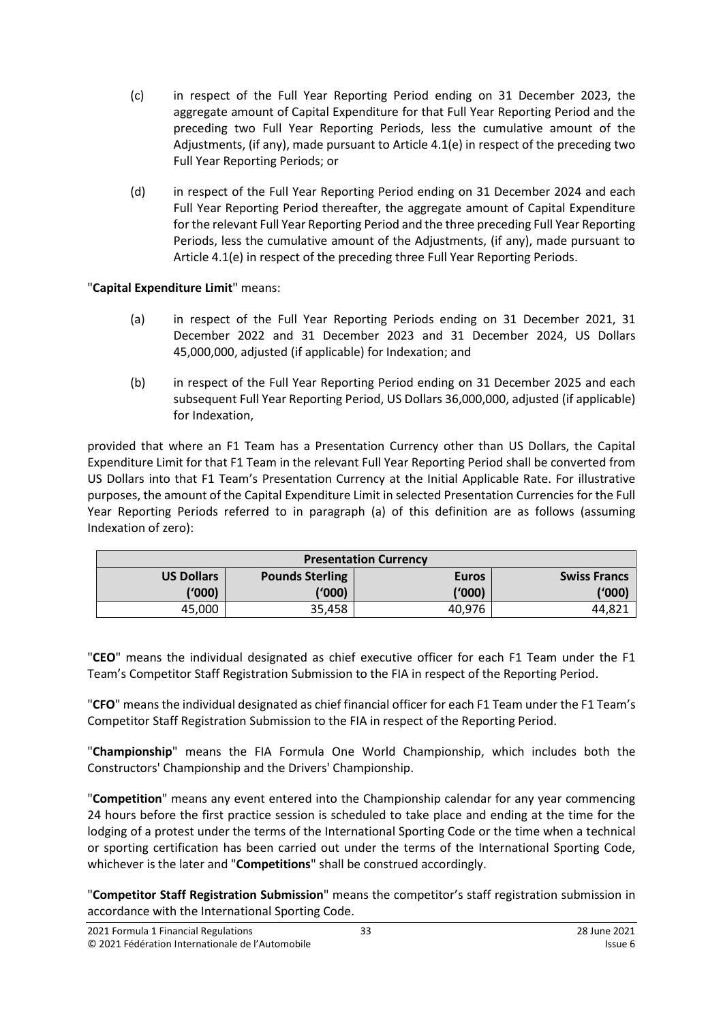- (c) in respect of the Full Year Reporting Period ending on 31 December 2023, the aggregate amount of Capital Expenditure for that Full Year Reporting Period and the preceding two Full Year Reporting Periods, less the cumulative amount of the Adjustments, (if any), made pursuant to Article 4.1(e) in respect of the preceding two Full Year Reporting Periods; or
- (d) in respect of the Full Year Reporting Period ending on 31 December 2024 and each Full Year Reporting Period thereafter, the aggregate amount of Capital Expenditure for the relevant Full Year Reporting Period and the three preceding Full Year Reporting Periods, less the cumulative amount of the Adjustments, (if any), made pursuant to Article 4.1(e) in respect of the preceding three Full Year Reporting Periods.

"**Capital Expenditure Limit**" means:

- (a) in respect of the Full Year Reporting Periods ending on 31 December 2021, 31 December 2022 and 31 December 2023 and 31 December 2024, US Dollars 45,000,000, adjusted (if applicable) for Indexation; and
- (b) in respect of the Full Year Reporting Period ending on 31 December 2025 and each subsequent Full Year Reporting Period, US Dollars 36,000,000, adjusted (if applicable) for Indexation,

provided that where an F1 Team has a Presentation Currency other than US Dollars, the Capital Expenditure Limit for that F1 Team in the relevant Full Year Reporting Period shall be converted from US Dollars into that F1 Team's Presentation Currency at the Initial Applicable Rate. For illustrative purposes, the amount of the Capital Expenditure Limit in selected Presentation Currencies for the Full Year Reporting Periods referred to in paragraph (a) of this definition are as follows (assuming Indexation of zero):

| <b>Presentation Currency</b> |                        |              |                     |  |  |  |  |
|------------------------------|------------------------|--------------|---------------------|--|--|--|--|
| <b>US Dollars</b>            | <b>Pounds Sterling</b> | <b>Euros</b> | <b>Swiss Francs</b> |  |  |  |  |
| (1000)                       | ('000)                 | ('000)       | ('000)              |  |  |  |  |
| 45,000                       | 35,458                 | 40,976       | 44.82′              |  |  |  |  |

"**CEO**" means the individual designated as chief executive officer for each F1 Team under the F1 Team's Competitor Staff Registration Submission to the FIA in respect of the Reporting Period.

"**CFO**" meansthe individual designated as chief financial officer for each F1 Team under the F1 Team's Competitor Staff Registration Submission to the FIA in respect of the Reporting Period.

"**Championship**" means the FIA Formula One World Championship, which includes both the Constructors' Championship and the Drivers' Championship.

"**Competition**" means any event entered into the Championship calendar for any year commencing 24 hours before the first practice session is scheduled to take place and ending at the time for the lodging of a protest under the terms of the International Sporting Code or the time when a technical or sporting certification has been carried out under the terms of the International Sporting Code, whichever is the later and "**Competitions**" shall be construed accordingly.

"**Competitor Staff Registration Submission**" means the competitor's staff registration submission in accordance with the International Sporting Code.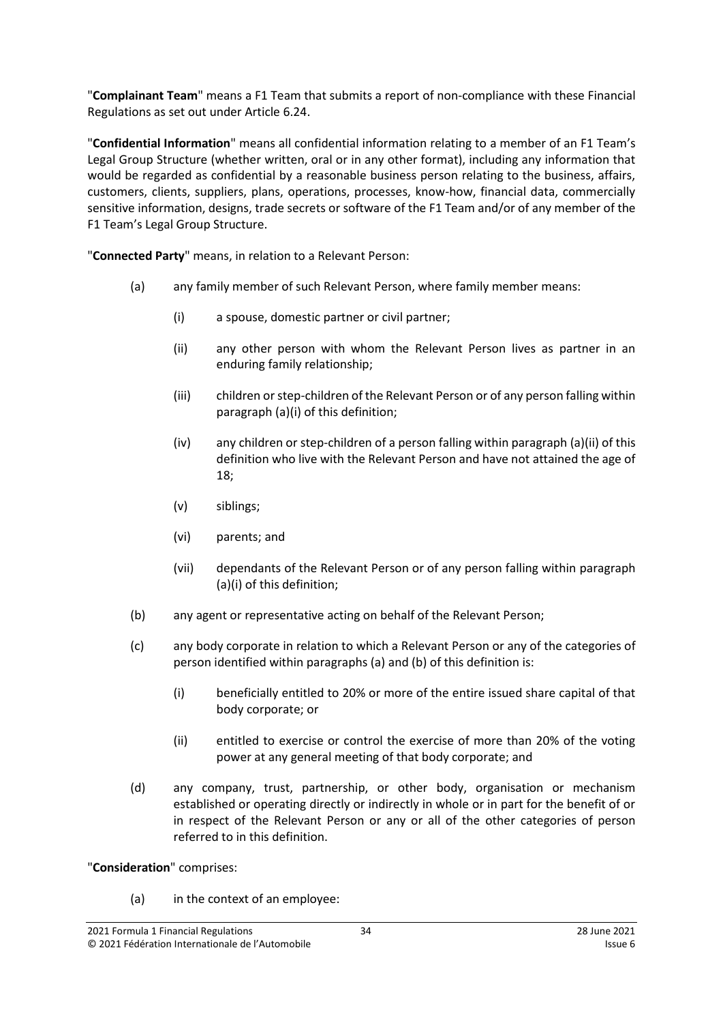"**Complainant Team**" means a F1 Team that submits a report of non-compliance with these Financial Regulations as set out under Article [6.24.](#page-17-2)

"**Confidential Information**" means all confidential information relating to a member of an F1 Team's Legal Group Structure (whether written, oral or in any other format), including any information that would be regarded as confidential by a reasonable business person relating to the business, affairs, customers, clients, suppliers, plans, operations, processes, know-how, financial data, commercially sensitive information, designs, trade secrets or software of the F1 Team and/or of any member of the F1 Team's Legal Group Structure.

<span id="page-33-0"></span>"**Connected Party**" means, in relation to a Relevant Person:

- (a) any family member of such Relevant Person, where family member means:
	- (i) a spouse, domestic partner or civil partner;
	- (ii) any other person with whom the Relevant Person lives as partner in an enduring family relationship;
	- (iii) children or step-children of the Relevant Person or of any person falling within paragraph [\(a\)\(i\)](#page-33-0) of this definition;
	- (iv) any children or step-children of a person falling within paragraph [\(a\)\(ii\)](#page-33-0) of this definition who live with the Relevant Person and have not attained the age of 18;
	- (v) siblings;
	- (vi) parents; and
	- (vii) dependants of the Relevant Person or of any person falling within paragraph [\(a\)\(i\)](#page-33-0) of this definition;
- (b) any agent or representative acting on behalf of the Relevant Person;
- (c) any body corporate in relation to which a Relevant Person or any of the categories of person identified within paragraphs (a) and (b) of this definition is:
	- (i) beneficially entitled to 20% or more of the entire issued share capital of that body corporate; or
	- (ii) entitled to exercise or control the exercise of more than 20% of the voting power at any general meeting of that body corporate; and
- (d) any company, trust, partnership, or other body, organisation or mechanism established or operating directly or indirectly in whole or in part for the benefit of or in respect of the Relevant Person or any or all of the other categories of person referred to in this definition.

"**Consideration**" comprises:

(a) in the context of an employee: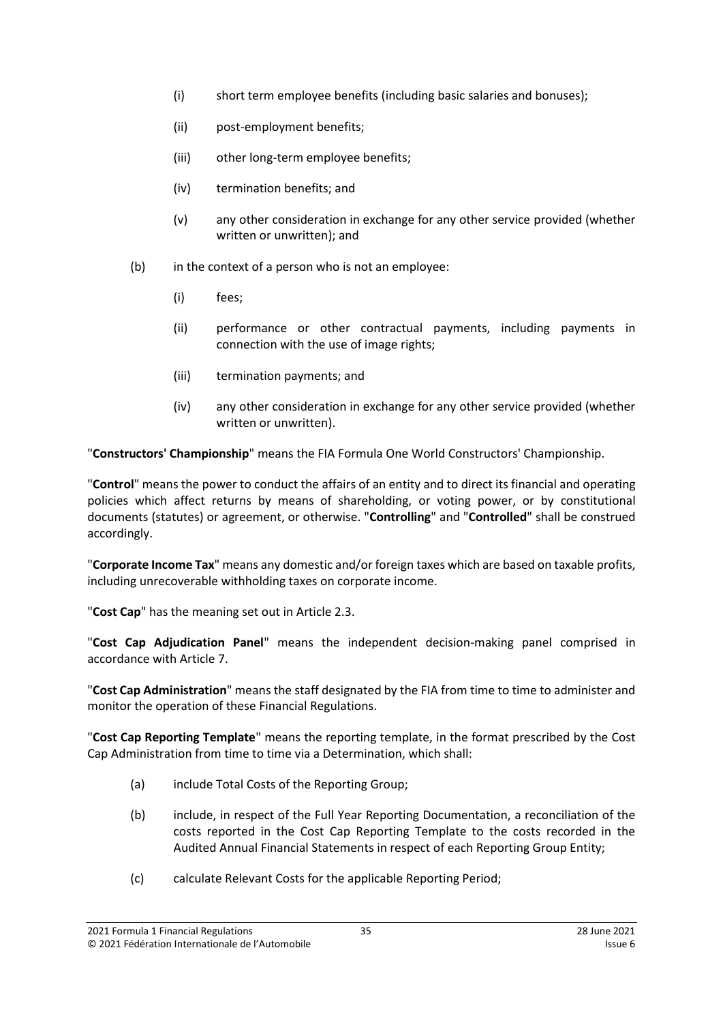- (i) short term employee benefits (including basic salaries and bonuses);
- (ii) post-employment benefits;
- (iii) other long-term employee benefits;
- (iv) termination benefits; and
- (v) any other consideration in exchange for any other service provided (whether written or unwritten); and
- (b) in the context of a person who is not an employee:
	- (i) fees;
	- (ii) performance or other contractual payments, including payments in connection with the use of image rights;
	- (iii) termination payments; and
	- (iv) any other consideration in exchange for any other service provided (whether written or unwritten).

"**Constructors' Championship**" means the FIA Formula One World Constructors' Championship.

"**Control**" means the power to conduct the affairs of an entity and to direct its financial and operating policies which affect returns by means of shareholding, or voting power, or by constitutional documents (statutes) or agreement, or otherwise. "**Controlling**" and "**Controlled**" shall be construed accordingly.

"**Corporate Income Tax**" means any domestic and/or foreign taxes which are based on taxable profits, including unrecoverable withholding taxes on corporate income.

"**Cost Cap**" has the meaning set out in Article [2.3.](#page-2-4)

"**Cost Cap Adjudication Panel**" means the independent decision-making panel comprised in accordance with Articl[e 7.](#page-19-0)

"**Cost Cap Administration**" means the staff designated by the FIA from time to time to administer and monitor the operation of these Financial Regulations.

"**Cost Cap Reporting Template**" means the reporting template, in the format prescribed by the Cost Cap Administration from time to time via a Determination, which shall:

- (a) include Total Costs of the Reporting Group;
- (b) include, in respect of the Full Year Reporting Documentation, a reconciliation of the costs reported in the Cost Cap Reporting Template to the costs recorded in the Audited Annual Financial Statements in respect of each Reporting Group Entity;
- (c) calculate Relevant Costs for the applicable Reporting Period;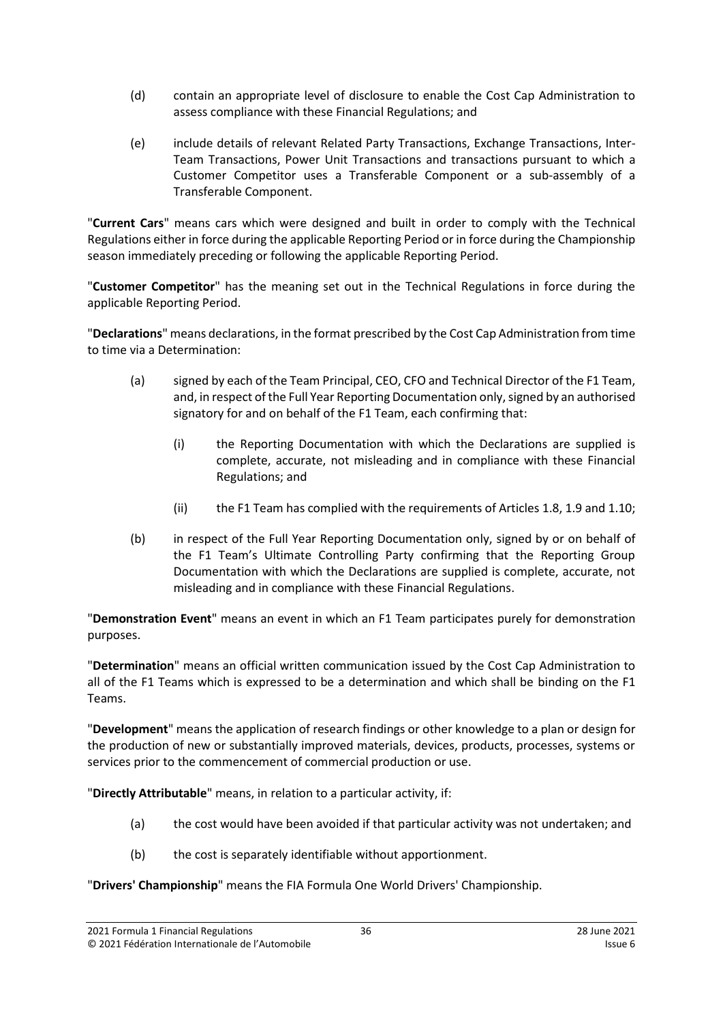- (d) contain an appropriate level of disclosure to enable the Cost Cap Administration to assess compliance with these Financial Regulations; and
- (e) include details of relevant Related Party Transactions, Exchange Transactions, Inter-Team Transactions, Power Unit Transactions and transactions pursuant to which a Customer Competitor uses a Transferable Component or a sub-assembly of a Transferable Component.

"**Current Cars**" means cars which were designed and built in order to comply with the Technical Regulations either in force during the applicable Reporting Period or in force during the Championship season immediately preceding or following the applicable Reporting Period.

"**Customer Competitor**" has the meaning set out in the Technical Regulations in force during the applicable Reporting Period.

"**Declarations**" means declarations, in the format prescribed by the Cost Cap Administration from time to time via a Determination:

- (a) signed by each of the Team Principal, CEO, CFO and Technical Director of the F1 Team, and, in respect of the Full Year Reporting Documentation only, signed by an authorised signatory for and on behalf of the F1 Team, each confirming that:
	- (i) the Reporting Documentation with which the Declarations are supplied is complete, accurate, not misleading and in compliance with these Financial Regulations; and
	- (ii) the F1 Team has complied with the requirements of Article[s 1.8,](#page-1-1) [1.9](#page-2-1) and [1.10;](#page-2-2)
- (b) in respect of the Full Year Reporting Documentation only, signed by or on behalf of the F1 Team's Ultimate Controlling Party confirming that the Reporting Group Documentation with which the Declarations are supplied is complete, accurate, not misleading and in compliance with these Financial Regulations.

"**Demonstration Event**" means an event in which an F1 Team participates purely for demonstration purposes.

"**Determination**" means an official written communication issued by the Cost Cap Administration to all of the F1 Teams which is expressed to be a determination and which shall be binding on the F1 Teams.

"**Development**" means the application of research findings or other knowledge to a plan or design for the production of new or substantially improved materials, devices, products, processes, systems or services prior to the commencement of commercial production or use.

"**Directly Attributable**" means, in relation to a particular activity, if:

- (a) the cost would have been avoided if that particular activity was not undertaken; and
- (b) the cost is separately identifiable without apportionment.

"**Drivers' Championship**" means the FIA Formula One World Drivers' Championship.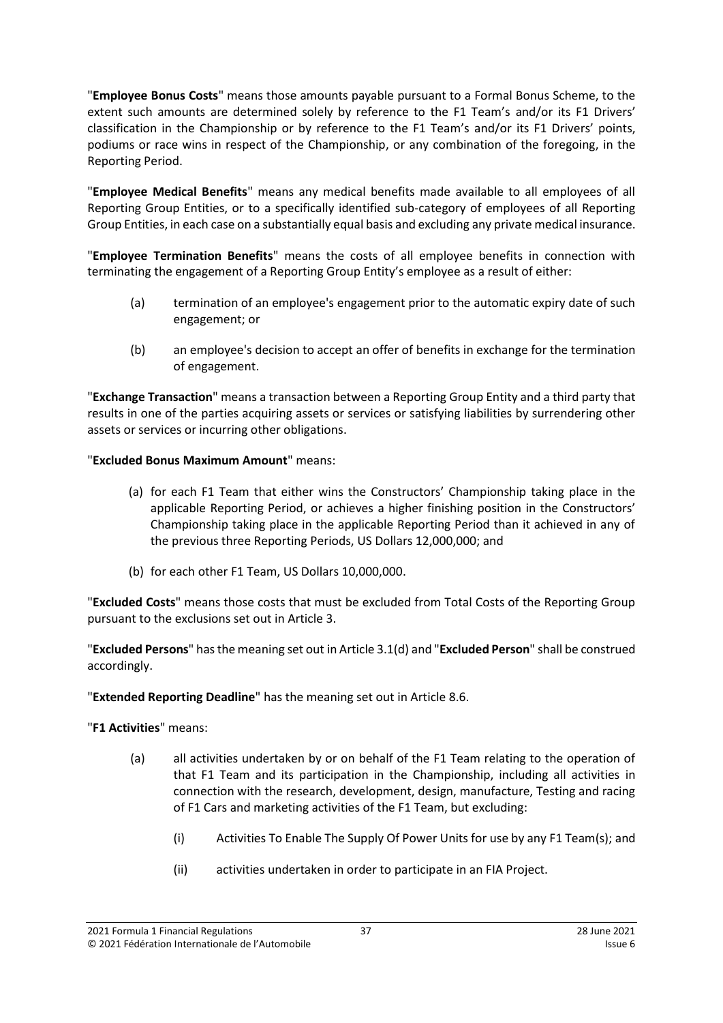"**Employee Bonus Costs**" means those amounts payable pursuant to a Formal Bonus Scheme, to the extent such amounts are determined solely by reference to the F1 Team's and/or its F1 Drivers' classification in the Championship or by reference to the F1 Team's and/or its F1 Drivers' points, podiums or race wins in respect of the Championship, or any combination of the foregoing, in the Reporting Period.

"**Employee Medical Benefits**" means any medical benefits made available to all employees of all Reporting Group Entities, or to a specifically identified sub-category of employees of all Reporting Group Entities, in each case on a substantially equal basis and excluding any private medical insurance.

"**Employee Termination Benefits**" means the costs of all employee benefits in connection with terminating the engagement of a Reporting Group Entity's employee as a result of either:

- (a) termination of an employee's engagement prior to the automatic expiry date of such engagement; or
- (b) an employee's decision to accept an offer of benefits in exchange for the termination of engagement.

"**Exchange Transaction**" means a transaction between a Reporting Group Entity and a third party that results in one of the parties acquiring assets or services or satisfying liabilities by surrendering other assets or services or incurring other obligations.

"**Excluded Bonus Maximum Amount**" means:

- (a) for each F1 Team that either wins the Constructors' Championship taking place in the applicable Reporting Period, or achieves a higher finishing position in the Constructors' Championship taking place in the applicable Reporting Period than it achieved in any of the previous three Reporting Periods, US Dollars 12,000,000; and
- (b) for each other F1 Team, US Dollars 10,000,000.

"**Excluded Costs**" means those costs that must be excluded from Total Costs of the Reporting Group pursuant to the exclusions set out in Articl[e 3.](#page-5-0)

"**Excluded Persons**" hasthe meaning set out in Article [3.1\(d\)](#page-5-4) and "**Excluded Person**" shall be construed accordingly.

"**Extended Reporting Deadline**" has the meaning set out in Articl[e 8.6.](#page-24-1)

"**F1 Activities**" means:

- (a) all activities undertaken by or on behalf of the F1 Team relating to the operation of that F1 Team and its participation in the Championship, including all activities in connection with the research, development, design, manufacture, Testing and racing of F1 Cars and marketing activities of the F1 Team, but excluding:
	- (i) Activities To Enable The Supply Of Power Units for use by any F1 Team(s); and
	- (ii) activities undertaken in order to participate in an FIA Project.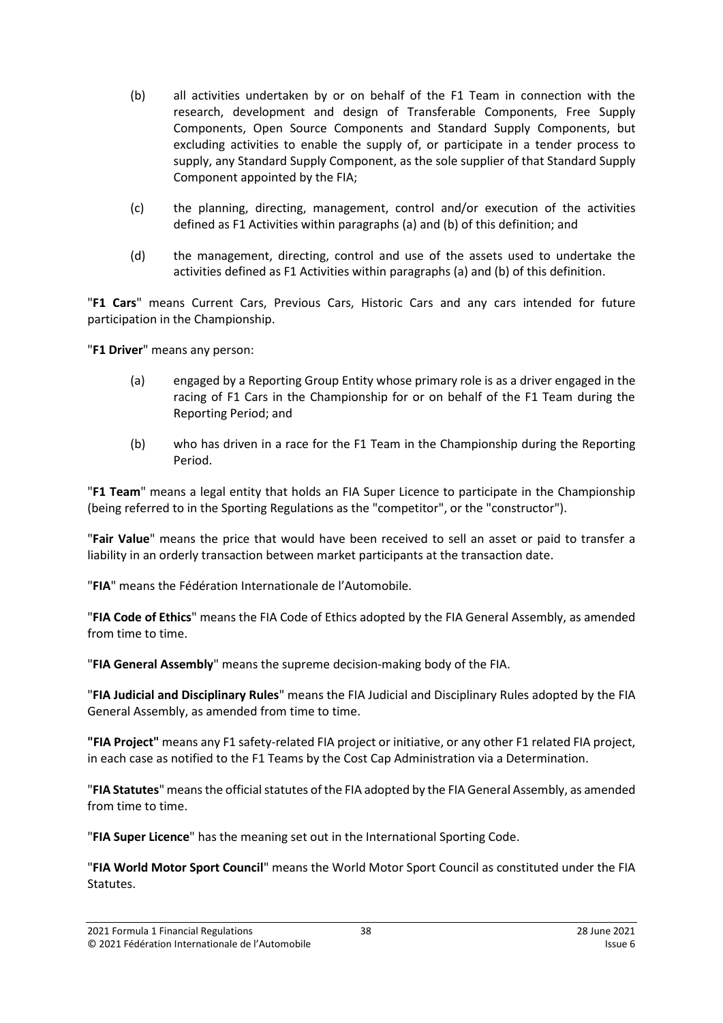- (b) all activities undertaken by or on behalf of the F1 Team in connection with the research, development and design of Transferable Components, Free Supply Components, Open Source Components and Standard Supply Components, but excluding activities to enable the supply of, or participate in a tender process to supply, any Standard Supply Component, as the sole supplier of that Standard Supply Component appointed by the FIA;
- (c) the planning, directing, management, control and/or execution of the activities defined as F1 Activities within paragraphs (a) and (b) of this definition; and
- (d) the management, directing, control and use of the assets used to undertake the activities defined as F1 Activities within paragraphs (a) and (b) of this definition.

"**F1 Cars**" means Current Cars, Previous Cars, Historic Cars and any cars intended for future participation in the Championship.

"**F1 Driver**" means any person:

- (a) engaged by a Reporting Group Entity whose primary role is as a driver engaged in the racing of F1 Cars in the Championship for or on behalf of the F1 Team during the Reporting Period; and
- (b) who has driven in a race for the F1 Team in the Championship during the Reporting Period.

"**F1 Team**" means a legal entity that holds an FIA Super Licence to participate in the Championship (being referred to in the Sporting Regulations as the "competitor", or the "constructor").

"**Fair Value**" means the price that would have been received to sell an asset or paid to transfer a liability in an orderly transaction between market participants at the transaction date.

"**FIA**" means the Fédération Internationale de l'Automobile.

"**FIA Code of Ethics**" means the FIA Code of Ethics adopted by the FIA General Assembly, as amended from time to time.

"**FIA General Assembly**" means the supreme decision-making body of the FIA.

"**FIA Judicial and Disciplinary Rules**" means the FIA Judicial and Disciplinary Rules adopted by the FIA General Assembly, as amended from time to time.

**"FIA Project"** means any F1 safety-related FIA project or initiative, or any other F1 related FIA project, in each case as notified to the F1 Teams by the Cost Cap Administration via a Determination.

"**FIA Statutes**" means the official statutes of the FIA adopted by the FIA General Assembly, as amended from time to time.

"**FIA Super Licence**" has the meaning set out in the International Sporting Code.

"**FIA World Motor Sport Council**" means the World Motor Sport Council as constituted under the FIA Statutes.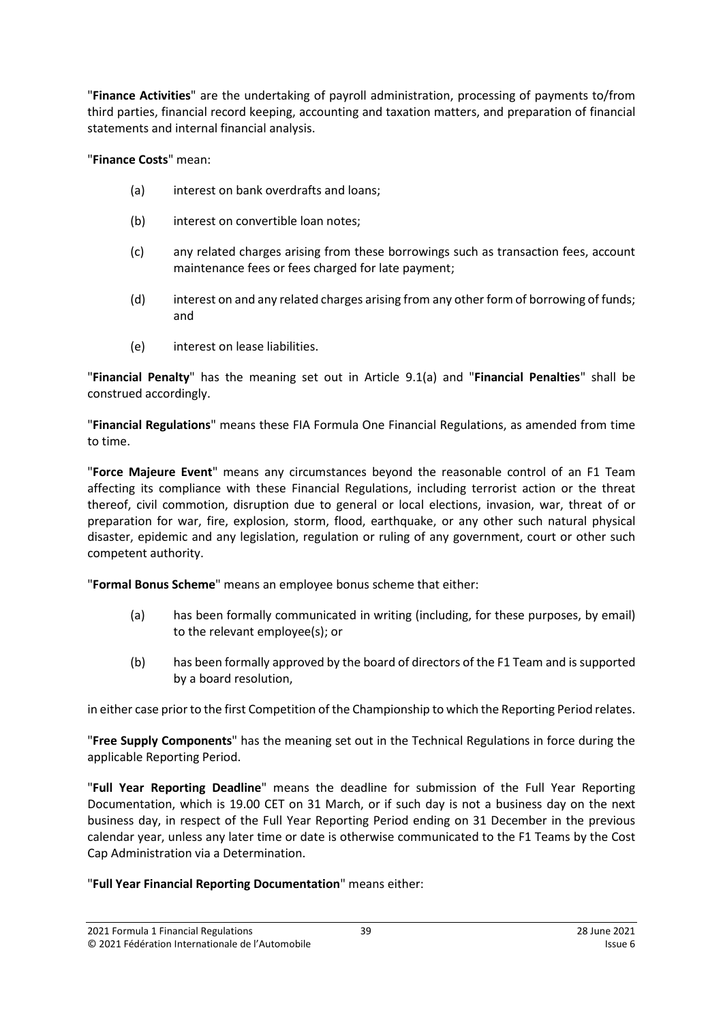"**Finance Activities**" are the undertaking of payroll administration, processing of payments to/from third parties, financial record keeping, accounting and taxation matters, and preparation of financial statements and internal financial analysis.

"**Finance Costs**" mean:

- (a) interest on bank overdrafts and loans;
- (b) interest on convertible loan notes:
- (c) any related charges arising from these borrowings such as transaction fees, account maintenance fees or fees charged for late payment;
- (d) interest on and any related charges arising from any other form of borrowing of funds; and
- (e) interest on lease liabilities.

"**Financial Penalty**" has the meaning set out in Article [9.1\(a\)](#page-26-6) and "**Financial Penalties**" shall be construed accordingly.

"**Financial Regulations**" means these FIA Formula One Financial Regulations, as amended from time to time.

"**Force Majeure Event**" means any circumstances beyond the reasonable control of an F1 Team affecting its compliance with these Financial Regulations, including terrorist action or the threat thereof, civil commotion, disruption due to general or local elections, invasion, war, threat of or preparation for war, fire, explosion, storm, flood, earthquake, or any other such natural physical disaster, epidemic and any legislation, regulation or ruling of any government, court or other such competent authority.

"**Formal Bonus Scheme**" means an employee bonus scheme that either:

- (a) has been formally communicated in writing (including, for these purposes, by email) to the relevant employee(s); or
- (b) has been formally approved by the board of directors of the F1 Team and is supported by a board resolution,

in either case prior to the first Competition of the Championship to which the Reporting Period relates.

"**Free Supply Components**" has the meaning set out in the Technical Regulations in force during the applicable Reporting Period.

"**Full Year Reporting Deadline**" means the deadline for submission of the Full Year Reporting Documentation, which is 19.00 CET on 31 March, or if such day is not a business day on the next business day, in respect of the Full Year Reporting Period ending on 31 December in the previous calendar year, unless any later time or date is otherwise communicated to the F1 Teams by the Cost Cap Administration via a Determination.

## "**Full Year Financial Reporting Documentation**" means either: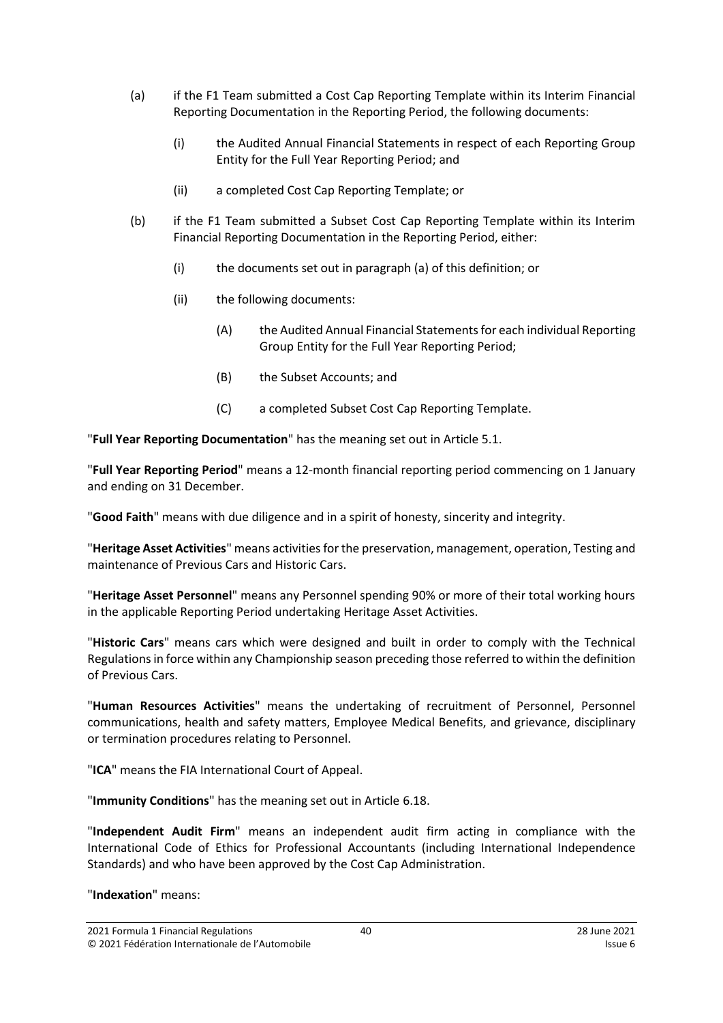- (a) if the F1 Team submitted a Cost Cap Reporting Template within its Interim Financial Reporting Documentation in the Reporting Period, the following documents:
	- (i) the Audited Annual Financial Statements in respect of each Reporting Group Entity for the Full Year Reporting Period; and
	- (ii) a completed Cost Cap Reporting Template; or
- (b) if the F1 Team submitted a Subset Cost Cap Reporting Template within its Interim Financial Reporting Documentation in the Reporting Period, either:
	- (i) the documents set out in paragraph (a) of this definition; or
	- (ii) the following documents:
		- (A) the Audited Annual Financial Statements for each individual Reporting Group Entity for the Full Year Reporting Period;
		- (B) the Subset Accounts; and
		- (C) a completed Subset Cost Cap Reporting Template.

"**Full Year Reporting Documentation**" has the meaning set out in Articl[e 5.1.](#page-13-2)

"**Full Year Reporting Period**" means a 12-month financial reporting period commencing on 1 January and ending on 31 December.

"**Good Faith**" means with due diligence and in a spirit of honesty, sincerity and integrity.

"**Heritage Asset Activities**" means activities forthe preservation, management, operation, Testing and maintenance of Previous Cars and Historic Cars.

"**Heritage Asset Personnel**" means any Personnel spending 90% or more of their total working hours in the applicable Reporting Period undertaking Heritage Asset Activities.

"**Historic Cars**" means cars which were designed and built in order to comply with the Technical Regulationsin force within any Championship season preceding those referred to within the definition of Previous Cars.

"**Human Resources Activities**" means the undertaking of recruitment of Personnel, Personnel communications, health and safety matters, Employee Medical Benefits, and grievance, disciplinary or termination procedures relating to Personnel.

"**ICA**" means the FIA International Court of Appeal.

"**Immunity Conditions**" has the meaning set out in Articl[e 6.18.](#page-16-0)

"**Independent Audit Firm**" means an independent audit firm acting in compliance with the International Code of Ethics for Professional Accountants (including International Independence Standards) and who have been approved by the Cost Cap Administration.

"**Indexation**" means: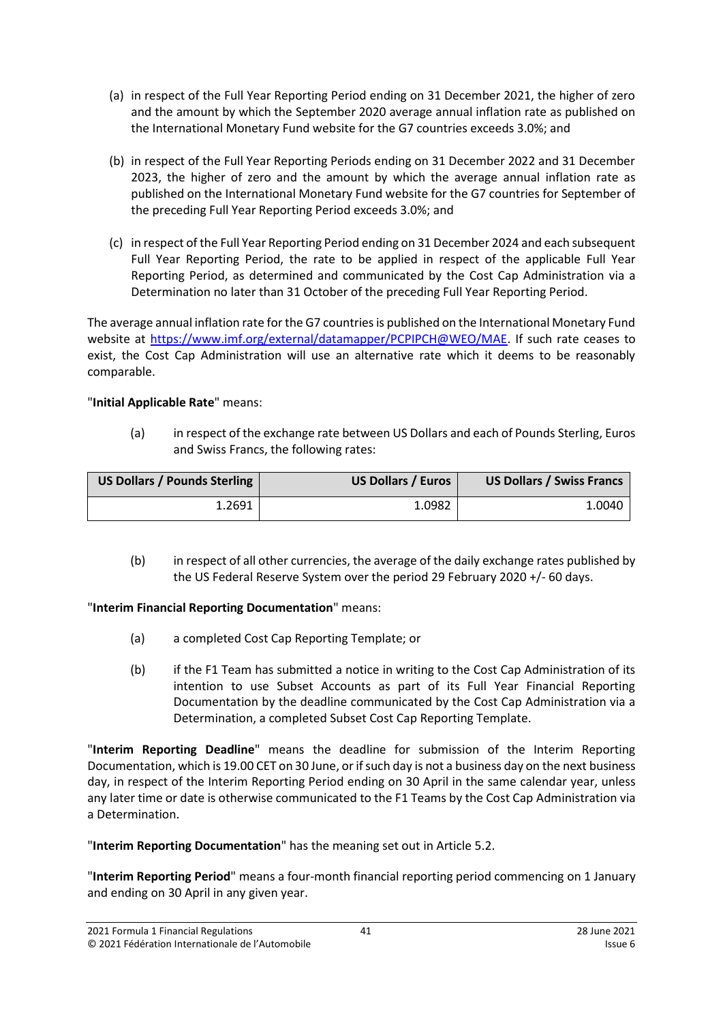- (a) in respect of the Full Year Reporting Period ending on 31 December 2021, the higher of zero and the amount by which the September 2020 average annual inflation rate as published on the International Monetary Fund website for the G7 countries exceeds 3.0%; and
- (b) in respect of the Full Year Reporting Periods ending on 31 December 2022 and 31 December 2023, the higher of zero and the amount by which the average annual inflation rate as published on the International Monetary Fund website for the G7 countries for September of the preceding Full Year Reporting Period exceeds 3.0%; and
- (c) in respect of the Full Year Reporting Period ending on 31 December 2024 and each subsequent Full Year Reporting Period, the rate to be applied in respect of the applicable Full Year Reporting Period, as determined and communicated by the Cost Cap Administration via a Determination no later than 31 October of the preceding Full Year Reporting Period.

The average annual inflation rate for the G7 countries is published on the International Monetary Fund website at [https://www.imf.org/external/datamapper/PCPIPCH@WEO/MAE.](https://www.imf.org/external/datamapper/PCPIPCH@WEO/MAE) If such rate ceases to exist, the Cost Cap Administration will use an alternative rate which it deems to be reasonably comparable.

## "**Initial Applicable Rate**" means:

(a) in respect of the exchange rate between US Dollars and each of Pounds Sterling, Euros and Swiss Francs, the following rates:

| US Dollars / Pounds Sterling | <b>US Dollars / Euros</b> | <b>US Dollars / Swiss Francs</b> |
|------------------------------|---------------------------|----------------------------------|
| 1.2691                       | 1.0982                    | 1.0040                           |

(b) in respect of all other currencies, the average of the daily exchange rates published by the US Federal Reserve System over the period 29 February 2020 +/- 60 days.

## "**Interim Financial Reporting Documentation**" means:

- (a) a completed Cost Cap Reporting Template; or
- (b) if the F1 Team has submitted a notice in writing to the Cost Cap Administration of its intention to use Subset Accounts as part of its Full Year Financial Reporting Documentation by the deadline communicated by the Cost Cap Administration via a Determination, a completed Subset Cost Cap Reporting Template.

"**Interim Reporting Deadline**" means the deadline for submission of the Interim Reporting Documentation, which is 19.00 CET on 30 June, or if such day is not a business day on the next business day, in respect of the Interim Reporting Period ending on 30 April in the same calendar year, unless any later time or date is otherwise communicated to the F1 Teams by the Cost Cap Administration via a Determination.

"**Interim Reporting Documentation**" has the meaning set out in Article [5.2.](#page-13-3)

"**Interim Reporting Period**" means a four-month financial reporting period commencing on 1 January and ending on 30 April in any given year.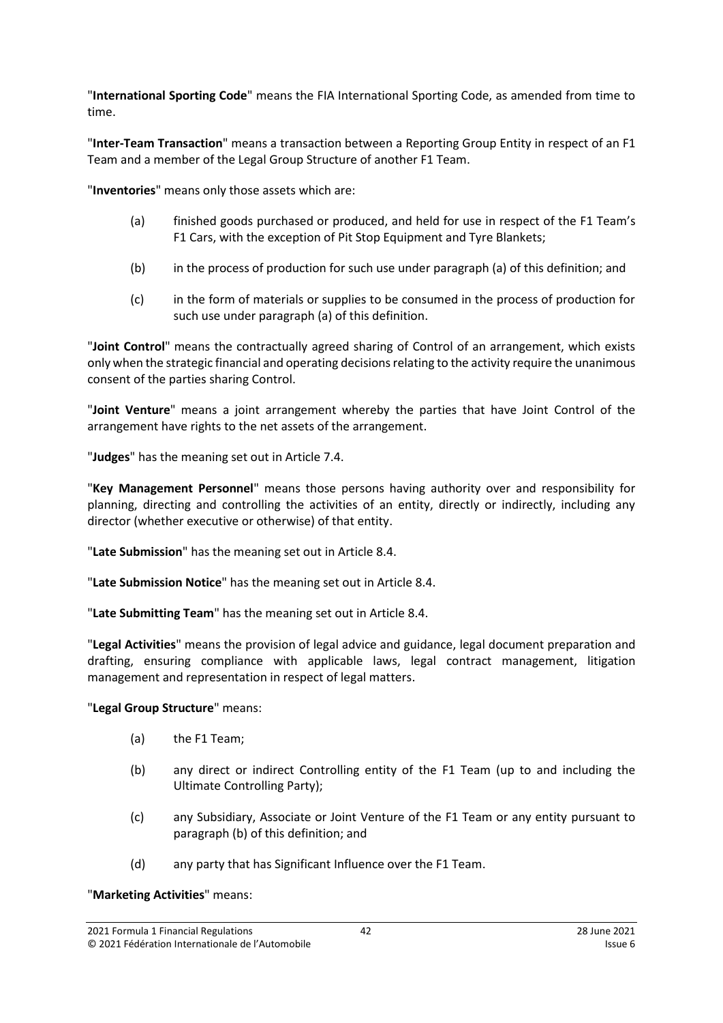"**International Sporting Code**" means the FIA International Sporting Code, as amended from time to time.

"**Inter-Team Transaction**" means a transaction between a Reporting Group Entity in respect of an F1 Team and a member of the Legal Group Structure of another F1 Team.

"**Inventories**" means only those assets which are:

- (a) finished goods purchased or produced, and held for use in respect of the F1 Team's F1 Cars, with the exception of Pit Stop Equipment and Tyre Blankets;
- (b) in the process of production for such use under paragraph (a) of this definition; and
- (c) in the form of materials or supplies to be consumed in the process of production for such use under paragraph (a) of this definition.

"**Joint Control**" means the contractually agreed sharing of Control of an arrangement, which exists only when the strategic financial and operating decisions relating to the activity require the unanimous consent of the parties sharing Control.

"**Joint Venture**" means a joint arrangement whereby the parties that have Joint Control of the arrangement have rights to the net assets of the arrangement.

"**Judges**" has the meaning set out in Article [7.4.](#page-19-2)

"**Key Management Personnel**" means those persons having authority over and responsibility for planning, directing and controlling the activities of an entity, directly or indirectly, including any director (whether executive or otherwise) of that entity.

"**Late Submission**" has the meaning set out in Article [8.4.](#page-23-1)

"**Late Submission Notice**" has the meaning set out in Article [8.4.](#page-23-1)

"**Late Submitting Team**" has the meaning set out in Article [8.4.](#page-23-1)

"**Legal Activities**" means the provision of legal advice and guidance, legal document preparation and drafting, ensuring compliance with applicable laws, legal contract management, litigation management and representation in respect of legal matters.

## "**Legal Group Structure**" means:

- (a) the F1 Team;
- (b) any direct or indirect Controlling entity of the F1 Team (up to and including the Ultimate Controlling Party);
- (c) any Subsidiary, Associate or Joint Venture of the F1 Team or any entity pursuant to paragraph (b) of this definition; and
- (d) any party that has Significant Influence over the F1 Team.

#### "**Marketing Activities**" means: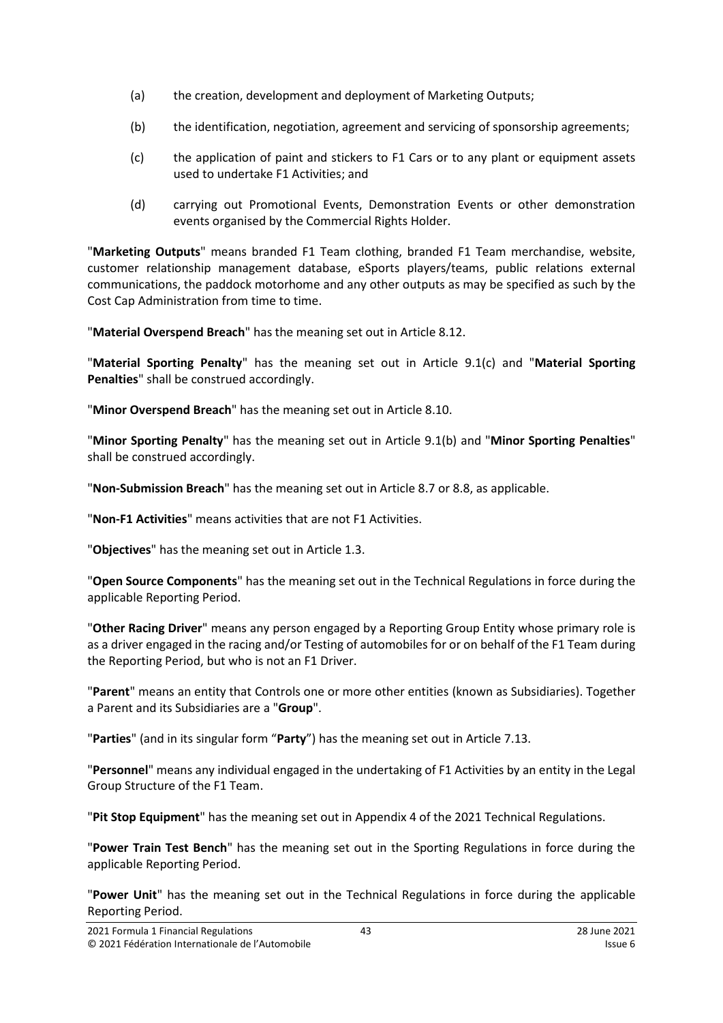- (a) the creation, development and deployment of Marketing Outputs;
- (b) the identification, negotiation, agreement and servicing of sponsorship agreements;
- (c) the application of paint and stickers to F1 Cars or to any plant or equipment assets used to undertake F1 Activities; and
- (d) carrying out Promotional Events, Demonstration Events or other demonstration events organised by the Commercial Rights Holder.

"**Marketing Outputs**" means branded F1 Team clothing, branded F1 Team merchandise, website, customer relationship management database, eSports players/teams, public relations external communications, the paddock motorhome and any other outputs as may be specified as such by the Cost Cap Administration from time to time.

"**Material Overspend Breach**" has the meaning set out in Article [8.12.](#page-25-1)

"**Material Sporting Penalty**" has the meaning set out in Article [9.1\(c\)](#page-26-4) and "**Material Sporting Penalties**" shall be construed accordingly.

"**Minor Overspend Breach**" has the meaning set out in Article [8.10.](#page-24-2)

"**Minor Sporting Penalty**" has the meaning set out in Article [9.1\(b\)](#page-26-7) and "**Minor Sporting Penalties**" shall be construed accordingly.

"**Non-Submission Breach**" has the meaning set out in Article [8.7](#page-24-0) or [8.8,](#page-24-3) as applicable.

"**Non-F1 Activities**" means activities that are not F1 Activities.

"**Objectives**" has the meaning set out in Article [1.3.](#page-1-2)

"**Open Source Components**" has the meaning set out in the Technical Regulations in force during the applicable Reporting Period.

"**Other Racing Driver**" means any person engaged by a Reporting Group Entity whose primary role is as a driver engaged in the racing and/or Testing of automobiles for or on behalf of the F1 Team during the Reporting Period, but who is not an F1 Driver.

"**Parent**" means an entity that Controls one or more other entities (known as Subsidiaries). Together a Parent and its Subsidiaries are a "**Group**".

"**Parties**" (and in its singular form "**Party**") has the meaning set out in Article [7.13.](#page-20-1)

"**Personnel**" means any individual engaged in the undertaking of F1 Activities by an entity in the Legal Group Structure of the F1 Team.

"**Pit Stop Equipment**" has the meaning set out in Appendix 4 of the 2021 Technical Regulations.

"**Power Train Test Bench**" has the meaning set out in the Sporting Regulations in force during the applicable Reporting Period.

"**Power Unit**" has the meaning set out in the Technical Regulations in force during the applicable Reporting Period.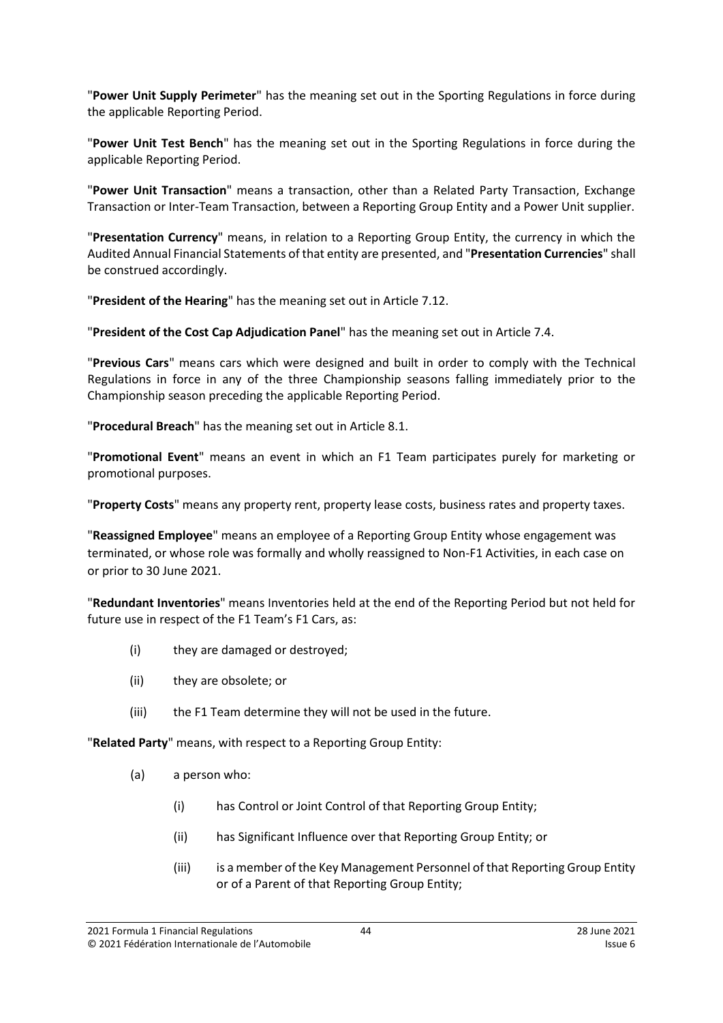"**Power Unit Supply Perimeter**" has the meaning set out in the Sporting Regulations in force during the applicable Reporting Period.

"**Power Unit Test Bench**" has the meaning set out in the Sporting Regulations in force during the applicable Reporting Period.

"**Power Unit Transaction**" means a transaction, other than a Related Party Transaction, Exchange Transaction or Inter-Team Transaction, between a Reporting Group Entity and a Power Unit supplier.

"**Presentation Currency**" means, in relation to a Reporting Group Entity, the currency in which the Audited Annual Financial Statements of that entity are presented, and "**Presentation Currencies**" shall be construed accordingly.

"**President of the Hearing**" has the meaning set out in Article [7.12.](#page-20-2)

"**President of the Cost Cap Adjudication Panel**" has the meaning set out in Article [7.4.](#page-19-2)

"**Previous Cars**" means cars which were designed and built in order to comply with the Technical Regulations in force in any of the three Championship seasons falling immediately prior to the Championship season preceding the applicable Reporting Period.

"**Procedural Breach**" has the meaning set out in Article [8.1.](#page-23-2)

"**Promotional Event**" means an event in which an F1 Team participates purely for marketing or promotional purposes.

"**Property Costs**" means any property rent, property lease costs, business rates and property taxes.

"**Reassigned Employee**" means an employee of a Reporting Group Entity whose engagement was terminated, or whose role was formally and wholly reassigned to Non-F1 Activities, in each case on or prior to 30 June 2021.

"**Redundant Inventories**" means Inventories held at the end of the Reporting Period but not held for future use in respect of the F1 Team's F1 Cars, as:

- (i) they are damaged or destroyed;
- (ii) they are obsolete; or
- (iii) the F1 Team determine they will not be used in the future.

"**Related Party**" means, with respect to a Reporting Group Entity:

- (a) a person who:
	- (i) has Control or Joint Control of that Reporting Group Entity;
	- (ii) has Significant Influence over that Reporting Group Entity; or
	- (iii) is a member of the Key Management Personnel of that Reporting Group Entity or of a Parent of that Reporting Group Entity;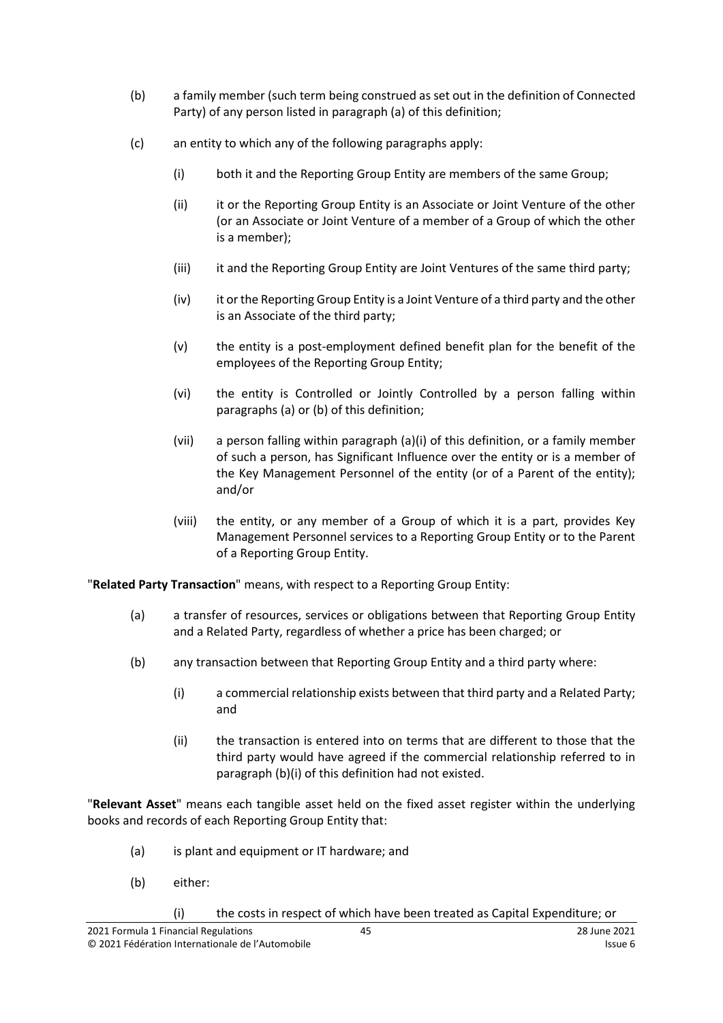- (b) a family member (such term being construed as set out in the definition of Connected Party) of any person listed in paragraph (a) of this definition;
- (c) an entity to which any of the following paragraphs apply:
	- (i) both it and the Reporting Group Entity are members of the same Group;
	- (ii) it or the Reporting Group Entity is an Associate or Joint Venture of the other (or an Associate or Joint Venture of a member of a Group of which the other is a member);
	- (iii) it and the Reporting Group Entity are Joint Ventures of the same third party;
	- (iv) it or the Reporting Group Entity is a Joint Venture of a third party and the other is an Associate of the third party;
	- (v) the entity is a post-employment defined benefit plan for the benefit of the employees of the Reporting Group Entity;
	- (vi) the entity is Controlled or Jointly Controlled by a person falling within paragraphs (a) or (b) of this definition;
	- (vii) a person falling within paragraph (a)(i) of this definition, or a family member of such a person, has Significant Influence over the entity or is a member of the Key Management Personnel of the entity (or of a Parent of the entity); and/or
	- (viii) the entity, or any member of a Group of which it is a part, provides Key Management Personnel services to a Reporting Group Entity or to the Parent of a Reporting Group Entity.

"**Related Party Transaction**" means, with respect to a Reporting Group Entity:

- (a) a transfer of resources, services or obligations between that Reporting Group Entity and a Related Party, regardless of whether a price has been charged; or
- (b) any transaction between that Reporting Group Entity and a third party where:
	- (i) a commercial relationship exists between that third party and a Related Party; and
	- (ii) the transaction is entered into on terms that are different to those that the third party would have agreed if the commercial relationship referred to in paragraph (b)(i) of this definition had not existed.

"**Relevant Asset**" means each tangible asset held on the fixed asset register within the underlying books and records of each Reporting Group Entity that:

- (a) is plant and equipment or IT hardware; and
- (b) either:
	- (i) the costs in respect of which have been treated as Capital Expenditure; or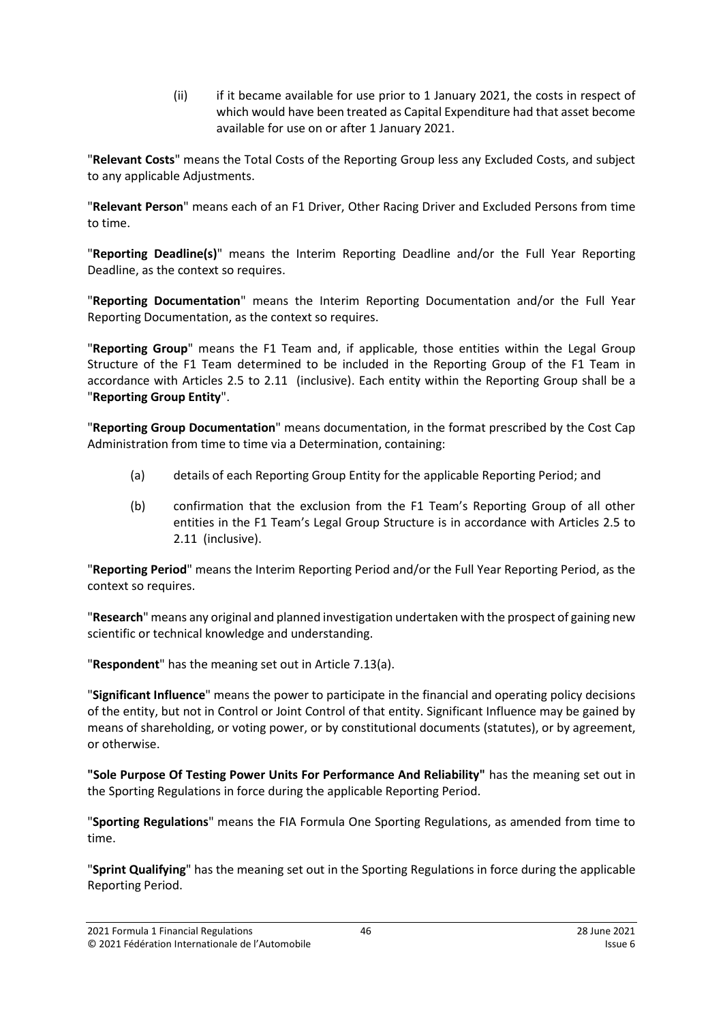(ii) if it became available for use prior to 1 January 2021, the costs in respect of which would have been treated as Capital Expenditure had that asset become available for use on or after 1 January 2021.

"**Relevant Costs**" means the Total Costs of the Reporting Group less any Excluded Costs, and subject to any applicable Adjustments.

"**Relevant Person**" means each of an F1 Driver, Other Racing Driver and Excluded Persons from time to time.

"**Reporting Deadline(s)**" means the Interim Reporting Deadline and/or the Full Year Reporting Deadline, as the context so requires.

"**Reporting Documentation**" means the Interim Reporting Documentation and/or the Full Year Reporting Documentation, as the context so requires.

"**Reporting Group**" means the F1 Team and, if applicable, those entities within the Legal Group Structure of the F1 Team determined to be included in the Reporting Group of the F1 Team in accordance with Articles [2.5](#page-4-1) to [2.11](#page-5-5) (inclusive). Each entity within the Reporting Group shall be a "**Reporting Group Entity**".

"**Reporting Group Documentation**" means documentation, in the format prescribed by the Cost Cap Administration from time to time via a Determination, containing:

- (a) details of each Reporting Group Entity for the applicable Reporting Period; and
- (b) confirmation that the exclusion from the F1 Team's Reporting Group of all other entities in the F1 Team's Legal Group Structure is in accordance with Articles [2.5](#page-4-1) to [2.11](#page-5-5) (inclusive).

"**Reporting Period**" means the Interim Reporting Period and/or the Full Year Reporting Period, as the context so requires.

"**Research**" means any original and planned investigation undertaken with the prospect of gaining new scientific or technical knowledge and understanding.

"**Respondent**" has the meaning set out in Article [7.13\(a\).](#page-20-3)

"**Significant Influence**" means the power to participate in the financial and operating policy decisions of the entity, but not in Control or Joint Control of that entity. Significant Influence may be gained by means of shareholding, or voting power, or by constitutional documents (statutes), or by agreement, or otherwise.

**"Sole Purpose Of Testing Power Units For Performance And Reliability"** has the meaning set out in the Sporting Regulations in force during the applicable Reporting Period.

"**Sporting Regulations**" means the FIA Formula One Sporting Regulations, as amended from time to time.

"**Sprint Qualifying**" has the meaning set out in the Sporting Regulations in force during the applicable Reporting Period.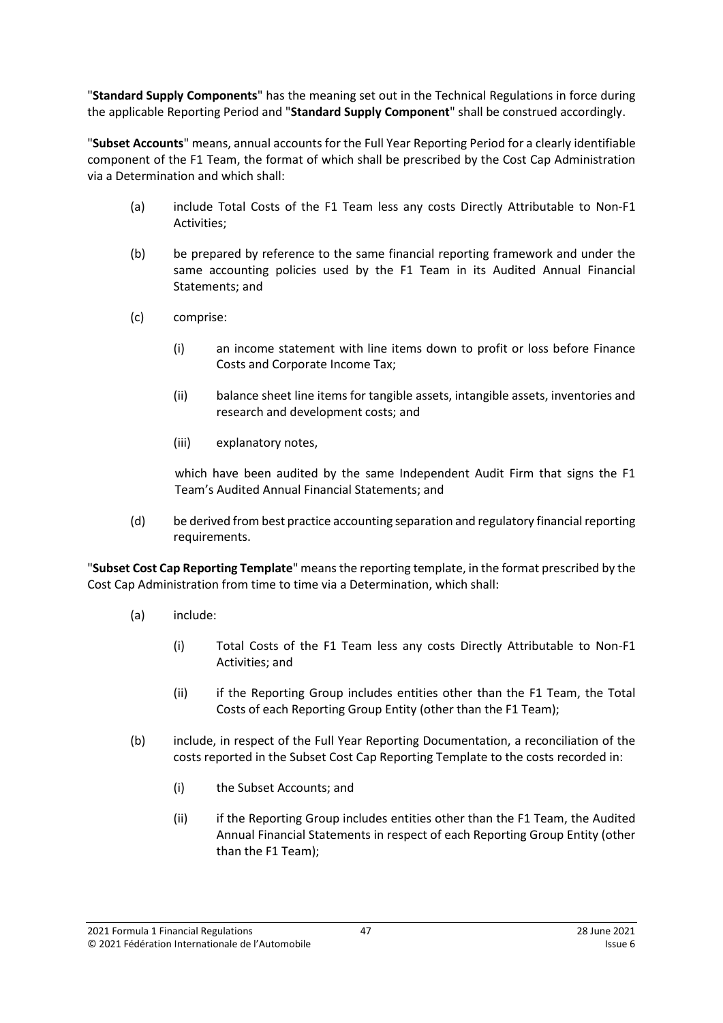"**Standard Supply Components**" has the meaning set out in the Technical Regulations in force during the applicable Reporting Period and "**Standard Supply Component**" shall be construed accordingly.

"**Subset Accounts**" means, annual accounts for the Full Year Reporting Period for a clearly identifiable component of the F1 Team, the format of which shall be prescribed by the Cost Cap Administration via a Determination and which shall:

- (a) include Total Costs of the F1 Team less any costs Directly Attributable to Non-F1 Activities;
- (b) be prepared by reference to the same financial reporting framework and under the same accounting policies used by the F1 Team in its Audited Annual Financial Statements; and
- (c) comprise:
	- (i) an income statement with line items down to profit or loss before Finance Costs and Corporate Income Tax;
	- (ii) balance sheet line items for tangible assets, intangible assets, inventories and research and development costs; and
	- (iii) explanatory notes,

which have been audited by the same Independent Audit Firm that signs the F1 Team's Audited Annual Financial Statements; and

(d) be derived from best practice accounting separation and regulatory financial reporting requirements.

"**Subset Cost Cap Reporting Template**" means the reporting template, in the format prescribed by the Cost Cap Administration from time to time via a Determination, which shall:

- (a) include:
	- (i) Total Costs of the F1 Team less any costs Directly Attributable to Non-F1 Activities; and
	- (ii) if the Reporting Group includes entities other than the F1 Team, the Total Costs of each Reporting Group Entity (other than the F1 Team);
- (b) include, in respect of the Full Year Reporting Documentation, a reconciliation of the costs reported in the Subset Cost Cap Reporting Template to the costs recorded in:
	- (i) the Subset Accounts; and
	- (ii) if the Reporting Group includes entities other than the F1 Team, the Audited Annual Financial Statements in respect of each Reporting Group Entity (other than the F1 Team);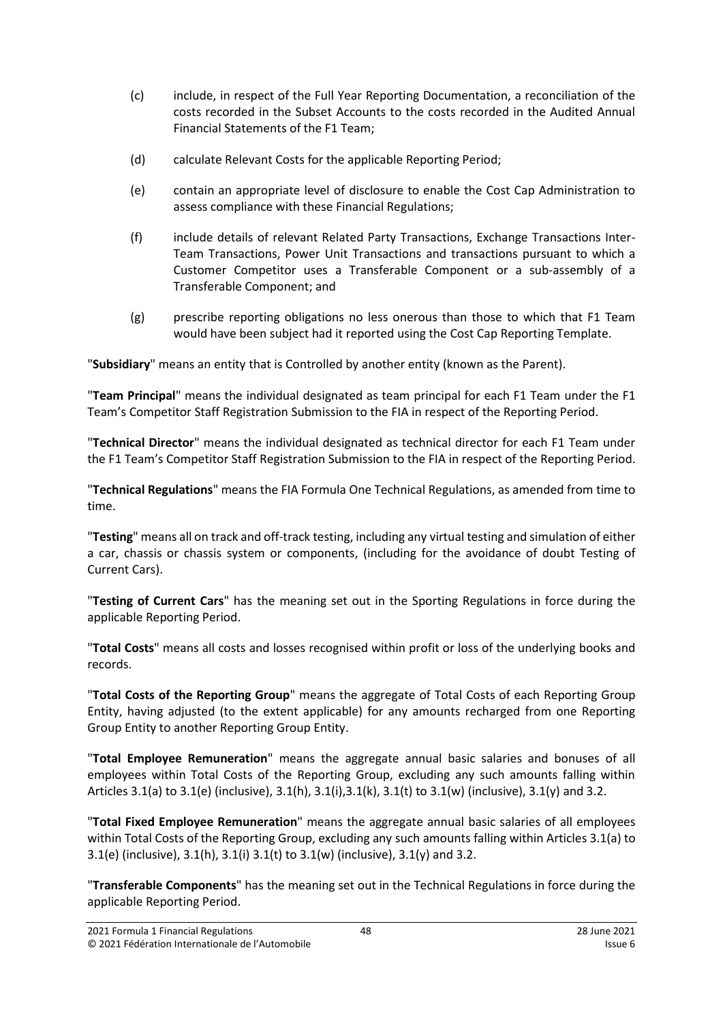- (c) include, in respect of the Full Year Reporting Documentation, a reconciliation of the costs recorded in the Subset Accounts to the costs recorded in the Audited Annual Financial Statements of the F1 Team;
- (d) calculate Relevant Costs for the applicable Reporting Period;
- (e) contain an appropriate level of disclosure to enable the Cost Cap Administration to assess compliance with these Financial Regulations;
- (f) include details of relevant Related Party Transactions, Exchange Transactions Inter-Team Transactions, Power Unit Transactions and transactions pursuant to which a Customer Competitor uses a Transferable Component or a sub-assembly of a Transferable Component; and
- (g) prescribe reporting obligations no less onerous than those to which that F1 Team would have been subject had it reported using the Cost Cap Reporting Template.

"**Subsidiary**" means an entity that is Controlled by another entity (known as the Parent).

"**Team Principal**" means the individual designated as team principal for each F1 Team under the F1 Team's Competitor Staff Registration Submission to the FIA in respect of the Reporting Period.

"**Technical Director**" means the individual designated as technical director for each F1 Team under the F1 Team's Competitor Staff Registration Submission to the FIA in respect of the Reporting Period.

"**Technical Regulations**" means the FIA Formula One Technical Regulations, as amended from time to time.

"**Testing**" means all on track and off-track testing, including any virtual testing and simulation of either a car, chassis or chassis system or components, (including for the avoidance of doubt Testing of Current Cars).

"**Testing of Current Cars**" has the meaning set out in the Sporting Regulations in force during the applicable Reporting Period.

"**Total Costs**" means all costs and losses recognised within profit or loss of the underlying books and records.

"**Total Costs of the Reporting Group**" means the aggregate of Total Costs of each Reporting Group Entity, having adjusted (to the extent applicable) for any amounts recharged from one Reporting Group Entity to another Reporting Group Entity.

"**Total Employee Remuneration**" means the aggregate annual basic salaries and bonuses of all employees within Total Costs of the Reporting Group, excluding any such amounts falling within Articles [3.1\(a\)](#page-5-6) to [3.1\(e\)](#page-5-7) (inclusive),  $3.1(h)$ ,  $3.1(i)$ ,  $3.1(k)$ ,  $3.1(k)$  to  $3.1(w)$  (inclusive),  $3.1(y)$  and  $3.2$ .

"**Total Fixed Employee Remuneration**" means the aggregate annual basic salaries of all employees within Total Costs of the Reporting Group, excluding any such amounts falling within Article[s 3.1\(a\)](#page-5-6) to [3.1\(e\)](#page-5-7) (inclusive), [3.1\(h\),](#page-5-8) [3.1\(i\)](#page-6-0) [3.1\(t\)](#page-7-1) to [3.1\(w\)](#page-7-2) (inclusive), [3.1\(y\)](#page-7-3) an[d 3.2.](#page-8-2)

"**Transferable Components**" has the meaning set out in the Technical Regulations in force during the applicable Reporting Period.